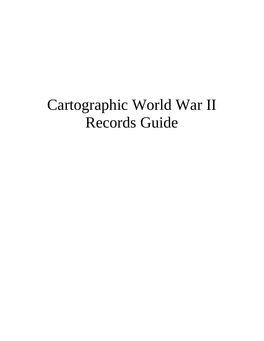# Cartographic World War II Records Guide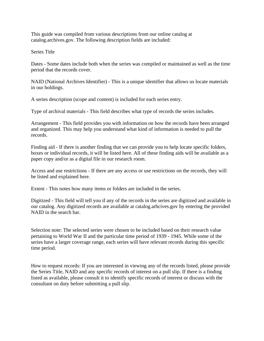This guide was compiled from various descriptions from our online catalog at catalog.archives.gov. The following description fields are included:

Series Title

Dates - Some dates include both when the series was compiled or maintained as well as the time period that the records cover.

NAID (National Archives Identifier) - This is a unique identifier that allows us locate materials in our holdings.

A series description (scope and content) is included for each series entry.

Type of archival materials - This field describes what type of records the series includes.

Arrangement - This field provides you with information on how the records have been arranged and organized. This may help you understand what kind of information is needed to pull the records.

Finding aid - If there is another finding that we can provide you to help locate specific folders, boxes or individual records, it will be listed here. All of these finding aids will be available as a paper copy and/or as a digital file in our research room.

Access and use restrictions - If there are any access or use restrictions on the records, they will be listed and explained here.

Extent - This notes how many items or folders are included in the series.

Digitized - This field will tell you if any of the records in the series are digitized and available in our catalog. Any digitized records are available at catalog.arhcives.gov by entering the provided NAID in the search bar.

Selection note: The selected series were chosen to be included based on their research value pertaining to World War II and the particular time period of 1939 - 1945. While some of the series have a larger coverage range, each series will have relevant records during this specific time period.

How to request records: If you are interested in viewing any of the records listed, please provide the Series Title, NAID and any specific records of interest on a pull slip. If there is a finding listed as available, please consult it to identify specific records of interest or discuss with the consultant on duty before submitting a pull slip.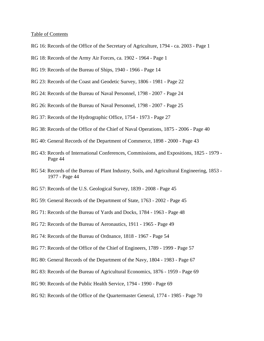#### Table of Contents

- RG 16: Records of the Office of the Secretary of Agriculture, 1794 ca. 2003 Page 1
- RG 18: Records of the Army Air Forces, ca. 1902 1964 Page 1
- RG 19: Records of the Bureau of Ships, 1940 1966 Page 14
- RG 23: Records of the Coast and Geodetic Survey, 1806 1981 Page 22
- RG 24: Records of the Bureau of Naval Personnel, 1798 2007 Page 24
- RG 26: Records of the Bureau of Naval Personnel, 1798 2007 Page 25
- RG 37: Records of the Hydrographic Office, 1754 1973 Page 27
- RG 38: Records of the Office of the Chief of Naval Operations, 1875 2006 Page 40
- RG 40: General Records of the Department of Commerce, 1898 2000 Page 43
- RG 43: Records of International Conferences, Commissions, and Expositions, 1825 1979 Page 44
- RG 54: Records of the Bureau of Plant Industry, Soils, and Agricultural Engineering, 1853 1977 - Page 44
- RG 57: Records of the U.S. Geological Survey, 1839 2008 Page 45
- RG 59: General Records of the Department of State, 1763 2002 Page 45
- RG 71: Records of the Bureau of Yards and Docks, 1784 1963 Page 48
- RG 72: Records of the Bureau of Aeronautics, 1911 1965 Page 49
- RG 74: Records of the Bureau of Ordnance, 1818 1967 Page 54
- RG 77: Records of the Office of the Chief of Engineers, 1789 1999 Page 57
- RG 80: General Records of the Department of the Navy, 1804 1983 Page 67
- RG 83: Records of the Bureau of Agricultural Economics, 1876 1959 Page 69
- RG 90: Records of the Public Health Service, 1794 1990 Page 69
- RG 92: Records of the Office of the Quartermaster General, 1774 1985 Page 70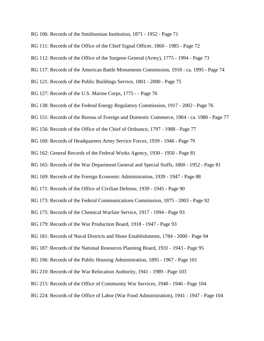RG 106: Records of the Smithsonian Institution, 1871 - 1952 - Page 71

RG 111: Records of the Office of the Chief Signal Officer, 1860 - 1985 - Page 72

RG 112: Records of the Office of the Surgeon General (Army), 1775 - 1994 - Page 73

RG 117: Records of the American Battle Monuments Commission, 1918 - ca. 1995 - Page 74

RG 121: Records of the Public Buildings Service, 1801 - 2000 - Page 75

RG 127: Records of the U.S. Marine Corps, 1775 - - Page 76

RG 138: Records of the Federal Energy Regulatory Commission, 1917 - 2002 - Page 76

RG 151: Records of the Bureau of Foreign and Domestic Commerce, 1904 - ca. 1980 - Page 77

RG 156: Records of the Office of the Chief of Ordnance, 1797 - 1988 - Page 77

RG 160: Records of Headquarters Army Service Forces, 1939 - 1946 - Page 79

RG 162: General Records of the Federal Works Agency, 1930 - 1950 - Page 81

RG 165: Records of the War Department General and Special Staffs, 1860 - 1952 - Page 81

RG 169: Records of the Foreign Economic Administration, 1939 - 1947 - Page 88

RG 171: Records of the Office of Civilian Defense, 1939 - 1945 - Page 90

RG 173: Records of the Federal Communications Commission, 1875 - 2003 - Page 92

RG 175: Records of the Chemical Warfare Service, 1917 - 1994 - Page 93

RG 179: Records of the War Production Board, 1918 - 1947 - Page 93

RG 181: Records of Naval Districts and Shore Establishments, 1784 - 2000 - Page 94

RG 187: Records of the National Resources Planning Board, 1931 - 1943 - Page 95

RG 196: Records of the Public Housing Administration, 1895 - 1967 - Page 101

RG 210: Records of the War Relocation Authority, 1941 - 1989 - Page 103

RG 215: Records of the Office of Community War Services, 1940 - 1946 - Page 104

RG 224: Records of the Office of Labor (War Food Administration), 1941 - 1947 - Page 104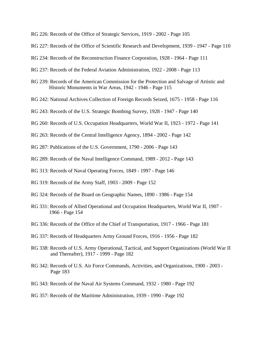- RG 226: Records of the Office of Strategic Services, 1919 2002 Page 105
- RG 227: Records of the Office of Scientific Research and Development, 1939 1947 Page 110
- RG 234: Records of the Reconstruction Finance Corporation, 1928 1964 Page 111
- RG 237: Records of the Federal Aviation Administration, 1922 2008 Page 113
- RG 239: Records of the American Commission for the Protection and Salvage of Artistic and Historic Monuments in War Areas, 1942 - 1946 - Page 115
- RG 242: National Archives Collection of Foreign Records Seized, 1675 1958 Page 116
- RG 243: Records of the U.S. Strategic Bombing Survey, 1928 1947 Page 140
- RG 260: Records of U.S. Occupation Headquarters, World War II, 1923 1972 Page 141
- RG 263: Records of the Central Intelligence Agency, 1894 2002 Page 142
- RG 287: Publications of the U.S. Government, 1790 2006 Page 143
- RG 289: Records of the Naval Intelligence Command, 1989 2012 Page 143
- RG 313: Records of Naval Operating Forces, 1849 1997 Page 146
- RG 319: Records of the Army Staff, 1903 2009 Page 152
- RG 324: Records of the Board on Geographic Names, 1890 1986 Page 154
- RG 331: Records of Allied Operational and Occupation Headquarters, World War II, 1907 1966 - Page 154
- RG 336: Records of the Office of the Chief of Transportation, 1917 1966 Page 181
- RG 337: Records of Headquarters Army Ground Forces, 1916 1956 Page 182
- RG 338: Records of U.S. Army Operational, Tactical, and Support Organizations (World War II and Thereafter), 1917 - 1999 - Page 182
- RG 342: Records of U.S. Air Force Commands, Activities, and Organizations, 1900 2003 Page 183
- RG 343: Records of the Naval Air Systems Command, 1932 1980 Page 192
- RG 357: Records of the Maritime Administration, 1939 1990 Page 192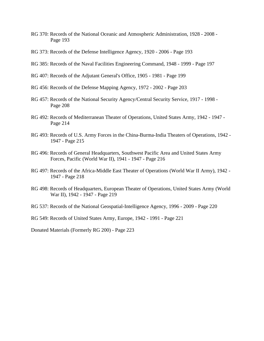- RG 370: Records of the National Oceanic and Atmospheric Administration, 1928 2008 Page 193
- RG 373: Records of the Defense Intelligence Agency, 1920 2006 Page 193
- RG 385: Records of the Naval Facilities Engineering Command, 1948 1999 Page 197
- RG 407: Records of the Adjutant General's Office, 1905 1981 Page 199
- RG 456: Records of the Defense Mapping Agency, 1972 2002 Page 203
- RG 457: Records of the National Security Agency/Central Security Service, 1917 1998 Page 208
- RG 492: Records of Mediterranean Theater of Operations, United States Army, 1942 1947 Page 214
- RG 493: Records of U.S. Army Forces in the China-Burma-India Theaters of Operations, 1942 1947 - Page 215
- RG 496: Records of General Headquarters, Southwest Pacific Area and United States Army Forces, Pacific (World War II), 1941 - 1947 - Page 216
- RG 497: Records of the Africa-Middle East Theater of Operations (World War II Army), 1942 1947 - Page 218
- RG 498: Records of Headquarters, European Theater of Operations, United States Army (World War II), 1942 - 1947 - Page 219
- RG 537: Records of the National Geospatial-Intelligence Agency, 1996 2009 Page 220
- RG 549: Records of United States Army, Europe, 1942 1991 Page 221

Donated Materials (Formerly RG 200) - Page 223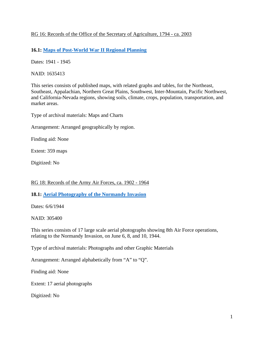## RG 16: Records of the Office of the Secretary of Agriculture, 1794 - ca. 2003

## **16.1: [Maps of Post-World War II Regional Planning](https://catalog.archives.gov/id/1635413)**

Dates: 1941 - 1945

NAID: 1635413

This series consists of published maps, with related graphs and tables, for the Northeast, Southeast, Appalachian, Northern Great Plains, Southwest, Inter-Mountain, Pacific Northwest, and California-Nevada regions, showing soils, climate, crops, population, transportation, and market areas.

Type of archival materials: Maps and Charts

Arrangement: Arranged geographically by region.

Finding aid: None

Extent: 359 maps

Digitized: No

## RG 18: Records of the Army Air Forces, ca. 1902 - 1964

#### **18.1: [Aerial Photography of the Normandy Invasion](https://catalog.archives.gov/id/305400)**

Dates: 6/6/1944

NAID: 305400

This series consists of 17 large scale aerial photographs showing 8th Air Force operations, relating to the Normandy Invasion, on June 6, 8, and 10, 1944.

Type of archival materials: Photographs and other Graphic Materials

Arrangement: Arranged alphabetically from "A" to "Q".

Finding aid: None

Extent: 17 aerial photographs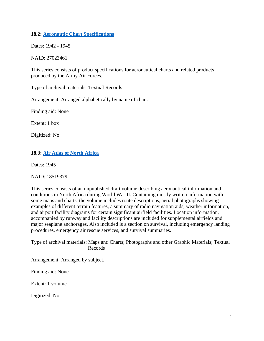## **18.2: [Aeronautic Chart Specifications](https://catalog.archives.gov/id/27023461)**

Dates: 1942 - 1945

NAID: 27023461

This series consists of product specifications for aeronautical charts and related products produced by the Army Air Forces.

Type of archival materials: Textual Records

Arrangement: Arranged alphabetically by name of chart.

Finding aid: None

Extent: 1 box

Digitized: No

#### **18.3: [Air Atlas of North Africa](https://catalog.archives.gov/id/18519379)**

Dates: 1945

NAID: 18519379

This series consists of an unpublished draft volume describing aeronautical information and conditions in North Africa during World War II. Containing mostly written information with some maps and charts, the volume includes route descriptions, aerial photographs showing examples of different terrain features, a summary of radio navigation aids, weather information, and airport facility diagrams for certain significant airfield facilities. Location information, accompanied by runway and facility descriptions are included for supplemental airfields and major seaplane anchorages. Also included is a section on survival, including emergency landing procedures, emergency air rescue services, and survival summaries.

Type of archival materials: Maps and Charts; Photographs and other Graphic Materials; Textual Records

Arrangement: Arranged by subject.

Finding aid: None

Extent: 1 volume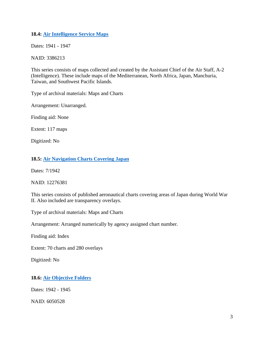## **18.4: [Air Intelligence Service Maps](https://catalog.archives.gov/id/3386213)**

Dates: 1941 - 1947

NAID: 3386213

This series consists of maps collected and created by the Assistant Chief of the Air Staff, A-2 (Intelligence). These include maps of the Mediterranean, North Africa, Japan, Manchuria, Taiwan, and Southwest Pacific Islands.

Type of archival materials: Maps and Charts

Arrangement: Unarranged.

Finding aid: None

Extent: 117 maps

Digitized: No

## **18.5: [Air Navigation Charts Covering Japan](https://catalog.archives.gov/id/12276381)**

Dates: 7/1942

NAID: 12276381

This series consists of published aeronautical charts covering areas of Japan during World War II. Also included are transparency overlays.

Type of archival materials: Maps and Charts

Arrangement: Arranged numerically by agency assigned chart number.

Finding aid: Index

Extent: 70 charts and 280 overlays

Digitized: No

## **18.6: [Air Objective Folders](https://catalog.archives.gov/id/6050528)**

Dates: 1942 - 1945

NAID: 6050528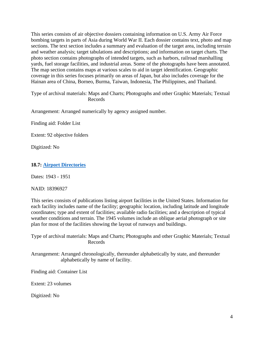This series consists of air objective dossiers containing information on U.S. Army Air Force bombing targets in parts of Asia during World War II. Each dossier contains text, photo and map sections. The text section includes a summary and evaluation of the target area, including terrain and weather analysis; target tabulations and descriptions; and information on target charts. The photo section contains photographs of intended targets, such as harbors, railroad marshalling yards, fuel storage facilities, and industrial areas. Some of the photographs have been annotated. The map section contains maps at various scales to aid in target identification. Geographic coverage in this series focuses primarily on areas of Japan, but also includes coverage for the Hainan area of China, Borneo, Burma, Taiwan, Indonesia, The Philippines, and Thailand.

Type of archival materials: Maps and Charts; Photographs and other Graphic Materials; Textual Records

Arrangement: Arranged numerically by agency assigned number.

Finding aid: Folder List

Extent: 92 objective folders

Digitized: No

#### **18.7: [Airport Directories](https://catalog.archives.gov/id/18396927)**

Dates: 1943 - 1951

NAID: 18396927

This series consists of publications listing airport facilities in the United States. Information for each facility includes name of the facility; geographic location, including latitude and longitude coordinates; type and extent of facilities; available radio facilities; and a description of typical weather conditions and terrain. The 1945 volumes include an oblique aerial photograph or site plan for most of the facilities showing the layout of runways and buildings.

Type of archival materials: Maps and Charts; Photographs and other Graphic Materials; Textual Records

Arrangement: Arranged chronologically, thereunder alphabetically by state, and thereunder alphabetically by name of facility.

Finding aid: Container List

Extent: 23 volumes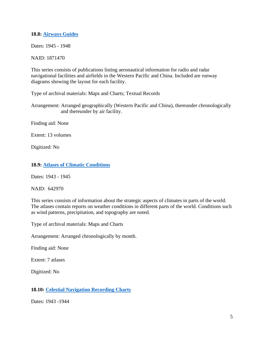#### **18.8: [Airways Guides](https://catalog.archives.gov/id/1871470)**

Dates: 1945 - 1948

NAID: 1871470

This series consists of publications listing aeronautical information for radio and radar navigational facilities and airfields in the Western Pacific and China. Included are runway diagrams showing the layout for each facility.

Type of archival materials: Maps and Charts; Textual Records

Arrangement: Arranged geographically (Western Pacific and China), thereunder chronologically and thereunder by air facility.

Finding aid: None

Extent: 13 volumes

Digitized: No

#### **18.9: [Atlases of Climatic Conditions](https://catalog.archives.gov/id/642970)**

Dates: 1943 - 1945

NAID: 642970

This series consists of information about the strategic aspects of climates in parts of the world. The atlases contain reports on weather conditions in different parts of the world. Conditions such as wind patterns, precipitation, and topography are noted.

Type of archival materials: Maps and Charts

Arrangement: Arranged chronologically by month.

Finding aid: None

Extent: 7 atlases

Digitized: No

#### **18.10: [Celestial Navigation Recording Charts](https://catalog.archives.gov/id/6277284)**

Dates: 1943 -1944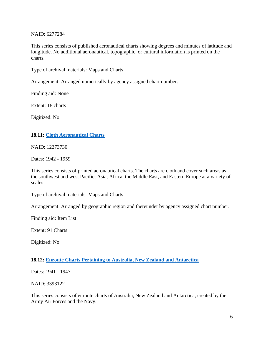#### NAID: 6277284

This series consists of published aeronautical charts showing degrees and minutes of latitude and longitude. No additional aeronautical, topographic, or cultural information is printed on the charts.

Type of archival materials: Maps and Charts

Arrangement: Arranged numerically by agency assigned chart number.

Finding aid: None

Extent: 18 charts

Digitized: No

#### **18.11: [Cloth Aeronautical Charts](https://catalog.archives.gov/id/12273730)**

NAID: 12273730

Dates: 1942 - 1959

This series consists of printed aeronautical charts. The charts are cloth and cover such areas as the southwest and west Pacific, Asia, Africa, the Middle East, and Eastern Europe at a variety of scales.

Type of archival materials: Maps and Charts

Arrangement: Arranged by geographic region and thereunder by agency assigned chart number.

Finding aid: Item List

Extent: 91 Charts

Digitized: No

#### **18.12: [Enroute Charts Pertaining to Australia, New Zealand and Antarctica](https://catalog.archives.gov/id/3393122)**

Dates: 1941 - 1947

NAID: 3393122

This series consists of enroute charts of Australia, New Zealand and Antarctica, created by the Army Air Forces and the Navy.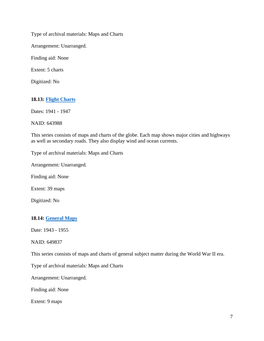Type of archival materials: Maps and Charts

Arrangement: Unarranged.

Finding aid: None

Extent: 5 charts

Digitized: No

## **18.13: [Flight Charts](https://catalog.archives.gov/id/643988)**

Dates: 1941 - 1947

NAID: 643988

This series consists of maps and charts of the globe. Each map shows major cities and highways as well as secondary roads. They also display wind and ocean currents.

Type of archival materials: Maps and Charts

Arrangement: Unarranged.

Finding aid: None

Extent: 39 maps

Digitized: No

## **18.14: [General Maps](https://catalog.archives.gov/id/649837)**

Date: 1943 - 1955

NAID: 649837

This series consists of maps and charts of general subject matter during the World War II era.

Type of archival materials: Maps and Charts

Arrangement: Unarranged.

Finding aid: None

Extent: 9 maps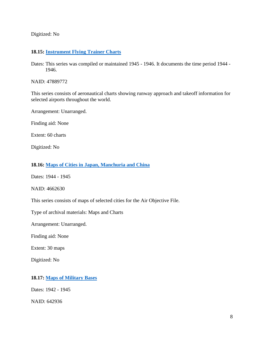Digitized: No

#### **18.15: [Instrument Flying Trainer Charts](https://catalog.archives.gov/id/47889772)**

Dates: This series was compiled or maintained 1945 - 1946. It documents the time period 1944 - 1946.

NAID: 47889772

This series consists of aeronautical charts showing runway approach and takeoff information for selected airports throughout the world.

Arrangement: Unarranged.

Finding aid: None

Extent: 60 charts

Digitized: No

#### **18.16: [Maps of Cities in Japan, Manchuria and China](https://catalog.archives.gov/id/4662630)**

Dates: 1944 - 1945

NAID: 4662630

This series consists of maps of selected cities for the Air Objective File.

Type of archival materials: Maps and Charts

Arrangement: Unarranged.

Finding aid: None

Extent: 30 maps

Digitized: No

#### **18.17: [Maps of Military Bases](https://catalog.archives.gov/id/642936)**

Dates: 1942 - 1945

NAID: 642936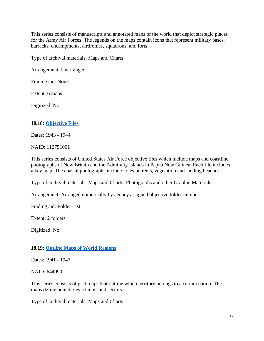This series consists of manuscripts and annotated maps of the world that depict strategic places for the Army Air Forces. The legends on the maps contain icons that represent military bases, barracks, encampments, airdromes, squadrons, and forts.

Type of archival materials: Maps and Charts

Arrangement: Unarranged.

Finding aid: None

Extent: 6 maps

Digitized: No

## **18.18: [Objective Files](https://catalog.archives.gov/id/112751001)**

Dates: 1943 - 1944

NAID: 112751001

This series consists of United States Air Force objective files which include maps and coastline photographs of New Britain and the Admiralty Islands in Papua New Guinea. Each file includes a key map. The coastal photographs include notes on reefs, vegetation and landing beaches.

Type of archival materials: Maps and Charts; Photographs and other Graphic Materials

Arrangement: Arranged numerically by agency assigned objective folder number.

Finding aid: Folder List

Extent: 2 folders

Digitized: No

## **18.19: [Outline Maps of World Regions](https://catalog.archives.gov/id/644090)**

Dates: 1941 - 1947

NAID: 644090

This series consists of grid maps that outline which territory belongs to a certain nation. The maps define boundaries, claims, and sectors.

Type of archival materials: Maps and Charts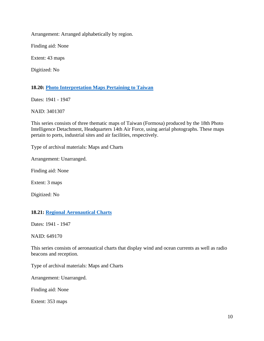Arrangement: Arranged alphabetically by region.

Finding aid: None

Extent: 43 maps

Digitized: No

## **18.20: [Photo Interpretation Maps Pertaining to Taiwan](https://catalog.archives.gov/id/3401307)**

Dates: 1941 - 1947

NAID: 3401307

This series consists of three thematic maps of Taiwan (Formosa) produced by the 18th Photo Intelligence Detachment, Headquarters 14th Air Force, using aerial photographs. These maps pertain to ports, industrial sites and air facilities, respectively.

Type of archival materials: Maps and Charts

Arrangement: Unarranged.

Finding aid: None

Extent: 3 maps

Digitized: No

## **18.21: [Regional Aeronautical Charts](https://catalog.archives.gov/id/649170)**

Dates: 1941 - 1947

NAID: 649170

This series consists of aeronautical charts that display wind and ocean currents as well as radio beacons and reception.

Type of archival materials: Maps and Charts

Arrangement: Unarranged.

Finding aid: None

Extent: 353 maps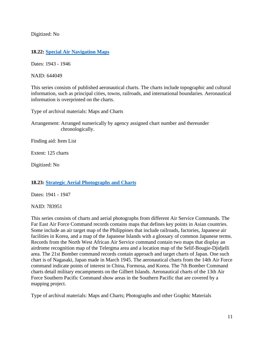Digitized: No

## **18.22: [Special Air Navigation Maps](https://catalog.archives.gov/id/644049)**

Dates: 1943 - 1946

NAID: 644049

This series consists of published aeronautical charts. The charts include topographic and cultural information, such as principal cities, towns, railroads, and international boundaries. Aeronautical information is overprinted on the charts.

Type of archival materials: Maps and Charts

Arrangement: Arranged numerically by agency assigned chart number and thereunder chronologically.

Finding aid: Item List

Extent: 125 charts

Digitized: No

## **18.23: [Strategic Aerial Photographs and Charts](https://catalog.archives.gov/id/783951)**

Dates: 1941 - 1947

NAID: 783951

This series consists of charts and aerial photographs from different Air Service Commands. The Far East Air Force Command records contains maps that defines key points in Asian countries. Some include an air target map of the Philippines that include railroads, factories, Japanese air facilities in Korea, and a map of the Japanese Islands with a glossary of common Japanese terms. Records from the North West African Air Service command contain two maps that display an airdrome recognition map of the Telergma area and a location map of the Selif-Bougie-Djidjelli area. The 21st Bomber command records contain approach and target charts of Japan. One such chart is of Nagasaki, Japan made in March 1945. The aeronautical charts from the 14th Air Force command indicate points of interest in China, Formosa, and Korea. The 7th Bomber Command charts detail military encampments on the Gilbert Islands. Aeronautical charts of the 13th Air Force Southern Pacific Command show areas in the Southern Pacific that are covered by a mapping project.

Type of archival materials: Maps and Charts; Photographs and other Graphic Materials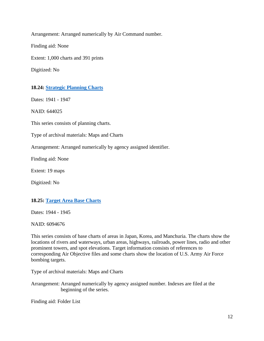Arrangement: Arranged numerically by Air Command number. Finding aid: None Extent: 1,000 charts and 391 prints

Digitized: No

## **18.24: [Strategic Planning Charts](https://catalog.archives.gov/id/644025)**

Dates: 1941 - 1947

NAID: 644025

This series consists of planning charts.

Type of archival materials: Maps and Charts

Arrangement: Arranged numerically by agency assigned identifier.

Finding aid: None

Extent: 19 maps

Digitized: No

#### **18.25: [Target Area Base Charts](https://catalog.archives.gov/id/6094676)**

Dates: 1944 - 1945

NAID: 6094676

This series consists of base charts of areas in Japan, Korea, and Manchuria. The charts show the locations of rivers and waterways, urban areas, highways, railroads, power lines, radio and other prominent towers, and spot elevations. Target information consists of references to corresponding Air Objective files and some charts show the location of U.S. Army Air Force bombing targets.

Type of archival materials: Maps and Charts

Arrangement: Arranged numerically by agency assigned number. Indexes are filed at the beginning of the series.

Finding aid: Folder List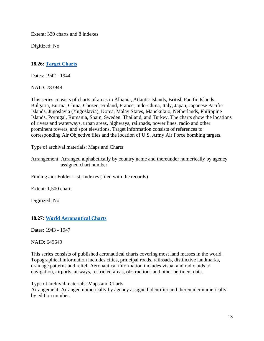Extent: 330 charts and 8 indexes

Digitized: No

## **18.26: [Target Charts](https://catalog.archives.gov/id/783948)**

Dates: 1942 - 1944

NAID: 783948

This series consists of charts of areas in Albania, Atlantic Islands, British Pacific Islands, Bulgaria, Burma, China, Chosen, Finland, France, Indo-China, Italy, Japan, Japanese Pacific Islands, Jugoslavia (Yugoslavia), Korea, Malay States, Manckukuo, Netherlands, Philippine Islands, Portugal, Rumania, Spain, Sweden, Thailand, and Turkey. The charts show the locations of rivers and waterways, urban areas, highways, railroads, power lines, radio and other prominent towers, and spot elevations. Target information consists of references to corresponding Air Objective files and the location of U.S. Army Air Force bombing targets.

Type of archival materials: Maps and Charts

Arrangement: Arranged alphabetically by country name and thereunder numerically by agency assigned chart number.

Finding aid: Folder List; Indexes (filed with the records)

Extent: 1,500 charts

Digitized: No

## **18.27: [World Aeronautical Charts](https://catalog.archives.gov/id/649649)**

Dates: 1943 - 1947

NAID: 649649

This series consists of published aeronautical charts covering most land masses in the world. Topographical information includes cities, principal roads, railroads, distinctive landmarks, drainage patterns and relief. Aeronautical information includes visual and radio aids to navigation, airports, airways, restricted areas, obstructions and other pertinent data.

Type of archival materials: Maps and Charts

Arrangement: Arranged numerically by agency assigned identifier and thereunder numerically by edition number.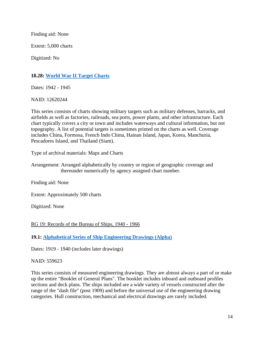Finding aid: None

Extent: 5,000 charts

Digitized: No

## **18.28: [World War II](https://catalog.archives.gov/id/12620244) Target Charts**

Dates: 1942 - 1945

NAID: 12620244

This series consists of charts showing military targets such as military defenses, barracks, and airfields as well as factories, railroads, sea ports, power plants, and other infrastructure. Each chart typically covers a city or town and includes waterways and cultural information, but not topography. A list of potential targets is sometimes printed on the charts as well. Coverage includes China, Formosa, French Indo China, Hainan Island, Japan, Korea, Manchuria, Pescadores Island, and Thailand (Siam).

Type of archival materials: Maps and Charts

Arrangement: Arranged alphabetically by country or region of geographic coverage and thereunder numerically by agency assigned chart number.

Finding aid: None

Extent: Approximately 500 charts

Digitized: None

RG 19: Records of the Bureau of Ships, 1940 - 1966

**19.1: [Alphabetical Series of Ship Engineering Drawings](https://catalog.archives.gov/id/559623) (Alpha)**

Dates: 1919 - 1940 (includes later drawings)

NAID: 559623

This series consists of measured engineering drawings. They are almost always a part of or make up the entire "Booklet of General Plans". The booklet includes inboard and outboard profiles sections and deck plans. The ships included are a wide variety of vessels constructed after the range of the "dash file" (post 1909) and before the universal use of the engineering drawing categories. Hull construction, mechanical and electrical drawings are rarely included.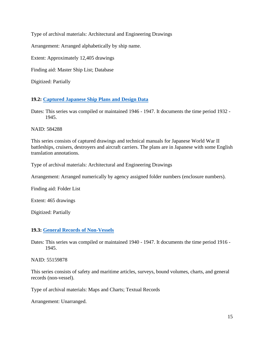Type of archival materials: Architectural and Engineering Drawings

Arrangement: Arranged alphabetically by ship name.

Extent: Approximately 12,405 drawings

Finding aid: Master Ship List; Database

Digitized: Partially

## **19.2: [Captured Japanese Ship Plans and Design Data](https://catalog.archives.gov/id/584288)**

Dates: This series was compiled or maintained 1946 - 1947. It documents the time period 1932 - 1945.

NAID: 584288

This series consists of captured drawings and technical manuals for Japanese World War II battleships, cruisers, destroyers and aircraft carriers. The plans are in Japanese with some English translation annotations.

Type of archival materials: Architectural and Engineering Drawings

Arrangement: Arranged numerically by agency assigned folder numbers (enclosure numbers).

Finding aid: Folder List

Extent: 465 drawings

Digitized: Partially

## **19.3: [General Records of Non-Vessels](https://catalog.archives.gov/id/55159878)**

Dates: This series was compiled or maintained 1940 - 1947. It documents the time period 1916 - 1945.

NAID: 55159878

This series consists of safety and maritime articles, surveys, bound volumes, charts, and general records (non-vessel).

Type of archival materials: Maps and Charts; Textual Records

Arrangement: Unarranged.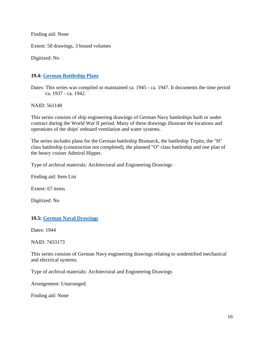Finding aid: None

Extent: 50 drawings, 3 bound volumes

Digitized: No

#### **19.4: [German Battleship Plans](https://catalog.archives.gov/id/561140)**

Dates: This series was compiled or maintained ca. 1945 - ca. 1947. It documents the time period ca. 1937 - ca. 1942.

NAID: 561140

This series consists of ship engineering drawings of German Navy battleships built or under contract during the World War II period. Many of these drawings illustrate the locations and operations of the ships' onboard ventilation and water systems.

The series includes plans for the German battleship Bismarck, the battleship Tirpitz, the "H" class battleship (construction not completed), the planned "O" class battleship and one plan of the heavy cruiser Admiral Hipper.

Type of archival materials: Architectural and Engineering Drawings

Finding aid: Item List

Extent: 67 items

Digitized: No

#### **19.5: [German Naval Drawings](https://catalog.archives.gov/id/7433173)**

Dates: 1944

NAID: 7433173

This series consists of German Navy engineering drawings relating to unidentified mechanical and electrical systems.

Type of archival materials: Architectural and Engineering Drawings

Arrangement: Unarranged.

Finding aid: None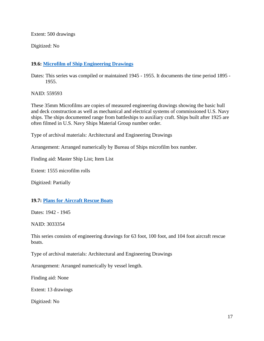Extent: 500 drawings

Digitized: No

## **19.6: [Microfilm of Ship Engineering Drawings](https://catalog.archives.gov/id/559593)**

Dates: This series was compiled or maintained 1945 - 1955. It documents the time period 1895 - 1955.

NAID: 559593

These 35mm Microfilms are copies of measured engineering drawings showing the basic hull and deck construction as well as mechanical and electrical systems of commissioned U.S. Navy ships. The ships documented range from battleships to auxiliary craft. Ships built after 1925 are often filmed in U.S. Navy Ships Material Group number order.

Type of archival materials: Architectural and Engineering Drawings

Arrangement: Arranged numerically by Bureau of Ships microfilm box number.

Finding aid: Master Ship List; Item List

Extent: 1555 microfilm rolls

Digitized: Partially

## **19.7: [Plans for Aircraft Rescue Boats](https://catalog.archives.gov/id/3033354)**

Dates: 1942 - 1945

NAID: 3033354

This series consists of engineering drawings for 63 foot, 100 foot, and 104 foot aircraft rescue boats.

Type of archival materials: Architectural and Engineering Drawings

Arrangement: Arranged numerically by vessel length.

Finding aid: None

Extent: 13 drawings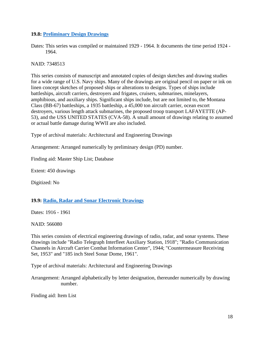#### **19.8: [Preliminary Design Drawings](https://catalog.archives.gov/id/7348513)**

Dates: This series was compiled or maintained 1929 - 1964. It documents the time period 1924 - 1964.

#### NAID: 7348513

This series consists of manuscript and annotated copies of design sketches and drawing studies for a wide range of U.S. Navy ships. Many of the drawings are original pencil on paper or ink on linen concept sketches of proposed ships or alterations to designs. Types of ships include battleships, aircraft carriers, destroyers and frigates, cruisers, submarines, minelayers, amphibious, and auxiliary ships. Significant ships include, but are not limited to, the Montana Class (BB-67) battleships, a 1935 battleship, a 45,000 ton aircraft carrier, ocean escort destroyers, various length attack submarines, the proposed troop transport LAFAYETTE (AP-53), and the USS UNITED STATES (CVA-58). A small amount of drawings relating to assumed or actual battle damage during WWII are also included.

Type of archival materials: Architectural and Engineering Drawings

Arrangement: Arranged numerically by preliminary design (PD) number.

Finding aid: Master Ship List; Database

Extent: 450 drawings

Digitized: No

#### **19.9: [Radio, Radar and Sonar Electronic Drawings](https://catalog.archives.gov/id/566080)**

Dates: 1916 - 1961

NAID: 566080

This series consists of electrical engineering drawings of radio, radar, and sonar systems. These drawings include "Radio Telegraph Interfleet Auxiliary Station, 1918"; "Radio Communication Channels in Aircraft Carrier Combat Information Center", 1944; "Countermeasure Receiving Set, 1953" and "185 inch Steel Sonar Dome, 1961".

Type of archival materials: Architectural and Engineering Drawings

Arrangement: Arranged alphabetically by letter designation, thereunder numerically by drawing number.

Finding aid: Item List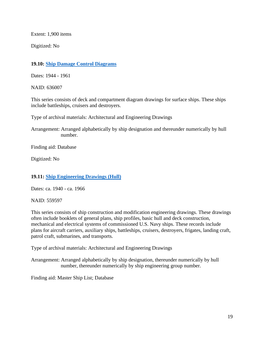Extent: 1,900 items

Digitized: No

## **19.10: [Ship Damage Control Diagrams](https://catalog.archives.gov/id/636007)**

Dates: 1944 - 1961

NAID: 636007

This series consists of deck and compartment diagram drawings for surface ships. These ships include battleships, cruisers and destroyers.

Type of archival materials: Architectural and Engineering Drawings

Arrangement: Arranged alphabetically by ship designation and thereunder numerically by hull number.

Finding aid: Database

Digitized: No

## **19.11: [Ship Engineering Drawings](https://catalog.archives.gov/id/559597) (Hull)**

Dates: ca. 1940 - ca. 1966

NAID: 559597

This series consists of ship construction and modification engineering drawings. These drawings often include booklets of general plans, ship profiles, basic hull and deck construction, mechanical and electrical systems of commissioned U.S. Navy ships. These records include plans for aircraft carriers, auxiliary ships, battleships, cruisers, destroyers, frigates, landing craft, patrol craft, submarines, and transports.

Type of archival materials: Architectural and Engineering Drawings

Arrangement: Arranged alphabetically by ship designation, thereunder numerically by hull number, thereunder numerically by ship engineering group number.

Finding aid: Master Ship List; Database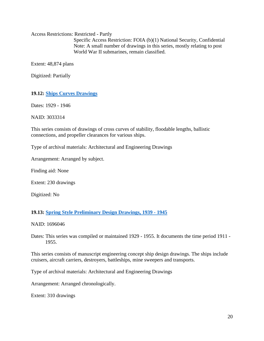Access Restrictions: Restricted - Partly Specific Access Restriction: FOIA (b)(1) National Security, Confidential Note: A small number of drawings in this series, mostly relating to post World War II submarines, remain classified.

Extent: 48,874 plans

Digitized: Partially

#### **19.12: [Ships Curves Drawings](https://catalog.archives.gov/id/3033314)**

Dates: 1929 - 1946

NAID: 3033314

This series consists of drawings of cross curves of stability, floodable lengths, ballistic connections, and propeller clearances for various ships.

Type of archival materials: Architectural and Engineering Drawings

Arrangement: Arranged by subject.

Finding aid: None

Extent: 230 drawings

Digitized: No

#### **19.13: [Spring Style Preliminary Design Drawings, 1939 -](https://catalog.archives.gov/id/1696046) 1945**

NAID: 1696046

Dates: This series was compiled or maintained 1929 - 1955. It documents the time period 1911 - 1955.

This series consists of manuscript engineering concept ship design drawings. The ships include cruisers, aircraft carriers, destroyers, battleships, mine sweepers and transports.

Type of archival materials: Architectural and Engineering Drawings

Arrangement: Arranged chronologically.

Extent: 310 drawings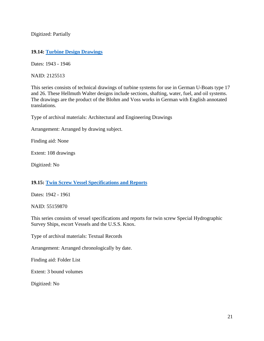Digitized: Partially

#### **19.14: [Turbine Design Drawings](https://catalog.archives.gov/id/2125513)**

Dates: 1943 - 1946

NAID: 2125513

This series consists of technical drawings of turbine systems for use in German U-Boats type 17 and 26. These Hellmuth Walter designs include sections, shafting, water, fuel, and oil systems. The drawings are the product of the Blohm and Voss works in German with English annotated translations.

Type of archival materials: Architectural and Engineering Drawings

Arrangement: Arranged by drawing subject.

Finding aid: None

Extent: 108 drawings

Digitized: No

#### **19.15: [Twin Screw Vessel Specifications and Reports](https://catalog.archives.gov/id/55159870)**

Dates: 1942 - 1961

NAID: 55159870

This series consists of vessel specifications and reports for twin screw Special Hydrographic Survey Ships, escort Vessels and the U.S.S. Knox.

Type of archival materials: Textual Records

Arrangement: Arranged chronologically by date.

Finding aid: Folder List

Extent: 3 bound volumes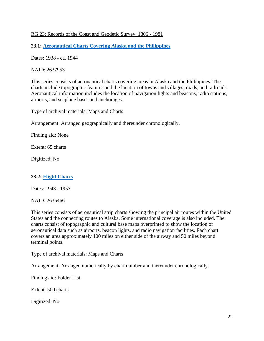#### RG 23: Records of the Coast and Geodetic Survey, 1806 - 1981

**23.1: [Aeronautical Charts Covering Alaska and the Philippines](https://catalog.archives.gov/id/2637953)**

Dates: 1938 - ca. 1944

NAID: 2637953

This series consists of aeronautical charts covering areas in Alaska and the Philippines. The charts include topographic features and the location of towns and villages, roads, and railroads. Aeronautical information includes the location of navigation lights and beacons, radio stations, airports, and seaplane bases and anchorages.

Type of archival materials: Maps and Charts

Arrangement: Arranged geographically and thereunder chronologically.

Finding aid: None

Extent: 65 charts

Digitized: No

## **23.2: [Flight Charts](https://catalog.archives.gov/id/2635466)**

Dates: 1943 - 1953

NAID: 2635466

This series consists of aeronautical strip charts showing the principal air routes within the United States and the connecting routes to Alaska. Some international coverage is also included. The charts consist of topographic and cultural base maps overprinted to show the location of aeronautical data such as airports, beacon lights, and radio navigation facilities. Each chart covers an area approximately 100 miles on either side of the airway and 50 miles beyond terminal points.

Type of archival materials: Maps and Charts

Arrangement: Arranged numerically by chart number and thereunder chronologically.

Finding aid: Folder List

Extent: 500 charts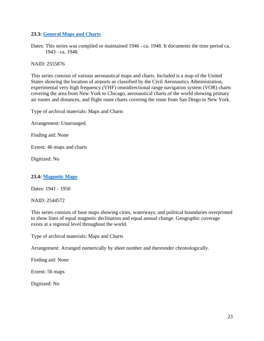## **23.3: [General Maps and Charts](https://catalog.archives.gov/id/2555876)**

Dates: This series was compiled or maintained 1946 - ca. 1948. It documents the time period ca. 1943 - ca. 1948.

NAID: 2555876

This series consists of various aeronautical maps and charts. Included is a map of the United States showing the location of airports as classified by the Civil Aeronautics Administration, experimental very high frequency (VHF) omnidirectional range navigation system (VOR) charts covering the area from New York to Chicago, aeronautical charts of the world showing primary air routes and distances, and flight route charts covering the route from San Diego to New York.

Type of archival materials: Maps and Charts

Arrangement: Unarranged.

Finding aid: None

Extent: 46 maps and charts

Digitized: No

## **23.4: [Magnetic Maps](https://catalog.archives.gov/id/2544572)**

Dates: 1941 - 1950

NAID: 2544572

This series consists of base maps showing cities, waterways, and political boundaries overprinted to show lines of equal magnetic declination and equal annual change. Geographic coverage exists at a regional level throughout the world.

Type of archival materials: Maps and Charts

Arrangement: Arranged numerically by sheet number and thereunder chronologically.

Finding aid: None

Extent: 56 maps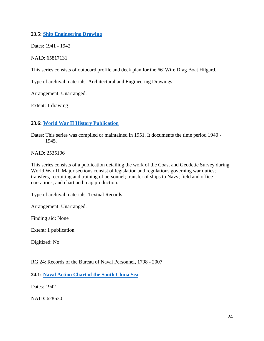## **23.5: [Ship Engineering Drawing](https://catalog.archives.gov/id/65817131)**

Dates: 1941 - 1942

NAID: 65817131

This series consists of outboard profile and deck plan for the 66' Wire Drag Boat Hilgard.

Type of archival materials: Architectural and Engineering Drawings

Arrangement: Unarranged.

Extent: 1 drawing

## **23.6: World War II [History Publication](https://catalog.archives.gov/id/2535196)**

Dates: This series was compiled or maintained in 1951. It documents the time period 1940 - 1945.

NAID: 2535196

This series consists of a publication detailing the work of the Coast and Geodetic Survey during World War II. Major sections consist of legislation and regulations governing war duties; transfers, recruiting and training of personnel; transfer of ships to Navy; field and office operations; and chart and map production.

Type of archival materials: Textual Records

Arrangement: Unarranged.

Finding aid: None

Extent: 1 publication

Digitized: No

RG 24: Records of the Bureau of Naval Personnel, 1798 - 2007

**24.1: [Naval Action Chart of the South China Sea](https://catalog.archives.gov/id/628630)**

Dates: 1942

NAID: 628630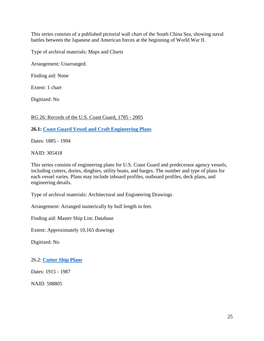This series consists of a published pictorial wall chart of the South China Sea, showing naval battles between the Japanese and American forces at the beginning of World War II.

Type of archival materials: Maps and Charts

Arrangement: Unarranged.

Finding aid: None

Extent: 1 chart

Digitized: No

RG 26: Records of the U.S. Coast Guard, 1785 - 2005

**26.1: [Coast Guard Vessel and Craft Engineering Plans](https://catalog.archives.gov/id/305418)**

Dates: 1885 - 1994

NAID: 305418

This series consists of engineering plans for U.S. Coast Guard and predecessor agency vessels, including cutters, dories, dinghies, utility boats, and barges. The number and type of plans for each vessel varies. Plans may include inboard profiles, outboard profiles, deck plans, and engineering details.

Type of archival materials: Architectural and Engineering Drawings

Arrangement: Arranged numerically by hull length in feet.

Finding aid: Master Ship List; Database

Extent: Approximately 10,165 drawings

Digitized: No

26.2: **[Cutter Ship Plans](https://catalog.archives.gov/id/598805)**

Dates: 1915 - 1987

NAID: 598805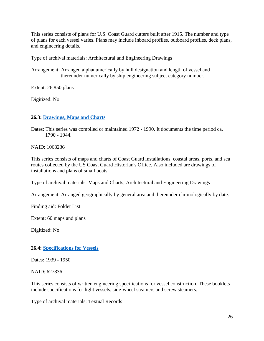This series consists of plans for U.S. Coast Guard cutters built after 1915. The number and type of plans for each vessel varies. Plans may include inboard profiles, outboard profiles, deck plans, and engineering details.

Type of archival materials: Architectural and Engineering Drawings

Arrangement: Arranged alphanumerically by hull designation and length of vessel and thereunder numerically by ship engineering subject category number.

Extent: 26,850 plans

Digitized: No

## **26.3: [Drawings, Maps and Charts](https://catalog.archives.gov/id/1068236)**

Dates: This series was compiled or maintained 1972 - 1990. It documents the time period ca. 1790 - 1944.

NAID: 1068236

This series consists of maps and charts of Coast Guard installations, coastal areas, ports, and sea routes collected by the US Coast Guard Historian's Office. Also included are drawings of installations and plans of small boats.

Type of archival materials: Maps and Charts; Architectural and Engineering Drawings

Arrangement: Arranged geographically by general area and thereunder chronologically by date.

Finding aid: Folder List

Extent: 60 maps and plans

Digitized: No

#### **26.4: [Specifications for Vessels](https://catalog.archives.gov/id/627836)**

Dates: 1939 - 1950

NAID: 627836

This series consists of written engineering specifications for vessel construction. These booklets include specifications for light vessels, side-wheel steamers and screw steamers.

Type of archival materials: Textual Records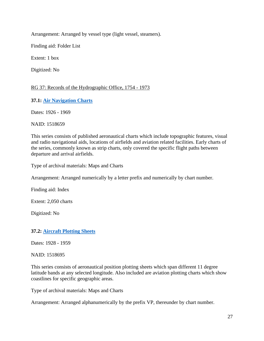Arrangement: Arranged by vessel type (light vessel, steamers).

Finding aid: Folder List

Extent: 1 box

Digitized: No

## RG 37: Records of the Hydrographic Office, 1754 - 1973

**37.1: [Air Navigation Charts](https://catalog.archives.gov/id/1518659)**

Dates: 1926 - 1969

NAID: 1518659

This series consists of published aeronautical charts which include topographic features, visual and radio navigational aids, locations of airfields and aviation related facilities. Early charts of the series, commonly known as strip charts, only covered the specific flight paths between departure and arrival airfields.

Type of archival materials: Maps and Charts

Arrangement: Arranged numerically by a letter prefix and numerically by chart number.

Finding aid: Index

Extent: 2,050 charts

Digitized: No

**37.2: [Aircraft Plotting Sheets](https://catalog.archives.gov/id/1518695)**

Dates: 1928 - 1959

NAID: 1518695

This series consists of aeronautical position plotting sheets which span different 11 degree latitude bands at any selected longitude. Also included are aviation plotting charts which show coastlines for specific geographic areas.

Type of archival materials: Maps and Charts

Arrangement: Arranged alphanumerically by the prefix VP, thereunder by chart number.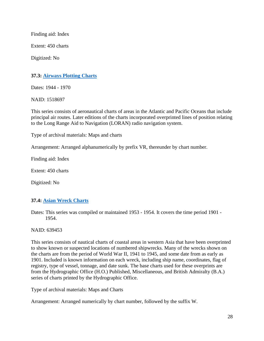Finding aid: Index

Extent: 450 charts

Digitized: No

#### **37.3: [Airways Plotting Charts](https://catalog.archives.gov/id/1518697)**

Dates: 1944 - 1970

NAID: 1518697

This series consists of aeronautical charts of areas in the Atlantic and Pacific Oceans that include principal air routes. Later editions of the charts incorporated overprinted lines of position relating to the Long Range Aid to Navigation (LORAN) radio navigation system.

Type of archival materials: Maps and charts

Arrangement: Arranged alphanumerically by prefix VR, thereunder by chart number.

Finding aid: Index

Extent: 450 charts

Digitized: No

## **37.4: [Asian Wreck Charts](https://catalog.archives.gov/id/639453)**

Dates: This series was compiled or maintained 1953 - 1954. It covers the time period 1901 - 1954.

NAID: 639453

This series consists of nautical charts of coastal areas in western Asia that have been overprinted to show known or suspected locations of numbered shipwrecks. Many of the wrecks shown on the charts are from the period of World War II, 1941 to 1945, and some date from as early as 1901. Included is known information on each wreck, including ship name, coordinates, flag of registry, type of vessel, tonnage, and date sunk. The base charts used for these overprints are from the Hydrographic Office (H.O.) Published, Miscellaneous, and British Admiralty (B.A.) series of charts printed by the Hydrographic Office.

Type of archival materials: Maps and Charts

Arrangement: Arranged numerically by chart number, followed by the suffix W.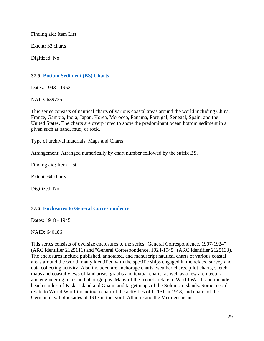Finding aid: Item List

Extent: 33 charts

Digitized: No

## **37.5: [Bottom Sediment \(BS\) Charts](https://catalog.archives.gov/id/639735)**

Dates: 1943 - 1952

NAID: 639735

This series consists of nautical charts of various coastal areas around the world including China, France, Gambia, India, Japan, Korea, Morocco, Panama, Portugal, Senegal, Spain, and the United States. The charts are overprinted to show the predominant ocean bottom sediment in a given such as sand, mud, or rock.

Type of archival materials: Maps and Charts

Arrangement: Arranged numerically by chart number followed by the suffix BS.

Finding aid: Item List

Extent: 64 charts

Digitized: No

#### **37.6: Enclosures to General Correspondence**

Dates: 1918 - 1945

NAID: 640186

This series consists of oversize enclosures to the series "General Correspondence, 1907-1924" (ARC Identifier 2125111) and "General Correspondence, 1924-1945" (ARC Identifier 2125133). The enclosures include published, annotated, and manuscript nautical charts of various coastal areas around the world, many identified with the specific ships engaged in the related survey and data collecting activity. Also included are anchorage charts, weather charts, pilot charts, sketch maps and coastal views of land areas, graphs and textual charts, as well as a few architectural and engineering plans and photographs. Many of the records relate to World War II and include beach studies of Kiska Island and Guam, and target maps of the Solomon Islands. Some records relate to World War I including a chart of the activities of U-151 in 1918, and charts of the German naval blockades of 1917 in the North Atlantic and the Mediterranean.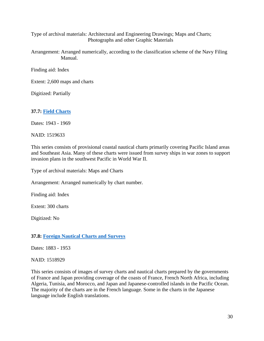Type of archival materials: Architectural and Engineering Drawings; Maps and Charts; Photographs and other Graphic Materials

Arrangement: Arranged numerically, according to the classification scheme of the Navy Filing Manual.

Finding aid: Index

Extent: 2,600 maps and charts

Digitized: Partially

## **37.7: [Field Charts](https://catalog.archives.gov/id/1519633)**

Dates: 1943 - 1969

NAID: 1519633

This series consists of provisional coastal nautical charts primarily covering Pacific Island areas and Southeast Asia. Many of these charts were issued from survey ships in war zones to support invasion plans in the southwest Pacific in World War II.

Type of archival materials: Maps and Charts

Arrangement: Arranged numerically by chart number.

Finding aid: Index

Extent: 300 charts

Digitized: No

#### **37.8: [Foreign Nautical Charts and Surveys](https://catalog.archives.gov/id/1518929)**

Dates: 1883 - 1953

NAID: 1518929

This series consists of images of survey charts and nautical charts prepared by the governments of France and Japan providing coverage of the coasts of France, French North Africa, including Algeria, Tunisia, and Morocco, and Japan and Japanese-controlled islands in the Pacific Ocean. The majority of the charts are in the French language. Some in the charts in the Japanese language include English translations.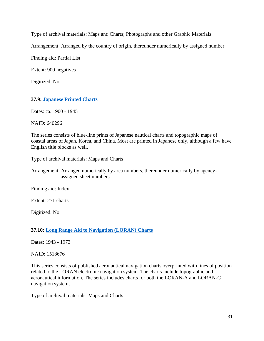Type of archival materials: Maps and Charts; Photographs and other Graphic Materials

Arrangement: Arranged by the country of origin, thereunder numerically by assigned number.

Finding aid: Partial List

Extent: 900 negatives

Digitized: No

**37.9: [Japanese Printed Charts](https://catalog.archives.gov/id/640296)**

Dates: ca. 1900 - 1945

NAID: 640296

The series consists of blue-line prints of Japanese nautical charts and topographic maps of coastal areas of Japan, Korea, and China. Most are printed in Japanese only, although a few have English title blocks as well.

Type of archival materials: Maps and Charts

Arrangement: Arranged numerically by area numbers, thereunder numerically by agency assigned sheet numbers.

Finding aid: Index

Extent: 271 charts

Digitized: No

**37.10: [Long Range Aid to Navigation \(LORAN\) Charts](https://catalog.archives.gov/id/1518676)**

Dates: 1943 - 1973

NAID: 1518676

This series consists of published aeronautical navigation charts overprinted with lines of position related to the LORAN electronic navigation system. The charts include topographic and aeronautical information. The series includes charts for both the LORAN-A and LORAN-C navigation systems.

Type of archival materials: Maps and Charts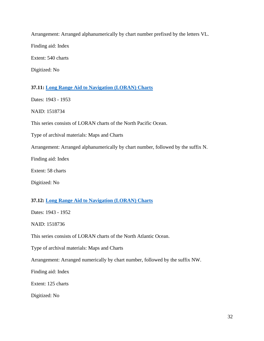Arrangement: Arranged alphanumerically by chart number prefixed by the letters VL. Finding aid: Index Extent: 540 charts

Digitized: No

## **37.11: [Long Range Aid to Navigation \(LORAN\) Charts](https://catalog.archives.gov/id/1518734)**

Dates: 1943 - 1953

NAID: 1518734

This series consists of LORAN charts of the North Pacific Ocean.

Type of archival materials: Maps and Charts

Arrangement: Arranged alphanumerically by chart number, followed by the suffix N.

Finding aid: Index

Extent: 58 charts

Digitized: No

# **37.12: [Long Range Aid to Navigation \(LORAN\) Charts](https://catalog.archives.gov/id/1518736)**

Dates: 1943 - 1952

NAID: 1518736

This series consists of LORAN charts of the North Atlantic Ocean.

Type of archival materials: Maps and Charts

Arrangement: Arranged numerically by chart number, followed by the suffix NW.

Finding aid: Index

Extent: 125 charts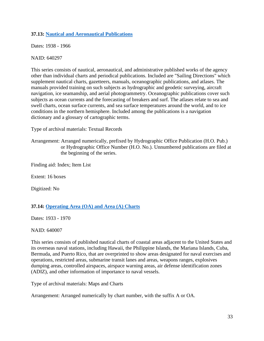# **37.13: [Nautical and Aeronautical Publications](https://catalog.archives.gov/id/640297)**

Dates: 1938 - 1966

### NAID: 640297

This series consists of nautical, aeronautical, and administrative published works of the agency other than individual charts and periodical publications. Included are "Sailing Directions" which supplement nautical charts, gazetteers, manuals, oceanographic publications, and atlases. The manuals provided training on such subjects as hydrographic and geodetic surveying, aircraft navigation, ice seamanship, and aerial photogrammetry. Oceanographic publications cover such subjects as ocean currents and the forecasting of breakers and surf. The atlases relate to sea and swell charts, ocean surface currents, and sea surface temperatures around the world, and to ice conditions in the northern hemisphere. Included among the publications is a navigation dictionary and a glossary of cartographic terms.

Type of archival materials: Textual Records

Arrangement: Arranged numerically, prefixed by Hydrographic Office Publication (H.O. Pub.) or Hydrographic Office Number (H.O. No.). Unnumbered publications are filed at the beginning of the series.

Finding aid: Index; Item List

Extent: 16 boxes

Digitized: No

# **37.14: Operating [Area \(OA\) and Area \(A\) Charts](https://catalog.archives.gov/id/640007)**

Dates: 1933 - 1970

NAID: 640007

This series consists of published nautical charts of coastal areas adjacent to the United States and its overseas naval stations, including Hawaii, the Philippine Islands, the Mariana Islands, Cuba, Bermuda, and Puerto Rico, that are overprinted to show areas designated for naval exercises and operations, restricted areas, submarine transit lanes and areas, weapons ranges, explosives dumping areas, controlled airspaces, airspace warning areas, air defense identification zones (ADIZ), and other information of importance to naval vessels.

Type of archival materials: Maps and Charts

Arrangement: Arranged numerically by chart number, with the suffix A or OA.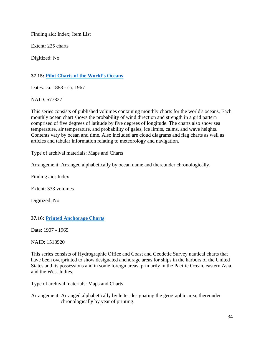Finding aid: Index; Item List

Extent: 225 charts

Digitized: No

# **37.15: [Pilot Charts of the World's Oceans](https://catalog.archives.gov/id/577327)**

Dates: ca. 1883 - ca. 1967

NAID: 577327

This series consists of published volumes containing monthly charts for the world's oceans. Each monthly ocean chart shows the probability of wind direction and strength in a grid pattern comprised of five degrees of latitude by five degrees of longitude. The charts also show sea temperature, air temperature, and probability of gales, ice limits, calms, and wave heights. Contents vary by ocean and time. Also included are cloud diagrams and flag charts as well as articles and tabular information relating to meteorology and navigation.

Type of archival materials: Maps and Charts

Arrangement: Arranged alphabetically by ocean name and thereunder chronologically.

Finding aid: Index

Extent: 333 volumes

Digitized: No

## **37.16: [Printed Anchorage Charts](https://catalog.archives.gov/id/1518920)**

Date: 1907 - 1965

NAID: 1518920

This series consists of Hydrographic Office and Coast and Geodetic Survey nautical charts that have been overprinted to show designated anchorage areas for ships in the harbors of the United States and its possessions and in some foreign areas, primarily in the Pacific Ocean, eastern Asia, and the West Indies.

Type of archival materials: Maps and Charts

Arrangement: Arranged alphabetically by letter designating the geographic area, thereunder chronologically by year of printing.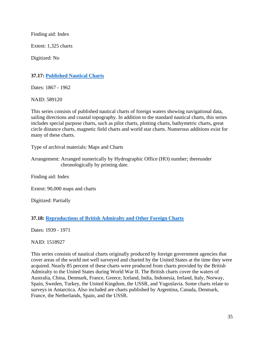Finding aid: Index

Extent: 1,325 charts

Digitized: No

# **37.17: [Published Nautical Charts](https://catalog.archives.gov/id/589120)**

Dates: 1867 - 1962

NAID: 589120

This series consists of published nautical charts of foreign waters showing navigational data, sailing directions and coastal topography. In addition to the standard nautical charts, this series includes special purpose charts, such as pilot charts, plotting charts, bathymetric charts, great circle distance charts, magnetic field charts and world star charts. Numerous additions exist for many of these charts.

Type of archival materials: Maps and Charts

Arrangement: Arranged numerically by Hydrographic Office (HO) number; thereunder chronologically by printing date.

Finding aid: Index

Extent: 90,000 maps and charts

Digitized: Partially

## **37.18: [Reproductions of British Admiralty and Other Foreign Charts](https://catalog.archives.gov/id/1518927)**

Dates: 1939 - 1971

NAID: 1518927

This series consists of nautical charts originally produced by foreign government agencies that cover areas of the world not well surveyed and charted by the United States at the time they were acquired. Nearly 85 percent of these charts were produced from charts provided by the British Admiralty to the United States during World War II. The British charts cover the waters of Australia, China, Denmark, France, Greece, Iceland, India, Indonesia, Ireland, Italy, Norway, Spain, Sweden, Turkey, the United Kingdom, the USSR, and Yugoslavia. Some charts relate to surveys in Antarctica. Also included are charts published by Argentina, Canada, Denmark, France, the Netherlands, Spain, and the USSR.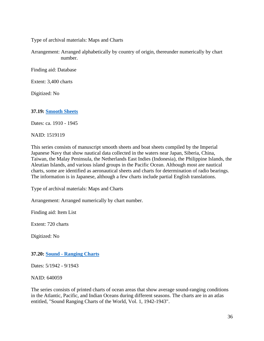Type of archival materials: Maps and Charts

Arrangement: Arranged alphabetically by country of origin, thereunder numerically by chart number.

Finding aid: Database

Extent: 3,400 charts

Digitized: No

### **37.19: [Smooth Sheets](https://catalog.archives.gov/id/1519119)**

Dates: ca. 1910 - 1945

#### NAID: 1519119

This series consists of manuscript smooth sheets and boat sheets compiled by the Imperial Japanese Navy that show nautical data collected in the waters near Japan, Siberia, China, Taiwan, the Malay Peninsula, the Netherlands East Indies (Indonesia), the Philippine Islands, the Aleutian Islands, and various island groups in the Pacific Ocean. Although most are nautical charts, some are identified as aeronautical sheets and charts for determination of radio bearings. The information is in Japanese, although a few charts include partial English translations.

Type of archival materials: Maps and Charts

Arrangement: Arranged numerically by chart number.

Finding aid: Item List

Extent: 720 charts

Digitized: No

#### **37.20: Sound - [Ranging Charts](https://catalog.archives.gov/id/640059)**

Dates: 5/1942 - 9/1943

NAID: 640059

The series consists of printed charts of ocean areas that show average sound-ranging conditions in the Atlantic, Pacific, and Indian Oceans during different seasons. The charts are in an atlas entitled, "Sound Ranging Charts of the World, Vol. 1, 1942-1943".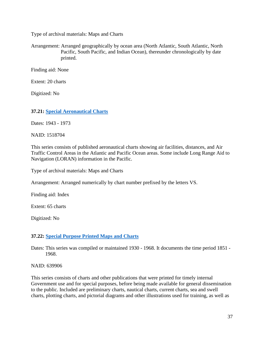Type of archival materials: Maps and Charts

Arrangement: Arranged geographically by ocean area (North Atlantic, South Atlantic, North Pacific, South Pacific, and Indian Ocean), thereunder chronologically by date printed.

Finding aid: None

Extent: 20 charts

Digitized: No

## **37.21: [Special Aeronautical Charts](https://catalog.archives.gov/id/1518704)**

Dates: 1943 - 1973

NAID: 1518704

This series consists of published aeronautical charts showing air facilities, distances, and Air Traffic Control Areas in the Atlantic and Pacific Ocean areas. Some include Long Range Aid to Navigation (LORAN) information in the Pacific.

Type of archival materials: Maps and Charts

Arrangement: Arranged numerically by chart number prefixed by the letters VS.

Finding aid: Index

Extent: 65 charts

Digitized: No

## **37.22: [Special Purpose Printed Maps and Charts](https://catalog.archives.gov/id/639906)**

Dates: This series was compiled or maintained 1930 - 1968. It documents the time period 1851 - 1968.

NAID: 639906

This series consists of charts and other publications that were printed for timely internal Government use and for special purposes, before being made available for general dissemination to the public. Included are preliminary charts, nautical charts, current charts, sea and swell charts, plotting charts, and pictorial diagrams and other illustrations used for training, as well as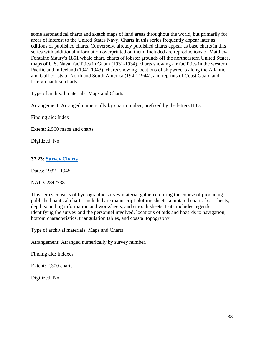some aeronautical charts and sketch maps of land areas throughout the world, but primarily for areas of interest to the United States Navy. Charts in this series frequently appear later as editions of published charts. Conversely, already published charts appear as base charts in this series with additional information overprinted on them. Included are reproductions of Matthew Fontaine Maury's 1851 whale chart, charts of lobster grounds off the northeastern United States, maps of U.S. Naval facilities in Guam (1931-1934), charts showing air facilities in the western Pacific and in Iceland (1941-1943), charts showing locations of shipwrecks along the Atlantic and Gulf coasts of North and South America (1942-1944), and reprints of Coast Guard and foreign nautical charts.

Type of archival materials: Maps and Charts

Arrangement: Arranged numerically by chart number, prefixed by the letters H.O.

Finding aid: Index

Extent: 2,500 maps and charts

Digitized: No

### **37.23: [Survey Charts](https://catalog.archives.gov/id/2842738)**

Dates: 1932 - 1945

NAID: 2842738

This series consists of hydrographic survey material gathered during the course of producing published nautical charts. Included are manuscript plotting sheets, annotated charts, boat sheets, depth sounding information and worksheets, and smooth sheets. Data includes legends identifying the survey and the personnel involved, locations of aids and hazards to navigation, bottom characteristics, triangulation tables, and coastal topography.

Type of archival materials: Maps and Charts

Arrangement: Arranged numerically by survey number.

Finding aid: Indexes

Extent: 2,300 charts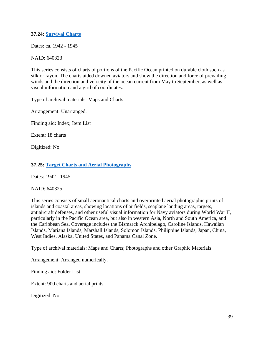## **37.24: [Survival Charts](https://catalog.archives.gov/id/640323)**

Dates: ca. 1942 - 1945

### NAID: 640323

This series consists of charts of portions of the Pacific Ocean printed on durable cloth such as silk or rayon. The charts aided downed aviators and show the direction and force of prevailing winds and the direction and velocity of the ocean current from May to September, as well as visual information and a grid of coordinates.

Type of archival materials: Maps and Charts

Arrangement: Unarranged.

Finding aid: Index; Item List

Extent: 18 charts

Digitized: No

## **37.25: Target [Charts and Aerial Photographs](https://catalog.archives.gov/id/640325)**

Dates: 1942 - 1945

NAID: 640325

This series consists of small aeronautical charts and overprinted aerial photographic prints of islands and coastal areas, showing locations of airfields, seaplane landing areas, targets, antiaircraft defenses, and other useful visual information for Navy aviators during World War II, particularly in the Pacific Ocean area, but also in western Asia, North and South America, and the Caribbean Sea. Coverage includes the Bismarck Archipelago, Caroline Islands, Hawaiian Islands, Mariana Islands, Marshall Islands, Solomon Islands, Philippine Islands, Japan, China, West Indies, Alaska, United States, and Panama Canal Zone.

Type of archival materials: Maps and Charts; Photographs and other Graphic Materials

Arrangement: Arranged numerically.

Finding aid: Folder List

Extent: 900 charts and aerial prints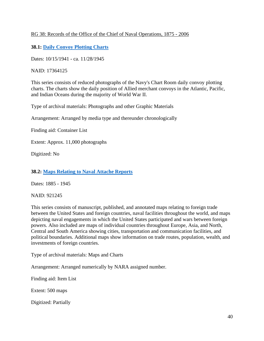## RG 38: Records of the Office of the Chief of Naval Operations, 1875 - 2006

# **38.1: [Daily Convoy Plotting Charts](https://catalog.archives.gov/id/17364125)**

Dates: 10/15/1941 - ca. 11/28/1945

NAID: 17364125

This series consists of reduced photographs of the Navy's Chart Room daily convoy plotting charts. The charts show the daily position of Allied merchant convoys in the Atlantic, Pacific, and Indian Oceans during the majority of World War II.

Type of archival materials: Photographs and other Graphic Materials

Arrangement: Arranged by media type and thereunder chronologically

Finding aid: Container List

Extent: Approx. 11,000 photographs

Digitized: No

## **38.2: [Maps Relating to Naval Attache Reports](https://catalog.archives.gov/id/921245)**

Dates: 1885 - 1945

NAID: 921245

This series consists of manuscript, published, and annotated maps relating to foreign trade between the United States and foreign countries, naval facilities throughout the world, and maps depicting naval engagements in which the United States participated and wars between foreign powers. Also included are maps of individual countries throughout Europe, Asia, and North, Central and South America showing cities, transportation and communication facilities, and political boundaries. Additional maps show information on trade routes, population, wealth, and investments of foreign countries.

Type of archival materials: Maps and Charts

Arrangement: Arranged numerically by NARA assigned number.

Finding aid: Item List

Extent: 500 maps

Digitized: Partially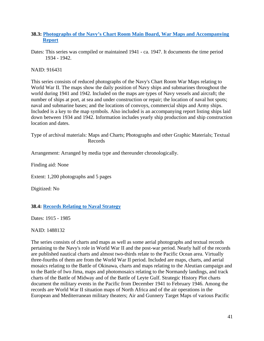## **38.3: [Photographs of the Navy's Chart Room Main Board, War Maps and Accompanying](https://catalog.archives.gov/id/916431)  [Report](https://catalog.archives.gov/id/916431)**

Dates: This series was compiled or maintained 1941 - ca. 1947. It documents the time period 1934 - 1942.

NAID: 916431

This series consists of reduced photographs of the Navy's Chart Room War Maps relating to World War II. The maps show the daily position of Navy ships and submarines throughout the world during 1941 and 1942. Included on the maps are types of Navy vessels and aircraft; the number of ships at port, at sea and under construction or repair; the location of naval hot spots; naval and submarine bases; and the locations of convoys, commercial ships and Army ships. Included is a key to the map symbols. Also included is an accompanying report listing ships laid down between 1934 and 1942. Information includes yearly ship production and ship construction location and dates.

Type of archival materials: Maps and Charts; Photographs and other Graphic Materials; Textual Records

Arrangement: Arranged by media type and thereunder chronologically.

Finding aid: None

Extent: 1,200 photographs and 5 pages

Digitized: No

## **38.4: [Records Relating to Naval Strategy](https://catalog.archives.gov/id/1488132)**

Dates: 1915 - 1985

NAID: 1488132

The series consists of charts and maps as well as some aerial photographs and textual records pertaining to the Navy's role in World War II and the post-war period. Nearly half of the records are published nautical charts and almost two-thirds relate to the Pacific Ocean area. Virtually three-fourths of them are from the World War II period. Included are maps, charts, and aerial mosaics relating to the Battle of Okinawa, charts and maps relating to the Aleutian campaign and to the Battle of Iwo Jima, maps and photomosaics relating to the Normandy landings, and track charts of the Battle of Midway and of the Battle of Leyte Gulf. Strategic History Plot charts document the military events in the Pacific from December 1941 to February 1946. Among the records are World War II situation maps of North Africa and of the air operations in the European and Mediterranean military theaters; Air and Gunnery Target Maps of various Pacific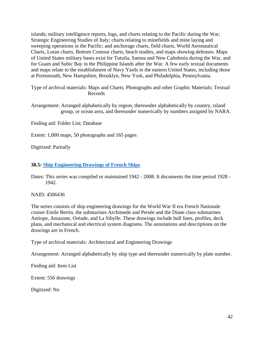islands; military intelligence reports, logs, and charts relating to the Pacific during the War; Strategic Engineering Studies of Italy; charts relating to minefields and mine laying and sweeping operations in the Pacific; and anchorage charts, field charts, World Aeronautical Charts, Loran charts, Bottom Contour charts, beach studies, and maps showing defenses. Maps of United States military bases exist for Tutuila, Samoa and New Caledonia during the War, and for Guam and Subic Bay in the Philippine Islands after the War. A few early textual documents and maps relate to the establishment of Navy Yards in the eastern United States, including those at Portsmouth, New Hampshire, Brooklyn, New York, and Philadelphia, Pennsylvania.

Type of archival materials: Maps and Charts; Photographs and other Graphic Materials; Textual Records

Arrangement: Arranged alphabetically by region, thereunder alphabetically by country, island group, or ocean area, and thereunder numerically by numbers assigned by NARA.

Finding aid: Folder List; Database

Extent: 1,000 maps, 50 photographs and 165 pages

Digitized: Partially

### **38.5: [Ship Engineering Drawings of French Ships](https://catalog.archives.gov/id/4506436)**

Dates: This series was compiled or maintained 1942 - 2008. It documents the time period 1928 - 1942.

NAID: 4506436

The series consists of ship engineering drawings for the World War II era French Nationale cruiser Emile Bertin, the submarines Archimede and Persée and the Diane class submarines Antiope, Amazone, Oréade, and La Sibylle. These drawings include hull lines, profiles, deck plans, and mechanical and electrical system diagrams. The annotations and descriptions on the drawings are in French.

Type of archival materials: Architectural and Engineering Drawings

Arrangement: Arranged alphabetically by ship type and thereunder numerically by plate number.

Finding aid: Item List

Extent: 556 drawings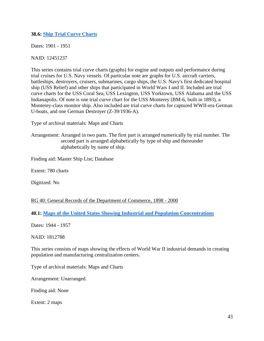**38.6: [Ship Trial Curve Charts](https://catalog.archives.gov/id/12451237)**

Dates: 1901 - 1951

NAID: 12451237

This series contains trial curve charts (graphs) for engine and outputs and performance during trial cruises for U.S. Navy vessels. Of particular note are graphs for U.S. aircraft carriers, battleships, destroyers, cruisers, submarines, cargo ships, the U.S. Navy's first dedicated hospital ship (USS Relief) and other ships that participated in World Wars I and II. Included are trial curve charts for the USS Coral Sea, USS Lexington, USS Yorktown, USS Alabama and the USS Indianapolis. Of note is one trial curve chart for the USS Monterey (BM-6, built in 1893), a Monterey-class monitor ship. Also included are trial curve charts for captured WWII-era German U-boats, and one German Destroyer (Z-39/1936-A).

Type of archival materials: Maps and Charts

Arrangement: Arranged in two parts. The first part is arranged numerically by trial number. The second part is arranged alphabetically by type of ship and thereunder alphabetically by name of ship.

Finding aid: Master Ship List; Database

Extent: 780 charts

Digitized: No

#### RG 40: General Records of the Department of Commerce, 1898 - 2000

**40.1: [Maps of the United States Showing Industrial and Population Concentrations](https://catalog.archives.gov/id/1812788)**

Dates: 1944 - 1957

NAID: 1812788

This series consists of maps showing the effects of World War II industrial demands in creating population and manufacturing centralization centers.

Type of archival materials: Maps and Charts

Arrangement: Unarranged.

Finding aid: None

Extent: 2 maps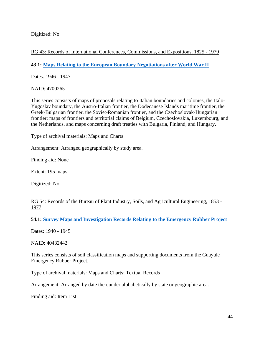Digitized: No

RG 43: Records of International Conferences, Commissions, and Expositions, 1825 - 1979

**43.1: [Maps Relating to the European Boundary Negotiations after World War II](https://catalog.archives.gov/id/4700265)**

Dates: 1946 - 1947

NAID: 4700265

This series consists of maps of proposals relating to Italian boundaries and colonies, the Italo-Yugoslav boundary, the Austro-Italian frontier, the Dodecanese Islands maritime frontier, the Greek-Bulgarian frontier, the Soviet-Romanian frontier, and the Czechoslovak-Hungarian frontier; maps of frontiers and territorial claims of Belgium, Czechoslovakia, Luxembourg, and the Netherlands, and maps concerning draft treaties with Bulgaria, Finland, and Hungary.

Type of archival materials: Maps and Charts

Arrangement: Arranged geographically by study area.

Finding aid: None

Extent: 195 maps

Digitized: No

RG 54: Records of the Bureau of Plant Industry, Soils, and Agricultural Engineering, 1853 -1977

**54.1: [Survey Maps and Investigation Records Relating to the Emergency Rubber Project](https://catalog.archives.gov/id/40432442)**

Dates: 1940 - 1945

NAID: 40432442

This series consists of soil classification maps and supporting documents from the Guayule Emergency Rubber Project.

Type of archival materials: Maps and Charts; Textual Records

Arrangement: Arranged by date thereunder alphabetically by state or geographic area.

Finding aid: Item List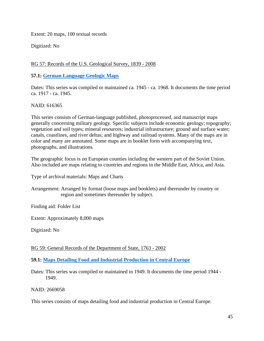Extent: 20 maps, 100 textual records

Digitized: No

# RG 57: Records of the U.S. Geological Survey, 1839 - 2008

### **57.1: [German Language Geologic Maps](https://catalog.archives.gov/id/616365)**

Dates: This series was compiled or maintained ca. 1945 - ca. 1968. It documents the time period ca. 1917 - ca. 1945.

### NAID: 616365

This series consists of German-language published, photoprocessed, and manuscript maps generally concerning military geology. Specific subjects include economic geology; topography; vegetation and soil types; mineral resources; industrial infrastructure; ground and surface water; canals, coastlines, and river deltas; and highway and railroad systems. Many of the maps are in color and many are annotated. Some maps are in booklet form with accompanying text, photographs, and illustrations.

The geographic focus is on European counties including the western part of the Soviet Union. Also included are maps relating to countries and regions in the Middle East, Africa, and Asia.

Type of archival materials: Maps and Charts

Arrangement: Arranged by format (loose maps and booklets) and thereunder by country or region and sometimes thereunder by subject.

Finding aid: Folder List

Extent: Approximately 8,000 maps

Digitized: No

RG 59: General Records of the Department of State, 1763 - 2002

**59.1: [Maps Detailing Food and Industrial Production in Central Europe](https://catalog.archives.gov/id/2669058)**

Dates: This series was compiled or maintained in 1949. It documents the time period 1944 - 1949.

NAID: 2669058

This series consists of maps detailing food and industrial production in Central Europe.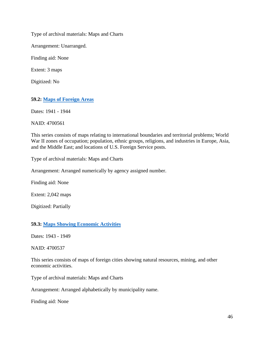Type of archival materials: Maps and Charts

Arrangement: Unarranged.

Finding aid: None

Extent: 3 maps

Digitized: No

**59.2: [Maps of Foreign Areas](https://catalog.archives.gov/id/4700561)**

Dates: 1941 - 1944

NAID: 4700561

This series consists of maps relating to international boundaries and territorial problems; World War II zones of occupation; population, ethnic groups, religions, and industries in Europe, Asia, and the Middle East; and locations of U.S. Foreign Service posts.

Type of archival materials: Maps and Charts

Arrangement: Arranged numerically by agency assigned number.

Finding aid: None

Extent: 2,042 maps

Digitized: Partially

#### **59.3: [Maps Showing Economic Activities](https://catalog.archives.gov/id/4700537)**

Dates: 1943 - 1949

NAID: 4700537

This series consists of maps of foreign cities showing natural resources, mining, and other economic activities.

Type of archival materials: Maps and Charts

Arrangement: Arranged alphabetically by municipality name.

Finding aid: None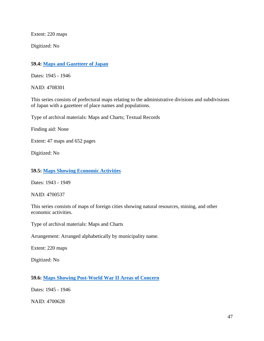Extent: 220 maps

Digitized: No

### **59.4: [Maps and Gazetteer of Japan](https://catalog.archives.gov/id/4708301)**

Dates: 1945 - 1946

NAID: 4708301

This series consists of prefectural maps relating to the administrative divisions and subdivisions of Japan with a gazetteer of place names and populations.

Type of archival materials: Maps and Charts; Textual Records

Finding aid: None

Extent: 47 maps and 652 pages

Digitized: No

#### **59.5: [Maps Showing Economic Activities](https://catalog.archives.gov/id/4700537)**

Dates: 1943 - 1949

NAID: 4700537

This series consists of maps of foreign cities showing natural resources, mining, and other economic activities.

Type of archival materials: Maps and Charts

Arrangement: Arranged alphabetically by municipality name.

Extent: 220 maps

Digitized: No

#### **59.6: [Maps Showing Post-World War II Areas of Concern](https://catalog.archives.gov/id/4700628)**

Dates: 1945 - 1946

NAID: 4700628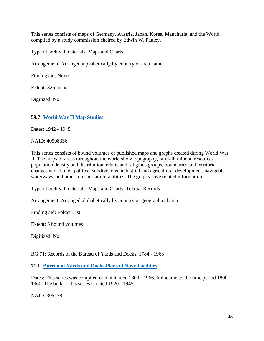This series consists of maps of Germany, Austria, Japan, Korea, Manchuria, and the World compiled by a study commission chaired by Edwin W. Pauley.

Type of archival materials: Maps and Charts

Arrangement: Arranged alphabetically by country or area name.

Finding aid: None

Extent: 326 maps

Digitized: No

### **59.7: [World War II Map Studies](https://catalog.archives.gov/id/40508336)**

Dates: 1942 - 1945

NAID: 40508336

This series consists of bound volumes of published maps and graphs created during World War II. The maps of areas throughout the world show topography, rainfall, mineral resources, population density and distribution, ethnic and religious groups, boundaries and territorial changes and claims, political subdivisions, industrial and agricultural development, navigable waterways, and other transportation facilities. The graphs have related information.

Type of archival materials: Maps and Charts; Textual Records

Arrangement: Arranged alphabetically by country or geographical area

Finding aid: Folder List

Extent: 5 bound volumes

Digitized: No

#### RG 71: Records of the Bureau of Yards and Docks, 1784 - 1963

**71.1: [Bureau of Yards and Docks Plans of Navy Facilities](https://catalog.archives.gov/id/305478)**

Dates: This series was compiled or maintained 1800 - 1966. It documents the time period 1800 - 1960. The bulk of this series is dated 1920 - 1945.

NAID: 305478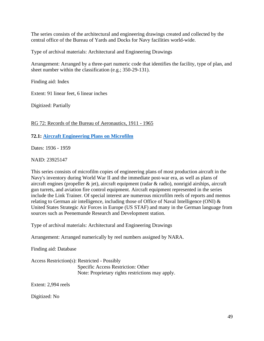The series consists of the architectural and engineering drawings created and collected by the central office of the Bureau of Yards and Docks for Navy facilities world-wide.

Type of archival materials: Architectural and Engineering Drawings

Arrangement: Arranged by a three-part numeric code that identifies the facility, type of plan, and sheet number within the classification (e.g.; 350-29-131).

Finding aid: Index

Extent: 91 linear feet, 6 linear inches

Digitized: Partially

RG 72: Records of the Bureau of Aeronautics, 1911 - 1965

**72.1: [Aircraft Engineering Plans on Microfilm](https://catalog.archives.gov/id/23925147)**

Dates: 1936 - 1959

NAID: 23925147

This series consists of microfilm copies of engineering plans of most production aircraft in the Navy's inventory during World War II and the immediate post-war era, as well as plans of aircraft engines (propeller & jet), aircraft equipment (radar & radio), nonrigid airships, aircraft gun turrets, and aviation fire control equipment. Aircraft equipment represented in the series include the Link Trainer. Of special interest are numerous microfilm reels of reports and memos relating to German air intelligence, including those of Office of Naval Intelligence (ONI) & United States Strategic Air Forces in Europe (US STAF) and many in the German language from sources such as Peenemunde Research and Development station.

Type of archival materials: Architectural and Engineering Drawings

Arrangement: Arranged numerically by reel numbers assigned by NARA.

Finding aid: Database

Access Restriction(s): Restricted - Possibly Specific Access Restriction: Other Note: Proprietary rights restrictions may apply.

Extent: 2,994 reels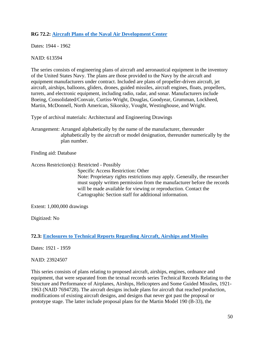# **RG 72.2: [Aircraft Plans of the Naval Air Development Center](https://catalog.archives.gov/id/613594)**

Dates: 1944 - 1962

### NAID: 613594

The series consists of engineering plans of aircraft and aeronautical equipment in the inventory of the United States Navy. The plans are those provided to the Navy by the aircraft and equipment manufacturers under contract. Included are plans of propeller-driven aircraft, jet aircraft, airships, balloons, gliders, drones, guided missiles, aircraft engines, floats, propellers, turrets, and electronic equipment, including radio, radar, and sonar. Manufacturers include Boeing, Consolidated/Convair, Curtiss-Wright, Douglas, Goodyear, Grumman, Lockheed, Martin, McDonnell, North American, Sikorsky, Vought, Westinghouse, and Wright.

Type of archival materials: Architectural and Engineering Drawings

Arrangement: Arranged alphabetically by the name of the manufacturer, thereunder alphabetically by the aircraft or model designation, thereunder numerically by the plan number.

Finding aid: Database

Access Restriction(s): Restricted - Possibly

Specific Access Restriction: Other Note: Proprietary rights restrictions may apply. Generally, the researcher must supply written permission from the manufacturer before the records will be made available for viewing or reproduction. Contact the Cartographic Section staff for additional information.

Extent: 1,000,000 drawings

Digitized: No

## **72.3: [Enclosures to Technical Reports Regarding Aircraft, Airships and Missiles](https://catalog.archives.gov/id/23924507)**

Dates: 1921 - 1959

## NAID: 23924507

This series consists of plans relating to proposed aircraft, airships, engines, ordnance and equipment, that were separated from the textual records series Technical Records Relating to the Structure and Performance of Airplanes, Airships, Helicopters and Some Guided Missiles, 1921- 1963 (NAID 7694728). The aircraft designs include plans for aircraft that reached production, modifications of existing aircraft designs, and designs that never got past the proposal or prototype stage. The latter include proposal plans for the Martin Model 190 (B-33), the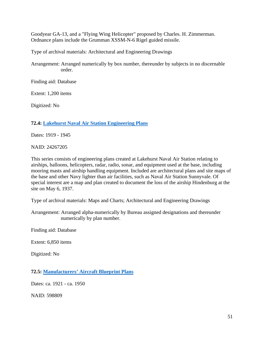Goodyear GA-13, and a "Flying Wing Helicopter" proposed by Charles. H. Zimmerman. Ordnance plans include the Grumman XSSM-N-6 Rigel guided missile.

Type of archival materials: Architectural and Engineering Drawings

Arrangement: Arranged numerically by box number, thereunder by subjects in no discernable order.

Finding aid: Database

Extent: 1,200 items

Digitized: No

#### **72.4: Lakehurst Naval [Air Station Engineering Plans](https://catalog.archives.gov/id/24267205)**

Dates: 1919 - 1945

NAID: 24267205

This series consists of engineering plans created at Lakehurst Naval Air Station relating to airships, balloons, helicopters, radar, radio, sonar, and equipment used at the base, including mooring masts and airship handling equipment. Included are architectural plans and site maps of the base and other Navy lighter than air facilities, such as Naval Air Station Sunnyvale. Of special interest are a map and plan created to document the loss of the airship Hindenburg at the site on May 6, 1937.

Type of archival materials: Maps and Charts; Architectural and Engineering Drawings

Arrangement: Arranged alpha-numerically by Bureau assigned designations and thereunder numerically by plan number.

Finding aid: Database

Extent: 6,850 items

Digitized: No

**72.5: [Manufacturers' Aircraft Blueprint Plans](https://catalog.archives.gov/id/598809)**

Dates: ca. 1921 - ca. 1950

NAID: 598809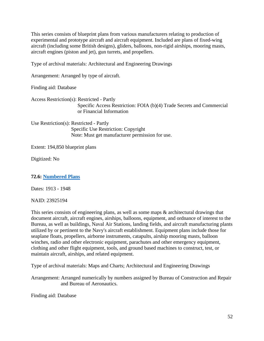This series consists of blueprint plans from various manufacturers relating to production of experimental and prototype aircraft and aircraft equipment. Included are plans of fixed-wing aircraft (including some British designs), gliders, balloons, non-rigid airships, mooring masts, aircraft engines (piston and jet), gun turrets, and propellers.

Type of archival materials: Architectural and Engineering Drawings

Arrangement: Arranged by type of aircraft.

Finding aid: Database

Access Restriction(s): Restricted - Partly Specific Access Restriction: FOIA (b)(4) Trade Secrets and Commercial or Financial Information

Use Restriction(s): Restricted - Partly Specific Use Restriction: Copyright Note: Must get manufacturer permission for use.

Extent: 194,850 blueprint plans

Digitized: No

**72.6: [Numbered Plans](https://catalog.archives.gov/id/23925194)**

Dates: 1913 - 1948

NAID: 23925194

This series consists of engineering plans, as well as some maps & architectural drawings that document aircraft, aircraft engines, airships, balloons, equipment, and ordnance of interest to the Bureau, as well as buildings, Naval Air Stations, landing fields, and aircraft manufacturing plants utilized by or pertinent to the Navy's aircraft establishment. Equipment plans include those for seaplane floats, propellers, airborne instruments, catapults, airship mooring masts, balloon winches, radio and other electronic equipment, parachutes and other emergency equipment, clothing and other flight equipment, tools, and ground based machines to construct, test, or maintain aircraft, airships, and related equipment.

Type of archival materials: Maps and Charts; Architectural and Engineering Drawings

Arrangement: Arranged numerically by numbers assigned by Bureau of Construction and Repair and Bureau of Aeronautics.

Finding aid: Database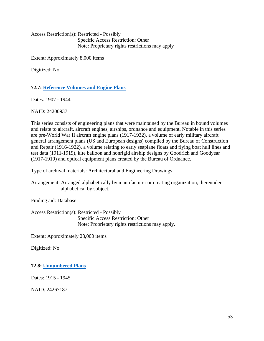Access Restriction(s): Restricted - Possibly Specific Access Restriction: Other Note: Proprietary rights restrictions may apply

Extent: Approximately 8,000 items

Digitized: No

**72.7: [Reference Volumes and Engine Plans](https://catalog.archives.gov/id/24200937)**

Dates: 1907 - 1944

NAID: 24200937

This series consists of engineering plans that were maintained by the Bureau in bound volumes and relate to aircraft, aircraft engines, airships, ordnance and equipment. Notable in this series are pre-World War II aircraft engine plans (1917-1932), a volume of early military aircraft general arrangement plans (US and European designs) compiled by the Bureau of Construction and Repair (1916-1922), a volume relating to early seaplane floats and flying boat hull lines and test data (1911-1919), kite balloon and nonrigid airship designs by Goodrich and Goodyear (1917-1919) and optical equipment plans created by the Bureau of Ordnance.

Type of archival materials: Architectural and Engineering Drawings

Arrangement: Arranged alphabetically by manufacturer or creating organization, thereunder alphabetical by subject.

Finding aid: Database

Access Restriction(s): Restricted - Possibly Specific Access Restriction: Other Note: Proprietary rights restrictions may apply.

Extent: Approximately 23,000 items

Digitized: No

**72.8: [Unnumbered Plans](https://catalog.archives.gov/id/24267187)**

Dates: 1915 - 1945

NAID: 24267187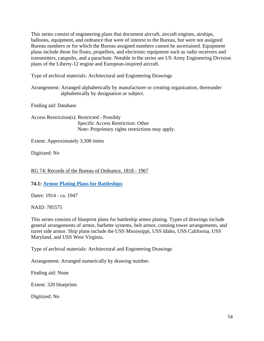This series consist of engineering plans that document aircraft, aircraft engines, airships, balloons, equipment, and ordnance that were of interest to the Bureau, but were not assigned Bureau numbers or for which the Bureau assigned numbers cannot be ascertained. Equipment plans include those for floats, propellers, and electronic equipment such as radio receivers and transmitters, catapults, and a parachute. Notable in the series are US Army Engineering Division plans of the Liberty-12 engine and European-inspired aircraft.

Type of archival materials: Architectural and Engineering Drawings

Arrangement: Arranged alphabetically by manufacturer or creating organization, thereunder alphabetically by designation or subject.

Finding aid: Database

Access Restriction(s): Restricted - Possibly Specific Access Restriction: Other Note: Proprietary rights restrictions may apply.

Extent: Approximately 3,300 items

Digitized: No

RG 74: Records of the Bureau of Ordnance, 1818 - 1967

**74.1: Armor [Plating Plans for Battleships](https://catalog.archives.gov/id/785575)**

Dates: 1914 - ca. 1947

NAID: 785575

This series consists of blueprint plans for battleship armor plating. Types of drawings include general arrangements of armor, barbette systems, belt armor, conning tower arrangements, and turret side armor. Ship plans include the USS Mississippi, USS Idaho, USS California, USS Maryland, and USS West Virginia.

Type of archival materials: Architectural and Engineering Drawings

Arrangement: Arranged numerically by drawing number.

Finding aid: None

Extent: 320 blueprints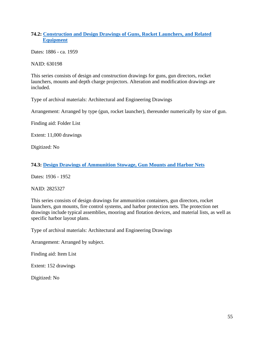# **74.2: [Construction and Design Drawings of Guns, Rocket Launchers, and Related](https://catalog.archives.gov/id/630198)  [Equipment](https://catalog.archives.gov/id/630198)**

Dates: 1886 - ca. 1959

NAID: 630198

This series consists of design and construction drawings for guns, gun directors, rocket launchers, mounts and depth charge projectors. Alteration and modification drawings are included.

Type of archival materials: Architectural and Engineering Drawings

Arrangement: Arranged by type (gun, rocket launcher), thereunder numerically by size of gun.

Finding aid: Folder List

Extent: 11,000 drawings

Digitized: No

#### **74.3: [Design Drawings of Ammunition Stowage, Gun Mounts and Harbor Nets](https://catalog.archives.gov/id/2825327)**

Dates: 1936 - 1952

NAID: 2825327

This series consists of design drawings for ammunition containers, gun directors, rocket launchers, gun mounts, fire control systems, and harbor protection nets. The protection net drawings include typical assemblies, mooring and flotation devices, and material lists, as well as specific harbor layout plans.

Type of archival materials: Architectural and Engineering Drawings

Arrangement: Arranged by subject.

Finding aid: Item List

Extent: 152 drawings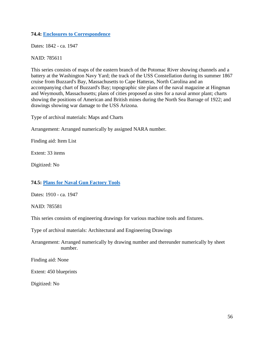### **74.4: [Enclosures to Correspondence](https://catalog.archives.gov/id/785611)**

Dates: 1842 - ca. 1947

NAID: 785611

This series consists of maps of the eastern branch of the Potomac River showing channels and a battery at the Washington Navy Yard; the track of the USS Constellation during its summer 1867 cruise from Buzzard's Bay, Massachusetts to Cape Hatteras, North Carolina and an accompanying chart of Buzzard's Bay; topographic site plans of the naval magazine at Hingman and Weymouth, Massachusetts; plans of cities proposed as sites for a naval armor plant; charts showing the positions of American and British mines during the North Sea Barrage of 1922; and drawings showing war damage to the USS Arizona.

Type of archival materials: Maps and Charts

Arrangement: Arranged numerically by assigned NARA number.

Finding aid: Item List

Extent: 33 items

Digitized: No

#### **74.5: [Plans for Naval Gun Factory Tools](https://catalog.archives.gov/id/785581)**

Dates: 1910 - ca. 1947

NAID: 785581

This series consists of engineering drawings for various machine tools and fixtures.

Type of archival materials: Architectural and Engineering Drawings

Arrangement: Arranged numerically by drawing number and thereunder numerically by sheet number.

Finding aid: None

Extent: 450 blueprints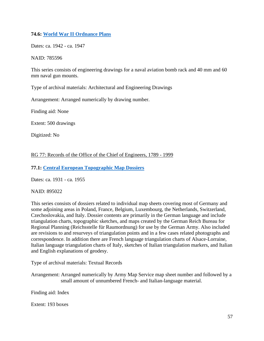# **74.6: [World War II Ordnance Plans](https://catalog.archives.gov/id/785596)**

Dates: ca. 1942 - ca. 1947

### NAID: 785596

This series consists of engineering drawings for a naval aviation bomb rack and 40 mm and 60 mm naval gun mounts.

Type of archival materials: Architectural and Engineering Drawings

Arrangement: Arranged numerically by drawing number.

Finding aid: None

Extent: 500 drawings

Digitized: No

## RG 77: Records of the Office of the Chief of Engineers, 1789 - 1999

### **77.1: [Central European Topographic Map Dossiers](https://catalog.archives.gov/id/895022)**

Dates: ca. 1931 - ca. 1955

#### NAID: 895022

This series consists of dossiers related to individual map sheets covering most of Germany and some adjoining areas in Poland, France, Belgium, Luxembourg, the Netherlands, Switzerland, Czechoslovakia, and Italy. Dossier contents are primarily in the German language and include triangulation charts, topographic sketches, and maps created by the German Reich Bureau for Regional Planning (Reichsstelle für Raumordnung) for use by the German Army. Also included are revisions to and resurveys of triangulation points and in a few cases related photographs and correspondence. In addition there are French language triangulation charts of Alsace-Lorraine, Italian language triangulation charts of Italy, sketches of Italian triangulation markers, and Italian and English explanations of geodesy.

Type of archival materials: Textual Records

Arrangement: Arranged numerically by Army Map Service map sheet number and followed by a small amount of unnumbered French- and Italian-language material.

Finding aid: Index

Extent: 193 boxes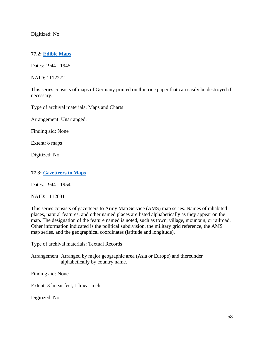Digitized: No

# **77.2: [Edible Maps](https://catalog.archives.gov/id/1112272)**

Dates: 1944 - 1945

NAID: 1112272

This series consists of maps of Germany printed on thin rice paper that can easily be destroyed if necessary.

Type of archival materials: Maps and Charts

Arrangement: Unarranged.

Finding aid: None

Extent: 8 maps

Digitized: No

#### **77.3: Gazetteers to Maps**

Dates: 1944 - 1954

NAID: 1112031

This series consists of gazetteers to Army Map Service (AMS) map series. Names of inhabited places, natural features, and other named places are listed alphabetically as they appear on the map. The designation of the feature named is noted, such as town, village, mountain, or railroad. Other information indicated is the political subdivision, the military grid reference, the AMS map series, and the geographical coordinates (latitude and longitude).

Type of archival materials: Textual Records

Arrangement: Arranged by major geographic area (Asia or Europe) and thereunder alphabetically by country name.

Finding aid: None

Extent: 3 linear feet, 1 linear inch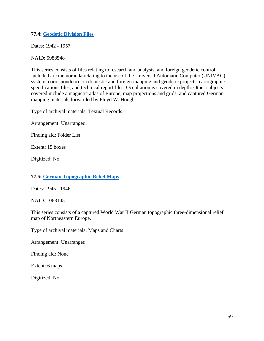## **77.4: [Geodetic Division Files](https://catalog.archives.gov/id/5988548)**

Dates: 1942 - 1957

NAID: 5988548

This series consists of files relating to research and analysis, and foreign geodetic control. Included are memoranda relating to the use of the Universal Automatic Computer (UNIVAC) system, correspondence on domestic and foreign mapping and geodetic projects, cartographic specifications files, and technical report files. Occultation is covered in depth. Other subjects covered include a magnetic atlas of Europe, map projections and grids, and captured German mapping materials forwarded by Floyd W. Hough.

Type of archival materials: Textual Records

Arrangement: Unarranged.

Finding aid: Folder List

Extent: 15 boxes

Digitized: No

## **77.5: [German Topographic Relief Maps](https://catalog.archives.gov/id/1068145)**

Dates: 1945 - 1946

NAID: 1068145

This series consists of a captured World War II German topographic three-dimensional relief map of Northeastern Europe.

Type of archival materials: Maps and Charts

Arrangement: Unarranged.

Finding aid: None

Extent: 6 maps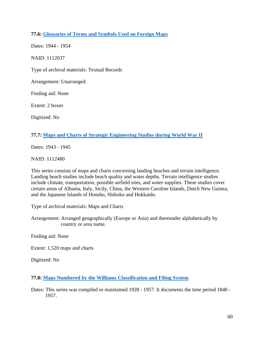# **77.6: [Glossaries of Terms and Symbols Used on Foreign Maps](https://catalog.archives.gov/id/1112037)**

Dates: 1944 - 1954 NAID: 1112037 Type of archival materials: Textual Records Arrangement: Unarranged. Finding aid: None Extent: 2 boxes Digitized: No

## **77.7: [Maps and Charts of Strategic Engineering Studies during World War II](https://catalog.archives.gov/id/1112480)**

Dates: 1943 - 1945

NAID: 1112480

This series consists of maps and charts concerning landing beaches and terrain intelligence. Landing beach studies include beach quality and water depths. Terrain intelligence studies include climate, transportation, possible airfield sites, and water supplies. These studies cover certain areas of Albania, Italy, Sicily, China, the Western Caroline Islands, Dutch New Guinea, and the Japanese Islands of Honshu, Shikoku and Hokkaido.

Type of archival materials: Maps and Charts

Arrangement: Arranged geographically (Europe or Asia) and thereunder alphabetically by country or area name.

Finding aid: None

Extent: 1,520 maps and charts

Digitized: No

**77.8: [Maps Numbered by the Williams Classification and Filing System](https://catalog.archives.gov/id/589230)**

Dates: This series was compiled or maintained 1928 - 1957. It documents the time period 1840 - 1957.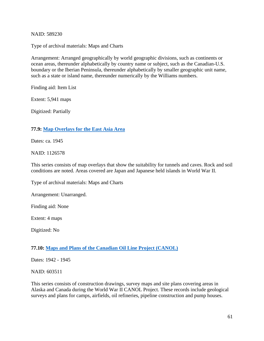NAID: 589230

Type of archival materials: Maps and Charts

Arrangement: Arranged geographically by world geographic divisions, such as continents or ocean areas, thereunder alphabetically by country name or subject, such as the Canadian-U.S. boundary or the Iberian Peninsula, thereunder alphabetically by smaller geographic unit name, such as a state or island name, thereunder numerically by the Williams numbers.

Finding aid: Item List

Extent: 5,941 maps

Digitized: Partially

#### **77.9: [Map Overlays for the East Asia Area](https://catalog.archives.gov/id/1126578)**

Dates: ca. 1945

#### NAID: 1126578

This series consists of map overlays that show the suitability for tunnels and caves. Rock and soil conditions are noted. Areas covered are Japan and Japanese held islands in World War II.

Type of archival materials: Maps and Charts

Arrangement: Unarranged.

Finding aid: None

Extent: 4 maps

Digitized: No

## **77.10: [Maps and Plans of the Canadian Oil Line Project \(CANOL\)](https://catalog.archives.gov/id/603511)**

Dates: 1942 - 1945

NAID: 603511

This series consists of construction drawings, survey maps and site plans covering areas in Alaska and Canada during the World War II CANOL Project. These records include geological surveys and plans for camps, airfields, oil refineries, pipeline construction and pump houses.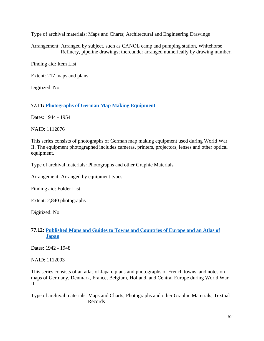Type of archival materials: Maps and Charts; Architectural and Engineering Drawings

Arrangement: Arranged by subject, such as CANOL camp and pumping station, Whitehorse Refinery, pipeline drawings; thereunder arranged numerically by drawing number.

Finding aid: Item List

Extent: 217 maps and plans

Digitized: No

**77.11: [Photographs of German Map Making Equipment](https://catalog.archives.gov/id/1112076)**

Dates: 1944 - 1954

NAID: 1112076

This series consists of photographs of German map making equipment used during World War II. The equipment photographed includes cameras, printers, projectors, lenses and other optical equipment.

Type of archival materials: Photographs and other Graphic Materials

Arrangement: Arranged by equipment types.

Finding aid: Folder List

Extent: 2,840 photographs

Digitized: No

### **77.12: [Published Maps and Guides to Towns and Countries of Europe and an Atlas of](https://catalog.archives.gov/id/1112093)  [Japan](https://catalog.archives.gov/id/1112093)**

Dates: 1942 - 1948

NAID: 1112093

This series consists of an atlas of Japan, plans and photographs of French towns, and notes on maps of Germany, Denmark, France, Belgium, Holland, and Central Europe during World War II.

Type of archival materials: Maps and Charts; Photographs and other Graphic Materials; Textual Records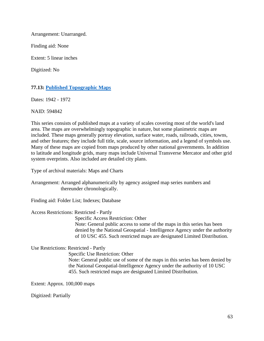Arrangement: Unarranged.

Finding aid: None

Extent: 5 linear inches

Digitized: No

# **77.13: [Published Topographic Maps](https://catalog.archives.gov/id/594842)**

Dates: 1942 - 1972

NAID: 594842

This series consists of published maps at a variety of scales covering most of the world's land area. The maps are overwhelmingly topographic in nature, but some planimetric maps are included. These maps generally portray elevation, surface water, roads, railroads, cities, towns, and other features; they include full title, scale, source information, and a legend of symbols use. Many of these maps are copied from maps produced by other national governments. In addition to latitude and longitude grids, many maps include Universal Transverse Mercator and other grid system overprints. Also included are detailed city plans.

Type of archival materials: Maps and Charts

Arrangement: Arranged alphanumerically by agency assigned map series numbers and thereunder chronologically.

Finding aid: Folder List; Indexes; Database

#### Access Restrictions: Restricted - Partly

Specific Access Restriction: Other

 Note: General public access to some of the maps in this series has been denied by the National Geospatial - Intelligence Agency under the authority of 10 USC 455. Such restricted maps are designated Limited Distribution.

Use Restrictions: Restricted - Partly

Specific Use Restriction: Other

 Note: General public use of some of the maps in this series has been denied by the National Geospatial-Intelligence Agency under the authority of 10 USC 455. Such restricted maps are designated Limited Distribution.

Extent: Approx. 100,000 maps

Digitized: Partially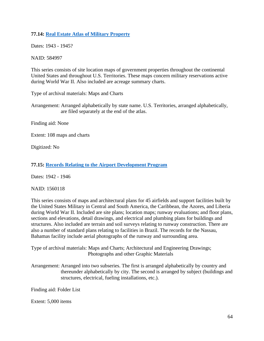# **77.14: [Real Estate Atlas of Military Property](https://catalog.archives.gov/id/584997)**

Dates: 1943 - 1945?

NAID: 584997

This series consists of site location maps of government properties throughout the continental United States and throughout U.S. Territories. These maps concern military reservations active during World War II. Also included are acreage summary charts.

Type of archival materials: Maps and Charts

Arrangement: Arranged alphabetically by state name. U.S. Territories, arranged alphabetically, are filed separately at the end of the atlas.

Finding aid: None

Extent: 108 maps and charts

Digitized: No

### **77.15: [Records Relating to the Airport Development Program](https://catalog.archives.gov/id/1560118)**

Dates: 1942 - 1946

NAID: 1560118

This series consists of maps and architectural plans for 45 airfields and support facilities built by the United States Military in Central and South America, the Caribbean, the Azores, and Liberia during World War II. Included are site plans; location maps; runway evaluations; and floor plans, sections and elevations, detail drawings, and electrical and plumbing plans for buildings and structures. Also included are terrain and soil surveys relating to runway construction. There are also a number of standard plans relating to facilities in Brazil. The records for the Nassau, Bahamas facility include aerial photographs of the runway and surrounding area.

Type of archival materials: Maps and Charts; Architectural and Engineering Drawings; Photographs and other Graphic Materials

Arrangement: Arranged into two subseries. The first is arranged alphabetically by country and thereunder alphabetically by city. The second is arranged by subject (buildings and structures, electrical, fueling installations, etc.).

Finding aid: Folder List

Extent: 5,000 items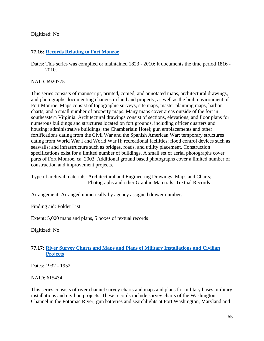### Digitized: No

## **77.16: [Records Relating to Fort Monroe](https://catalog.archives.gov/id/6920775)**

Dates: This series was compiled or maintained 1823 - 2010: It documents the time period 1816 - 2010.

### NAID: 6920775

This series consists of manuscript, printed, copied, and annotated maps, architectural drawings, and photographs documenting changes in land and property, as well as the built environment of Fort Monroe. Maps consist of topographic surveys, site maps, master planning maps, harbor charts, and a small number of property maps. Many maps cover areas outside of the fort in southeastern Virginia. Architectural drawings consist of sections, elevations, and floor plans for numerous buildings and structures located on fort grounds, including officer quarters and housing; administrative buildings; the Chamberlain Hotel; gun emplacements and other fortifications dating from the Civil War and the Spanish American War; temporary structures dating from World War I and World War II; recreational facilities; flood control devices such as seawalls; and infrastructure such as bridges, roads, and utility placement. Construction specifications exist for a limited number of buildings. A small set of aerial photographs cover parts of Fort Monroe, ca. 2003. Additional ground based photographs cover a limited number of construction and improvement projects.

Type of archival materials: Architectural and Engineering Drawings; Maps and Charts; Photographs and other Graphic Materials; Textual Records

Arrangement: Arranged numerically by agency assigned drawer number.

Finding aid: Folder List

Extent: 5,000 maps and plans, 5 boxes of textual records

Digitized: No

# **77.17: [River Survey Charts and Maps and Plans of Military Installations and Civilian](https://catalog.archives.gov/id/615434)  [Projects](https://catalog.archives.gov/id/615434)**

Dates: 1932 - 1952

NAID: 615434

This series consists of river channel survey charts and maps and plans for military bases, military installations and civilian projects. These records include survey charts of the Washington Channel in the Potomac River; gun batteries and searchlights at Fort Washington, Maryland and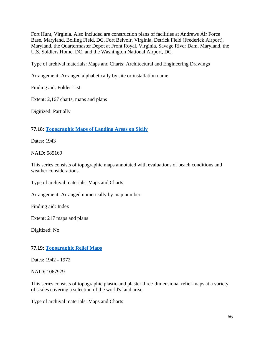Fort Hunt, Virginia. Also included are construction plans of facilities at Andrews Air Force Base, Maryland, Bolling Field, DC, Fort Belvoir, Virginia, Detrick Field (Frederick Airport), Maryland, the Quartermaster Depot at Front Royal, Virginia, Savage River Dam, Maryland, the U.S. Soldiers Home, DC, and the Washington National Airport, DC.

Type of archival materials: Maps and Charts; Architectural and Engineering Drawings

Arrangement: Arranged alphabetically by site or installation name.

Finding aid: Folder List

Extent: 2,167 charts, maps and plans

Digitized: Partially

## **77.18: [Topographic Maps of Landing Areas on Sicily](https://catalog.archives.gov/id/585169)**

Dates: 1943

NAID: 585169

This series consists of topographic maps annotated with evaluations of beach conditions and weather considerations.

Type of archival materials: Maps and Charts

Arrangement: Arranged numerically by map number.

Finding aid: Index

Extent: 217 maps and plans

Digitized: No

## **77.19: [Topographic Relief Maps](https://catalog.archives.gov/id/1067979)**

Dates: 1942 - 1972

NAID: 1067979

This series consists of topographic plastic and plaster three-dimensional relief maps at a variety of scales covering a selection of the world's land area.

Type of archival materials: Maps and Charts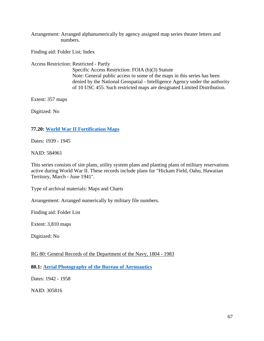Arrangement: Arranged alphanumerically by agency assigned map series theater letters and numbers.

Finding aid: Folder List; Index

Access Restriction: Restricted - Partly

 Specific Access Restriction: FOIA (b)(3) Statute Note: General public access to some of the maps in this series has been denied by the National Geospatial - Intelligence Agency under the authority of 10 USC 455. Such restricted maps are designated Limited Distribution.

Extent: 357 maps

Digitized: No

### **77.20: [World War II Fortification Maps](https://catalog.archives.gov/id/584961)**

Dates: 1939 - 1945

NAID: 584961

This series consists of site plans, utility system plans and planting plans of military reservations active during World War II. These records include plans for "Hickam Field, Oahu, Hawaiian Territory, March - June 1941".

Type of archival materials: Maps and Charts

Arrangement: Arranged numerically by military file numbers.

Finding aid: Folder List

Extent: 3,810 maps

Digitized: No

RG 80: General Records of the Department of the Navy, 1804 - 1983

**80.1: [Aerial Photography of the Bureau of Aeronautics](https://catalog.archives.gov/id/305816)**

Dates: 1942 - 1958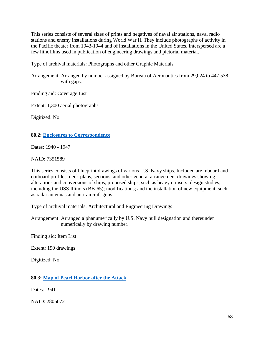This series consists of several sizes of prints and negatives of naval air stations, naval radio stations and enemy installations during World War II. They include photographs of activity in the Pacific theater from 1943-1944 and of installations in the United States. Interspersed are a few lithofilms used in publication of engineering drawings and pictorial material.

Type of archival materials: Photographs and other Graphic Materials

Arrangement: Arranged by number assigned by Bureau of Aeronautics from 29,024 to 447,538 with gaps.

Finding aid: Coverage List

Extent: 1,300 aerial photographs

Digitized: No

#### **80.2: [Enclosures to Correspondence](https://catalog.archives.gov/id/7351589)**

Dates: 1940 - 1947

NAID: 7351589

This series consists of blueprint drawings of various U.S. Navy ships. Included are inboard and outboard profiles, deck plans, sections, and other general arrangement drawings showing alterations and conversions of ships; proposed ships, such as heavy cruisers; design studies, including the USS Illinois (BB-65); modifications; and the installation of new equipment, such as radar antennas and anti-aircraft guns.

Type of archival materials: Architectural and Engineering Drawings

Arrangement: Arranged alphanumerically by U.S. Navy hull designation and thereunder numerically by drawing number.

Finding aid: Item List

Extent: 190 drawings

Digitized: No

#### **80.3: [Map of Pearl Harbor after the Attack](https://catalog.archives.gov/id/2806072)**

Dates: 1941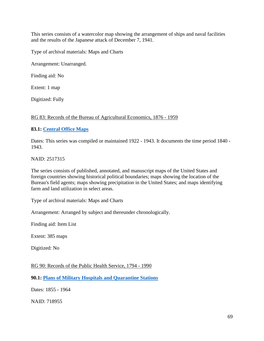This series consists of a watercolor map showing the arrangement of ships and naval facilities and the results of the Japanese attack of December 7, 1941.

Type of archival materials: Maps and Charts

Arrangement: Unarranged.

Finding aid: No

Extent: 1 map

Digitized: Fully

### RG 83: Records of the Bureau of Agricultural Economics, 1876 - 1959

### **83.1: [Central Office Maps](https://catalog.archives.gov/id/2517315)**

Dates: This series was compiled or maintained 1922 - 1943. It documents the time period 1840 - 1943.

NAID: 2517315

The series consists of published, annotated, and manuscript maps of the United States and foreign countries showing historical political boundaries; maps showing the location of the Bureau's field agents; maps showing precipitation in the United States; and maps identifying farm and land utilization in select areas.

Type of archival materials: Maps and Charts

Arrangement: Arranged by subject and thereunder chronologically.

Finding aid: Item List

Extent: 385 maps

Digitized: No

RG 90: Records of the Public Health Service, 1794 - 1990

**90.1: [Plans of Military Hospitals and Quarantine Stations](https://catalog.archives.gov/id/718955)**

Dates: 1855 - 1964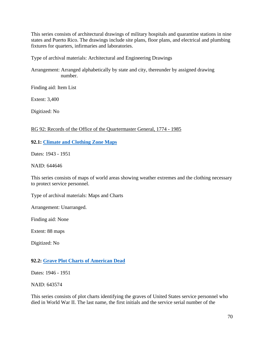This series consists of architectural drawings of military hospitals and quarantine stations in nine states and Puerto Rico. The drawings include site plans, floor plans, and electrical and plumbing fixtures for quarters, infirmaries and laboratories.

Type of archival materials: Architectural and Engineering Drawings

Arrangement: Arranged alphabetically by state and city, thereunder by assigned drawing number.

Finding aid: Item List

Extent: 3,400

Digitized: No

### RG 92: Records of the Office of the Quartermaster General, 1774 - 1985

### **92.1: [Climate and Clothing Zone Maps](https://catalog.archives.gov/id/644646)**

Dates: 1943 - 1951

NAID: 644646

This series consists of maps of world areas showing weather extremes and the clothing necessary to protect service personnel.

Type of archival materials: Maps and Charts

Arrangement: Unarranged.

Finding aid: None

Extent: 88 maps

Digitized: No

## **92.2: [Grave Plot Charts of American Dead](https://catalog.archives.gov/id/643574)**

Dates: 1946 - 1951

NAID: 643574

This series consists of plot charts identifying the graves of United States service personnel who died in World War II. The last name, the first initials and the service serial number of the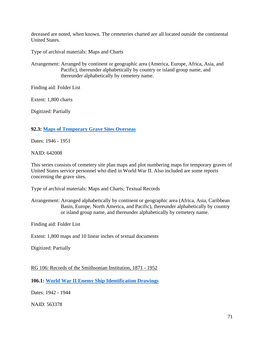deceased are noted, when known. The cemeteries charted are all located outside the continental United States.

Type of archival materials: Maps and Charts

Arrangement: Arranged by continent or geographic area (America, Europe, Africa, Asia, and Pacific), thereunder alphabetically by country or island group name, and thereunder alphabetically by cemetery name.

Finding aid: Folder List

Extent: 1,800 charts

Digitized: Partially

#### **92.3: [Maps of Temporary Grave Sites Overseas](https://catalog.archives.gov/id/642008)**

Dates: 1946 - 1951

NAID: 642008

This series consists of cemetery site plan maps and plot numbering maps for temporary graves of United States service personnel who died in World War II. Also included are some reports concerning the grave sites.

Type of archival materials: Maps and Charts; Textual Records

Arrangement: Arranged alphabetically by continent or geographic area (Africa, Asia, Caribbean Basin, Europe, North America, and Pacific), thereunder alphabetically by country or island group name, and thereunder alphabetically by cemetery name.

Finding aid: Folder List

Extent: 1,800 maps and 10 linear inches of textual documents

Digitized: Partially

RG 106: Records of the Smithsonian Institution, 1871 - 1952

**106.1: [World War II Enemy Ship Identification Drawings](https://catalog.archives.gov/id/563378)**

Dates: 1942 - 1944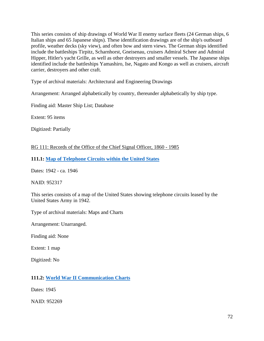This series consists of ship drawings of World War II enemy surface fleets (24 German ships, 6 Italian ships and 65 Japanese ships). These identification drawings are of the ship's outboard profile, weather decks (sky view), and often bow and stern views. The German ships identified include the battleships Tirpitz, Scharnhorst, Gneisenau, cruisers Admiral Scheer and Admiral Hipper, Hitler's yacht Grille, as well as other destroyers and smaller vessels. The Japanese ships identified include the battleships Yamashiro, Ise, Nagato and Kongo as well as cruisers, aircraft carrier, destroyers and other craft.

Type of archival materials: Architectural and Engineering Drawings

Arrangement: Arranged alphabetically by country, thereunder alphabetically by ship type.

Finding aid: Master Ship List; Database

Extent: 95 items

Digitized: Partially

RG 111: Records of the Office of the Chief Signal Officer, 1860 - 1985

**111.1: [Map of Telephone Circuits within the United States](https://catalog.archives.gov/id/952317)**

Dates: 1942 - ca. 1946

NAID: 952317

This series consists of a map of the United States showing telephone circuits leased by the United States Army in 1942.

Type of archival materials: Maps and Charts

Arrangement: Unarranged.

Finding aid: None

Extent: 1 map

Digitized: No

## **111.2: [World War II Communication Charts](https://catalog.archives.gov/id/952269)**

Dates: 1945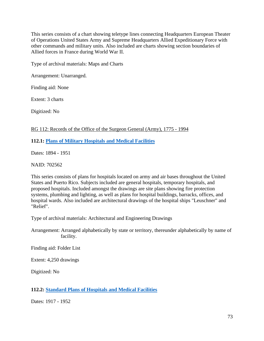This series consists of a chart showing teletype lines connecting Headquarters European Theater of Operations United States Army and Supreme Headquarters Allied Expeditionary Force with other commands and military units. Also included are charts showing section boundaries of Allied forces in France during World War II.

Type of archival materials: Maps and Charts

Arrangement: Unarranged.

Finding aid: None

Extent: 3 charts

Digitized: No

## RG 112: Records of the Office of the Surgeon General (Army), 1775 - 1994

### **112.1: [Plans of Military Hospitals and Medical Facilities](https://catalog.archives.gov/id/702562)**

Dates: 1894 - 1951

NAID: 702562

This series consists of plans for hospitals located on army and air bases throughout the United States and Puerto Rico. Subjects included are general hospitals, temporary hospitals, and proposed hospitals. Included amongst the drawings are site plans showing fire protection systems, plumbing and lighting, as well as plans for hospital buildings, barracks, offices, and hospital wards. Also included are architectural drawings of the hospital ships "Leuschner" and "Relief".

Type of archival materials: Architectural and Engineering Drawings

Arrangement: Arranged alphabetically by state or territory, thereunder alphabetically by name of facility.

Finding aid: Folder List

Extent: 4,250 drawings

Digitized: No

## **112.2: [Standard Plans of Hospitals and Medical Facilities](https://catalog.archives.gov/id/710818)**

Dates: 1917 - 1952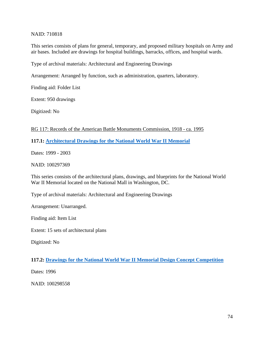### NAID: 710818

This series consists of plans for general, temporary, and proposed military hospitals on Army and air bases. Included are drawings for hospital buildings, barracks, offices, and hospital wards.

Type of archival materials: Architectural and Engineering Drawings

Arrangement: Arranged by function, such as administration, quarters, laboratory.

Finding aid: Folder List

Extent: 950 drawings

Digitized: No

### RG 117: Records of the American Battle Monuments Commission, 1918 - ca. 1995

### **117.1: [Architectural Drawings for the National World War II Memorial](https://catalog.archives.gov/id/100297369)**

Dates: 1999 - 2003

NAID: 100297369

This series consists of the architectural plans, drawings, and blueprints for the National World War II Memorial located on the National Mall in Washington, DC.

Type of archival materials: Architectural and Engineering Drawings

Arrangement: Unarranged.

Finding aid: Item List

Extent: 15 sets of architectural plans

Digitized: No

## **117.2: [Drawings for the National World War II Memorial Design Concept Competition](https://catalog.archives.gov/id/100298558)**

Dates: 1996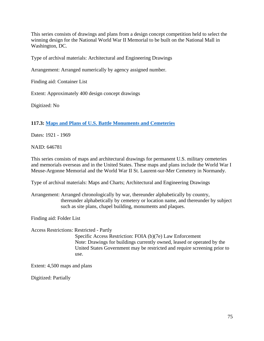This series consists of drawings and plans from a design concept competition held to select the winning design for the National World War II Memorial to be built on the National Mall in Washington, DC.

Type of archival materials: Architectural and Engineering Drawings

Arrangement: Arranged numerically by agency assigned number.

Finding aid: Container List

Extent: Approximately 400 design concept drawings

Digitized: No

**117.3: [Maps and Plans of U.S. Battle Monuments and Cemeteries](https://catalog.archives.gov/id/646781)**

Dates: 1921 - 1969

NAID: 646781

This series consists of maps and architectural drawings for permanent U.S. military cemeteries and memorials overseas and in the United States. These maps and plans include the World War I Meuse-Argonne Memorial and the World War II St. Laurent-sur-Mer Cemetery in Normandy.

Type of archival materials: Maps and Charts; Architectural and Engineering Drawings

Arrangement: Arranged chronologically by war, thereunder alphabetically by country, thereunder alphabetically by cemetery or location name, and thereunder by subject such as site plans, chapel building, monuments and plaques.

Finding aid: Folder List

Access Restrictions: Restricted - Partly

 Specific Access Restriction: FOIA (b)(7e) Law Enforcement Note: Drawings for buildings currently owned, leased or operated by the United States Government may be restricted and require screening prior to use.

Extent: 4,500 maps and plans

Digitized: Partially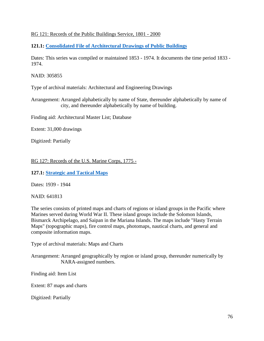## RG 121: Records of the Public Buildings Service, 1801 - 2000

**121.1: Consolidated File of Architectural Drawings of Public Buildings**

Dates: This series was compiled or maintained 1853 - 1974. It documents the time period 1833 - 1974.

NAID: 305855

Type of archival materials: Architectural and Engineering Drawings

Arrangement: Arranged alphabetically by name of State, thereunder alphabetically by name of city, and thereunder alphabetically by name of building.

Finding aid: Architectural Master List; Database

Extent: 31,000 drawings

Digitized: Partially

RG 127: Records of the U.S. Marine Corps, 1775 -

**127.1: [Strategic and Tactical Maps](https://catalog.archives.gov/id/641813)**

Dates: 1939 - 1944

NAID: 641813

The series consists of printed maps and charts of regions or island groups in the Pacific where Marines served during World War II. These island groups include the Solomon Islands, Bismarck Archipelago, and Saipan in the Mariana Islands. The maps include "Hasty Terrain Maps" (topographic maps), fire control maps, photomaps, nautical charts, and general and composite information maps.

Type of archival materials: Maps and Charts

Arrangement: Arranged geographically by region or island group, thereunder numerically by NARA-assigned numbers.

Finding aid: Item List

Extent: 87 maps and charts

Digitized: Partially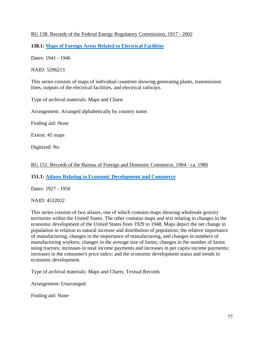## RG 138: Records of the Federal Energy Regulatory Commission, 1917 - 2002

**138.1: [Maps of Foreign Areas Related to Electrical Facilities](https://catalog.archives.gov/id/5296213)**

Dates: 1941 - 1946

NAID: 5296213

This series consists of maps of individual countries showing generating plants, transmission lines, outputs of the electrical facilities, and electrical railways.

Type of archival materials: Maps and Charts

Arrangement: Arranged alphabetically by country name.

Finding aid: None

Extent: 45 maps

Digitized: No

RG 151: Records of the Bureau of Foreign and Domestic Commerce, 1904 - ca. 1980

**151.1: [Atlases Relating to Economic Development and Commerce](https://catalog.archives.gov/id/4532022)**

Dates: 1927 - 1950

NAID: 4532022

This series consists of two atlases, one of which contains maps showing wholesale grocery territories within the United States. The other contains maps and text relating to changes in the economic development of the United States from 1929 to 1948. Maps depict the net change in population in relation to natural increase and distribution of population; the relative importance of manufacturing, changes in the importance of manufacturing, and changes in numbers of manufacturing workers; changes in the average size of farms; changes in the number of farms using tractors; increases in total income payments and increases in per capita income payments; increases in the consumer's price index; and the economic development status and trends in economic development.

Type of archival materials: Maps and Charts; Textual Records

Arrangement: Unarranged.

Finding aid: None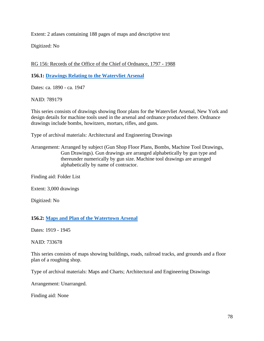Extent: 2 atlases containing 188 pages of maps and descriptive text

Digitized: No

RG 156: Records of the Office of the Chief of Ordnance, 1797 - 1988

**156.1: [Drawings Relating to the Watervliet Arsenal](https://catalog.archives.gov/id/789179)**

Dates: ca. 1890 - ca. 1947

NAID: 789179

This series consists of drawings showing floor plans for the Watervliet Arsenal, New York and design details for machine tools used in the arsenal and ordnance produced there. Ordnance drawings include bombs, howitzers, mortars, rifles, and guns.

Type of archival materials: Architectural and Engineering Drawings

Arrangement: Arranged by subject (Gun Shop Floor Plans, Bombs, Machine Tool Drawings, Gun Drawings). Gun drawings are arranged alphabetically by gun type and thereunder numerically by gun size. Machine tool drawings are arranged alphabetically by name of contractor.

Finding aid: Folder List

Extent: 3,000 drawings

Digitized: No

#### **156.2: [Maps and Plan of the Watertown Arsenal](https://catalog.archives.gov/id/733678)**

Dates: 1919 - 1945

NAID: 733678

This series consists of maps showing buildings, roads, railroad tracks, and grounds and a floor plan of a roughing shop.

Type of archival materials: Maps and Charts; Architectural and Engineering Drawings

Arrangement: Unarranged.

Finding aid: None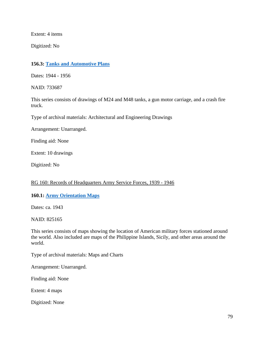Extent: 4 items

Digitized: No

### **156.3: [Tanks and Automotive Plans](https://catalog.archives.gov/id/733687)**

Dates: 1944 - 1956

NAID: 733687

This series consists of drawings of M24 and M48 tanks, a gun motor carriage, and a crash fire truck.

Type of archival materials: Architectural and Engineering Drawings

Arrangement: Unarranged.

Finding aid: None

Extent: 10 drawings

Digitized: No

#### RG 160: Records of Headquarters Army Service Forces, 1939 - 1946

#### **160.1: [Army Orientation Maps](https://catalog.archives.gov/id/825165)**

Dates: ca. 1943

NAID: 825165

This series consists of maps showing the location of American military forces stationed around the world. Also included are maps of the Philippine Islands, Sicily, and other areas around the world.

Type of archival materials: Maps and Charts

Arrangement: Unarranged.

Finding aid: None

Extent: 4 maps

Digitized: None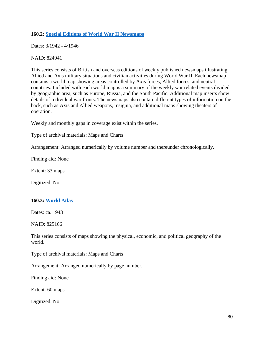### **160.2: [Special Editions of World War II Newsmaps](https://catalog.archives.gov/id/824941)**

Dates: 3/1942 - 4/1946

NAID: 824941

This series consists of British and overseas editions of weekly published newsmaps illustrating Allied and Axis military situations and civilian activities during World War II. Each newsmap contains a world map showing areas controlled by Axis forces, Allied forces, and neutral countries. Included with each world map is a summary of the weekly war related events divided by geographic area, such as Europe, Russia, and the South Pacific. Additional map inserts show details of individual war fronts. The newsmaps also contain different types of information on the back, such as Axis and Allied weapons, insignia, and additional maps showing theaters of operation.

Weekly and monthly gaps in coverage exist within the series.

Type of archival materials: Maps and Charts

Arrangement: Arranged numerically by volume number and thereunder chronologically.

Finding aid: None

Extent: 33 maps

Digitized: No

#### **160.3: [World Atlas](https://catalog.archives.gov/id/825166)**

Dates: ca. 1943

NAID: 825166

This series consists of maps showing the physical, economic, and political geography of the world.

Type of archival materials: Maps and Charts

Arrangement: Arranged numerically by page number.

Finding aid: None

Extent: 60 maps

Digitized: No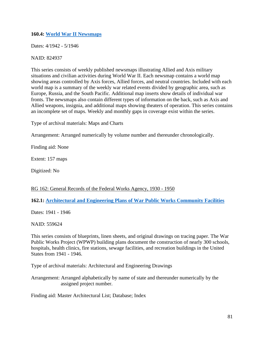### **160.4: [World War II Newsmaps](https://catalog.archives.gov/id/824937)**

Dates: 4/1942 - 5/1946

NAID: 824937

This series consists of weekly published newsmaps illustrating Allied and Axis military situations and civilian activities during World War II. Each newsmap contains a world map showing areas controlled by Axis forces, Allied forces, and neutral countries. Included with each world map is a summary of the weekly war related events divided by geographic area, such as Europe, Russia, and the South Pacific. Additional map inserts show details of individual war fronts. The newsmaps also contain different types of information on the back, such as Axis and Allied weapons, insignia, and additional maps showing theaters of operation. This series contains an incomplete set of maps. Weekly and monthly gaps in coverage exist within the series.

Type of archival materials: Maps and Charts

Arrangement: Arranged numerically by volume number and thereunder chronologically.

Finding aid: None

Extent: 157 maps

Digitized: No

## RG 162: General Records of the Federal Works Agency, 1930 - 1950

## **162.1: [Architectural and Engineering Plans of War Public Works Community Facilities](https://catalog.archives.gov/id/559624)**

Dates: 1941 - 1946

NAID: 559624

This series consists of blueprints, linen sheets, and original drawings on tracing paper. The War Public Works Project (WPWP) building plans document the construction of nearly 300 schools, hospitals, health clinics, fire stations, sewage facilities, and recreation buildings in the United States from 1941 - 1946.

Type of archival materials: Architectural and Engineering Drawings

Arrangement: Arranged alphabetically by name of state and thereunder numerically by the assigned project number.

Finding aid: Master Architectural List; Database; Index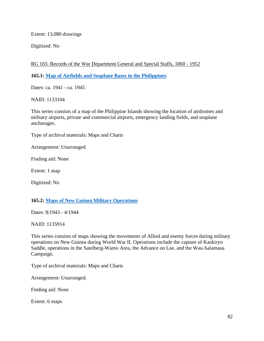Extent: 13,080 drawings

Digitized: No

RG 165: Records of the War Department General and Special Staffs, 1860 - 1952

**165.1: [Map of Airfields and Seaplane Bases in the Philippines](https://catalog.archives.gov/id/1133104)**

Dates: ca. 1941 - ca. 1945

NAID: 1133104

This series consists of a map of the Philippine Islands showing the location of airdromes and military airports, private and commercial airports, emergency landing fields, and seaplane anchorages.

Type of archival materials: Maps and Charts

Arrangement: Unarranged.

Finding aid: None

Extent: 1 map

Digitized: No

## **165.2: [Maps of New Guinea Military Operations](https://catalog.archives.gov/id/1135914)**

Dates: 8/1943 - 4/1944

NAID: 1135914

This series consists of maps showing the movements of Allied and enemy forces during military operations on New Guinea during World War II. Operations include the capture of Kankiryo Saddle, operations in the Satelberg-Wareo Area, the Advance on Lae, and the Wau-Salamaua Campaign.

Type of archival materials: Maps and Charts

Arrangement: Unarranged.

Finding aid: None

Extent: 6 maps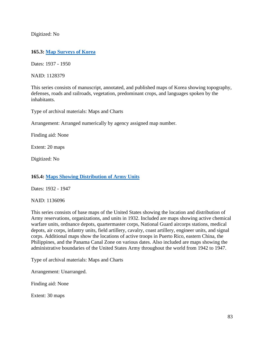Digitized: No

## **165.3: [Map Surveys of Korea](https://catalog.archives.gov/id/1128379)**

Dates: 1937 - 1950

NAID: 1128379

This series consists of manuscript, annotated, and published maps of Korea showing topography, defenses, roads and railroads, vegetation, predominant crops, and languages spoken by the inhabitants.

Type of archival materials: Maps and Charts

Arrangement: Arranged numerically by agency assigned map number.

Finding aid: None

Extent: 20 maps

Digitized: No

## **165.4: [Maps Showing Distribution of Army Units](https://catalog.archives.gov/id/1136096)**

Dates: 1932 - 1947

NAID: 1136096

This series consists of base maps of the United States showing the location and distribution of Army reservations, organizations, and units in 1932. Included are maps showing active chemical warfare units, ordnance depots, quartermaster corps, National Guard aircorps stations, medical depots, air corps, infantry units, field artillery, cavalry, coast artillery, engineer units, and signal corps. Additional maps show the locations of active troops in Puerto Rico, eastern China, the Philippines, and the Panama Canal Zone on various dates. Also included are maps showing the administrative boundaries of the United States Army throughout the world from 1942 to 1947.

Type of archival materials: Maps and Charts

Arrangement: Unarranged.

Finding aid: None

Extent: 30 maps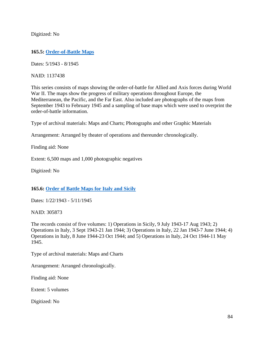Digitized: No

### **165.5: [Order-of-Battle Maps](https://catalog.archives.gov/id/1137438)**

Dates: 5/1943 - 8/1945

NAID: 1137438

This series consists of maps showing the order-of-battle for Allied and Axis forces during World War II. The maps show the progress of military operations throughout Europe, the Mediterranean, the Pacific, and the Far East. Also included are photographs of the maps from September 1943 to February 1945 and a sampling of base maps which were used to overprint the order-of-battle information.

Type of archival materials: Maps and Charts; Photographs and other Graphic Materials

Arrangement: Arranged by theater of operations and thereunder chronologically.

Finding aid: None

Extent: 6,500 maps and 1,000 photographic negatives

Digitized: No

## **165.6: [Order of Battle Maps for Italy and Sicily](https://catalog.archives.gov/id/305873)**

Dates: 1/22/1943 - 5/11/1945

NAID: 305873

The records consist of five volumes: 1) Operations in Sicily, 9 July 1943-17 Aug 1943; 2) Operations in Italy, 3 Sept 1943-21 Jan 1944; 3) Operations in Italy, 22 Jan 1943-7 June 1944; 4) Operations in Italy, 8 June 1944-23 Oct 1944; and 5) Operations in Italy, 24 Oct 1944-11 May 1945.

Type of archival materials: Maps and Charts

Arrangement: Arranged chronologically.

Finding aid: None

Extent: 5 volumes

Digitized: No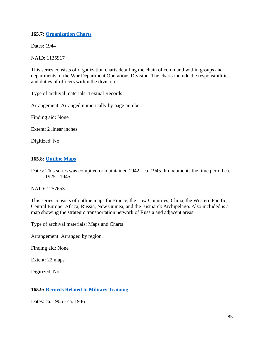## **165.7: [Organization Charts](https://catalog.archives.gov/id/1135917)**

Dates: 1944

NAID: 1135917

This series consists of organization charts detailing the chain of command within groups and departments of the War Department Operations Division. The charts include the responsibilities and duties of officers within the division.

Type of archival materials: Textual Records

Arrangement: Arranged numerically by page number.

Finding aid: None

Extent: 2 linear inches

Digitized: No

# **165.8: [Outline Maps](https://catalog.archives.gov/id/1257653)**

Dates: This series was compiled or maintained 1942 - ca. 1945. It documents the time period ca. 1925 - 1945.

NAID: 1257653

This series consists of outline maps for France, the Low Countries, China, the Western Pacific, Central Europe, Africa, Russia, New Guinea, and the Bismarck Archipelago. Also included is a map showing the strategic transportation network of Russia and adjacent areas.

Type of archival materials: Maps and Charts

Arrangement: Arranged by region.

Finding aid: None

Extent: 22 maps

Digitized: No

## **165.9: [Records Related to Military Training](https://catalog.archives.gov/id/1135632)**

Dates: ca. 1905 - ca. 1946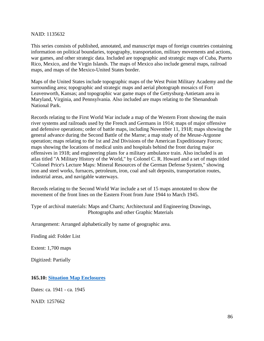#### NAID: 1135632

This series consists of published, annotated, and manuscript maps of foreign countries containing information on political boundaries, topography, transportation, military movements and actions, war games, and other strategic data. Included are topographic and strategic maps of Cuba, Puerto Rico, Mexico, and the Virgin Islands. The maps of Mexico also include general maps, railroad maps, and maps of the Mexico-United States border.

Maps of the United States include topographic maps of the West Point Military Academy and the surrounding area; topographic and strategic maps and aerial photograph mosaics of Fort Leavenworth, Kansas; and topographic war game maps of the Gettysburg-Antietam area in Maryland, Virginia, and Pennsylvania. Also included are maps relating to the Shenandoah National Park.

Records relating to the First World War include a map of the Western Front showing the main river systems and railroads used by the French and Germans in 1914; maps of major offensive and defensive operations; order of battle maps, including November 11, 1918; maps showing the general advance during the Second Battle of the Marne; a map study of the Meuse-Argonne operation; maps relating to the 1st and 2nd Divisions of the American Expeditionary Forces; maps showing the locations of medical units and hospitals behind the front during major offensives in 1918; and engineering plans for a military ambulance train. Also included is an atlas titled "A Military History of the World," by Colonel C. R. Howard and a set of maps titled "Colonel Price's Lecture Maps: Mineral Resources of the German Defense System," showing iron and steel works, furnaces, petroleum, iron, coal and salt deposits, transportation routes, industrial areas, and navigable waterways.

Records relating to the Second World War include a set of 15 maps annotated to show the movement of the front lines on the Eastern Front from June 1944 to March 1945.

Type of archival materials: Maps and Charts; Architectural and Engineering Drawings, Photographs and other Graphic Materials

Arrangement: Arranged alphabetically by name of geographic area.

Finding aid: Folder List

Extent: 1,700 maps

Digitized: Partially

## **165.10: [Situation Map Enclosures](https://catalog.archives.gov/id/1257662)**

Dates: ca. 1941 - ca. 1945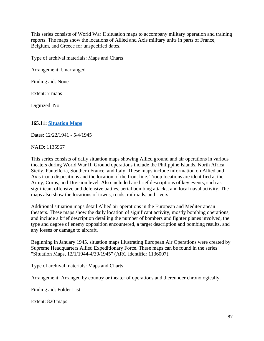This series consists of World War II situation maps to accompany military operation and training reports. The maps show the locations of Allied and Axis military units in parts of France, Belgium, and Greece for unspecified dates.

Type of archival materials: Maps and Charts

Arrangement: Unarranged.

Finding aid: None

Extent: 7 maps

Digitized: No

## **165.11: [Situation Maps](https://catalog.archives.gov/id/1135967)**

Dates: 12/22/1941 - 5/4/1945

NAID: 1135967

This series consists of daily situation maps showing Allied ground and air operations in various theaters during World War II. Ground operations include the Philippine Islands, North Africa, Sicily, Pantelleria, Southern France, and Italy. These maps include information on Allied and Axis troop dispositions and the location of the front line. Troop locations are identified at the Army, Corps, and Division level. Also included are brief descriptions of key events, such as significant offensive and defensive battles, aerial bombing attacks, and local naval activity. The maps also show the locations of towns, roads, railroads, and rivers.

Additional situation maps detail Allied air operations in the European and Mediterranean theaters. These maps show the daily location of significant activity, mostly bombing operations, and include a brief description detailing the number of bombers and fighter planes involved, the type and degree of enemy opposition encountered, a target description and bombing results, and any losses or damage to aircraft.

Beginning in January 1945, situation maps illustrating European Air Operations were created by Supreme Headquarters Allied Expeditionary Force. These maps can be found in the series "Situation Maps, 12/1/1944-4/30/1945" (ARC Identifier 1136007).

Type of archival materials: Maps and Charts

Arrangement: Arranged by country or theater of operations and thereunder chronologically.

Finding aid: Folder List

Extent: 820 maps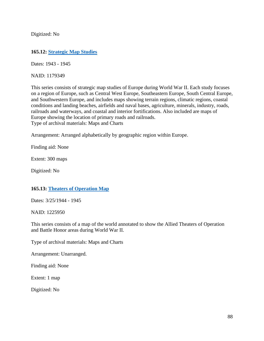Digitized: No

### **165.12: [Strategic Map Studies](https://catalog.archives.gov/id/1179349)**

Dates: 1943 - 1945

NAID: 1179349

This series consists of strategic map studies of Europe during World War II. Each study focuses on a region of Europe, such as Central West Europe, Southeastern Europe, South Central Europe, and Southwestern Europe, and includes maps showing terrain regions, climatic regions, coastal conditions and landing beaches, airfields and naval bases, agriculture, minerals, industry, roads, railroads and waterways, and coastal and interior fortifications. Also included are maps of Europe showing the location of primary roads and railroads. Type of archival materials: Maps and Charts

Arrangement: Arranged alphabetically by geographic region within Europe.

Finding aid: None

Extent: 300 maps

Digitized: No

## **165.13: [Theaters of Operation Map](https://catalog.archives.gov/id/1225950)**

Dates: 3/25/1944 - 1945

NAID: 1225950

This series consists of a map of the world annotated to show the Allied Theaters of Operation and Battle Honor areas during World War II.

Type of archival materials: Maps and Charts

Arrangement: Unarranged.

Finding aid: None

Extent: 1 map

Digitized: No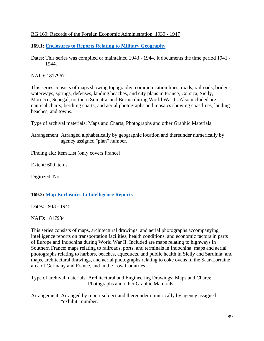### RG 169: Records of the Foreign Economic Administration, 1939 - 1947

**169.1: [Enclosures to Reports Relating to Military Geography](https://catalog.archives.gov/id/1817967)**

Dates: This series was compiled or maintained 1943 - 1944. It documents the time period 1941 - 1944.

NAID: 1817967

This series consists of maps showing topography, communication lines, roads, railroads, bridges, waterways, springs, defenses, landing beaches, and city plans in France, Corsica, Sicily, Morocco, Senegal, northern Sumatra, and Burma during World War II. Also included are nautical charts; berthing charts; and aerial photographs and mosaics showing coastlines, landing beaches, and towns.

Type of archival materials: Maps and Charts; Photographs and other Graphic Materials

Arrangement: Arranged alphabetically by geographic location and thereunder numerically by agency assigned "plan" number.

Finding aid: Item List (only covers France)

Extent: 600 items

Digitized: No

#### **169.2: [Map Enclosures to Intelligence Reports](https://catalog.archives.gov/id/1817934)**

Dates: 1943 - 1945

NAID: 1817934

This series consists of maps, architectural drawings, and aerial photographs accompanying intelligence reports on transportation facilities, health conditions, and economic factors in parts of Europe and Indochina during World War II. Included are maps relating to highways in Southern France; maps relating to railroads, ports, and terminals in Indochina; maps and aerial photographs relating to harbors, beaches, aqueducts, and public health in Sicily and Sardinia; and maps, architectural drawings, and aerial photographs relating to coke ovens in the Saar-Lorraine area of Germany and France, and in the Low Countries.

Type of archival materials: Architectural and Engineering Drawings; Maps and Charts; Photographs and other Graphic Materials

Arrangement: Arranged by report subject and thereunder numerically by agency assigned "exhibit" number.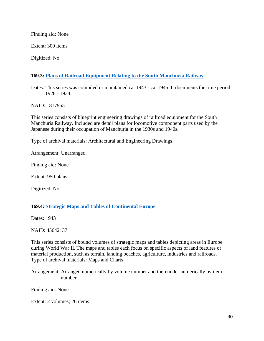Finding aid: None

Extent: 300 items

Digitized: No

# **169.3: [Plans of Railroad Equipment Relating to the South Manchuria Railway](https://catalog.archives.gov/id/1817955)**

Dates: This series was compiled or maintained ca. 1943 - ca. 1945. It documents the time period 1928 - 1934.

NAID: 1817955

This series consists of blueprint engineering drawings of railroad equipment for the South Manchuria Railway. Included are detail plans for locomotive component parts used by the Japanese during their occupation of Manchuria in the 1930s and 1940s.

Type of archival materials: Architectural and Engineering Drawings

Arrangement: Unarranged.

Finding aid: None

Extent: 950 plans

Digitized: No

#### **169.4: [Strategic Maps and Tables of Continental Europe](https://catalog.archives.gov/id/45642137)**

Dates: 1943

NAID: 45642137

This series consists of bound volumes of strategic maps and tables depicting areas in Europe during World War II. The maps and tables each focus on specific aspects of land features or material production, such as terrain, landing beaches, agriculture, industries and railroads. Type of archival materials: Maps and Charts

Arrangement: Arranged numerically by volume number and thereunder numerically by item number.

Finding aid: None

Extent: 2 volumes; 26 items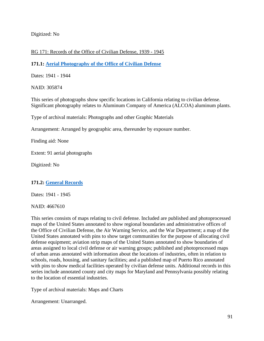Digitized: No

## RG 171: Records of the Office of Civilian Defense, 1939 - 1945

**171.1: [Aerial Photography of the Office of Civilian Defense](https://catalog.archives.gov/id/305874)**

Dates: 1941 - 1944

NAID: 305874

This series of photographs show specific locations in California relating to civilian defense. Significant photography relates to Aluminum Company of America (ALCOA) aluminum plants.

Type of archival materials: Photographs and other Graphic Materials

Arrangement: Arranged by geographic area, thereunder by exposure number.

Finding aid: None

Extent: 91 aerial photographs

Digitized: No

## **171.2: [General Records](https://catalog.archives.gov/id/4667610)**

Dates: 1941 - 1945

NAID: 4667610

This series consists of maps relating to civil defense. Included are published and photoprocessed maps of the United States annotated to show regional boundaries and administrative offices of the Office of Civilian Defense, the Air Warning Service, and the War Department; a map of the United States annotated with pins to show target communities for the purpose of allocating civil defense equipment; aviation strip maps of the United States annotated to show boundaries of areas assigned to local civil defense or air warning groups; published and photoprocessed maps of urban areas annotated with information about the locations of industries, often in relation to schools, roads, housing, and sanitary facilities; and a published map of Puerto Rico annotated with pins to show medical facilities operated by civilian defense units. Additional records in this series include annotated county and city maps for Maryland and Pennsylvania possibly relating to the location of essential industries.

Type of archival materials: Maps and Charts

Arrangement: Unarranged.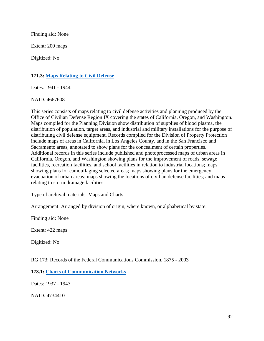Finding aid: None

Extent: 200 maps

Digitized: No

### **171.3: [Maps Relating to Civil Defense](https://catalog.archives.gov/id/4667608)**

Dates: 1941 - 1944

NAID: 4667608

This series consists of maps relating to civil defense activities and planning produced by the Office of Civilian Defense Region IX covering the states of California, Oregon, and Washington. Maps compiled for the Planning Division show distribution of supplies of blood plasma, the distribution of population, target areas, and industrial and military installations for the purpose of distributing civil defense equipment. Records compiled for the Division of Property Protection include maps of areas in California, in Los Angeles County, and in the San Francisco and Sacramento areas, annotated to show plans for the concealment of certain properties. Additional records in this series include published and photoprocessed maps of urban areas in California, Oregon, and Washington showing plans for the improvement of roads, sewage facilities, recreation facilities, and school facilities in relation to industrial locations; maps showing plans for camouflaging selected areas; maps showing plans for the emergency evacuation of urban areas; maps showing the locations of civilian defense facilities; and maps relating to storm drainage facilities.

Type of archival materials: Maps and Charts

Arrangement: Arranged by division of origin, where known, or alphabetical by state.

Finding aid: None

Extent: 422 maps

Digitized: No

#### RG 173: Records of the Federal Communications Commission, 1875 - 2003

**173.1: [Charts of Communication Networks](https://catalog.archives.gov/id/4734410)**

Dates: 1937 - 1943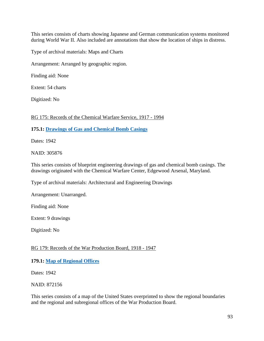This series consists of charts showing Japanese and German communication systems monitored during World War II. Also included are annotations that show the location of ships in distress.

Type of archival materials: Maps and Charts

Arrangement: Arranged by geographic region.

Finding aid: None

Extent: 54 charts

Digitized: No

RG 175: Records of the Chemical Warfare Service, 1917 - 1994

**175.1: [Drawings of Gas and Chemical Bomb Casings](https://catalog.archives.gov/id/305876)**

Dates: 1942

NAID: 305876

This series consists of blueprint engineering drawings of gas and chemical bomb casings. The drawings originated with the Chemical Warfare Center, Edgewood Arsenal, Maryland.

Type of archival materials: Architectural and Engineering Drawings

Arrangement: Unarranged.

Finding aid: None

Extent: 9 drawings

Digitized: No

#### RG 179: Records of the War Production Board, 1918 - 1947

#### **179.1: [Map of Regional Offices](https://catalog.archives.gov/id/872156)**

Dates: 1942

NAID: 872156

This series consists of a map of the United States overprinted to show the regional boundaries and the regional and subregional offices of the War Production Board.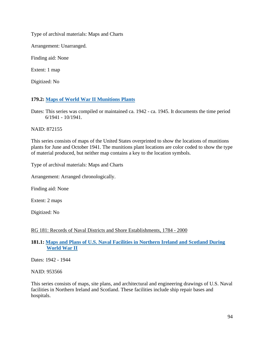Type of archival materials: Maps and Charts

Arrangement: Unarranged.

Finding aid: None

Extent: 1 map

Digitized: No

# **179.2: [Maps of World War II Munitions Plants](https://catalog.archives.gov/id/872155)**

Dates: This series was compiled or maintained ca. 1942 - ca. 1945. It documents the time period 6/1941 - 10/1941.

NAID: 872155

This series consists of maps of the United States overprinted to show the locations of munitions plants for June and October 1941. The munitions plant locations are color coded to show the type of material produced, but neither map contains a key to the location symbols.

Type of archival materials: Maps and Charts

Arrangement: Arranged chronologically.

Finding aid: None

Extent: 2 maps

Digitized: No

## RG 181: Records of Naval Districts and Shore Establishments, 1784 - 2000

## **181.1: [Maps and Plans of U.S. Naval Facilities in Northern Ireland and Scotland During](https://catalog.archives.gov/id/953566) [World War II](https://catalog.archives.gov/id/953566)**

Dates: 1942 - 1944

NAID: 953566

This series consists of maps, site plans, and architectural and engineering drawings of U.S. Naval facilities in Northern Ireland and Scotland. These facilities include ship repair bases and hospitals.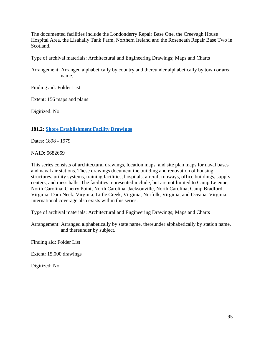The documented facilities include the Londonderry Repair Base One, the Creevagh House Hospital Area, the Lisahally Tank Farm, Northern Ireland and the Roseneath Repair Base Two in Scotland.

Type of archival materials: Architectural and Engineering Drawings; Maps and Charts

Arrangement: Arranged alphabetically by country and thereunder alphabetically by town or area name.

Finding aid: Folder List

Extent: 156 maps and plans

Digitized: No

## **181.2: [Shore Establishment Facility Drawings](https://catalog.archives.gov/id/5682659)**

Dates: 1898 - 1979

NAID: 5682659

This series consists of architectural drawings, location maps, and site plan maps for naval bases and naval air stations. These drawings document the building and renovation of housing structures, utility systems, training facilities, hospitals, aircraft runways, office buildings, supply centers, and mess halls. The facilities represented include, but are not limited to Camp Lejeune, North Carolina; Cherry Point, North Carolina; Jacksonville, North Carolina; Camp Bradford, Virginia; Dam Neck, Virginia; Little Creek, Virginia; Norfolk, Virginia; and Oceana, Virginia. International coverage also exists within this series.

Type of archival materials: Architectural and Engineering Drawings; Maps and Charts

Arrangement: Arranged alphabetically by state name, thereunder alphabetically by station name, and thereunder by subject.

Finding aid: Folder List

Extent: 15,000 drawings

Digitized: No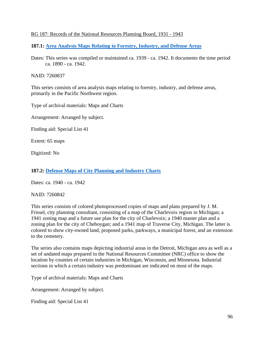### RG 187: Records of the National Resources Planning Board, 1931 - 1943

**187.1: [Area Analysis Maps Relating to Forestry, Industry, and Defense Areas](https://catalog.archives.gov/id/7260837)**

Dates: This series was compiled or maintained ca. 1939 - ca. 1942. It documents the time period ca. 1890 - ca. 1942.

NAID: 7260837

This series consists of area analysis maps relating to forestry, industry, and defense areas, primarily in the Pacific Northwest region.

Type of archival materials: Maps and Charts

Arrangement: Arranged by subject.

Finding aid: Special List 41

Extent: 65 maps

Digitized: No

#### **187.2: [Defense Maps of City Planning and Industry Charts](https://catalog.archives.gov/id/7260842)**

Dates: ca. 1940 - ca. 1942

NAID: 7260842

This series consists of colored photoprocessed copies of maps and plans prepared by J. M. Frissel, city planning consultant, consisting of a map of the Charlevoix region in Michigan; a 1941 zoning map and a future use plan for the city of Charlevoix; a 1940 master plan and a zoning plan for the city of Cheboygan; and a 1941 map of Traverse City, Michigan. The latter is colored to show city-owned land, proposed parks, parkways, a municipal forest, and an extension to the cemetery.

The series also contains maps depicting industrial areas in the Detroit, Michigan area as well as a set of undated maps prepared in the National Resources Committee (NRC) office to show the location by counties of certain industries in Michigan, Wisconsin, and Minnesota. Industrial sections in which a certain industry was predominant are indicated on most of the maps.

Type of archival materials: Maps and Charts

Arrangement: Arranged by subject.

Finding aid: Special List 41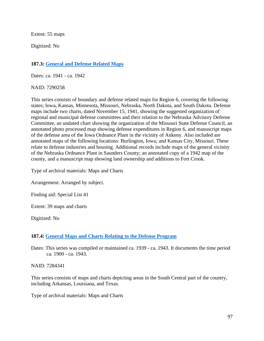Extent: 55 maps

Digitized: No

# **187.3: [General and Defense Related Maps](https://catalog.archives.gov/id/7290258)**

Dates: ca. 1941 - ca. 1942

NAID: 7290258

This series consists of boundary and defense related maps for Region 6, covering the following states; Iowa, Kansas, Minnesota, Missouri, Nebraska, North Dakota, and South Dakota. Defense maps include two charts, dated November 15, 1941, showing the suggested organization of regional and municipal defense committees and their relation to the Nebraska Advisory Defense Committee, an undated chart showing the organization of the Missouri State Defense Council, an annotated photo processed map showing defense expenditures in Region 6, and manuscript maps of the defense area of the Iowa Ordnance Plant in the vicinity of Ankeny. Also included are annotated maps of the following locations: Burlington, Iowa; and Kansas City, Missouri. These relate to defense industries and housing. Additional records include maps of the general vicinity of the Nebraska Ordnance Plant in Saunders County; an annotated copy of a 1942 map of the county, and a manuscript map showing land ownership and additions to Fort Crook.

Type of archival materials: Maps and Charts

Arrangement: Arranged by subject.

Finding aid: Special List 41

Extent: 39 maps and charts

Digitized: No

## **187.4: [General Maps and Charts Relating to the Defense Program](https://catalog.archives.gov/id/7284341)**

Dates: This series was compiled or maintained ca. 1939 - ca. 1943. It documents the time period ca. 1900 - ca. 1943.

NAID: 7284341

This series consists of maps and charts depicting areas in the South Central part of the country, including Arkansas, Louisiana, and Texas.

Type of archival materials: Maps and Charts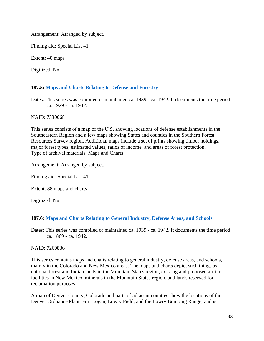Arrangement: Arranged by subject.

Finding aid: Special List 41

Extent: 40 maps

Digitized: No

# **187.5: [Maps and Charts Relating to Defense and Forestry](https://catalog.archives.gov/id/7330068)**

Dates: This series was compiled or maintained ca. 1939 - ca. 1942. It documents the time period ca. 1929 - ca. 1942.

### NAID: 7330068

This series consists of a map of the U.S. showing locations of defense establishments in the Southeastern Region and a few maps showing States and counties in the Southern Forest Resources Survey region. Additional maps include a set of prints showing timber holdings, major forest types, estimated values, ratios of income, and areas of forest protection. Type of archival materials: Maps and Charts

Arrangement: Arranged by subject.

Finding aid: Special List 41

Extent: 88 maps and charts

Digitized: No

## **187.6: [Maps and Charts Relating to General Industry, Defense Areas, and Schools](https://catalog.archives.gov/id/7260836)**

Dates: This series was compiled or maintained ca. 1939 - ca. 1942. It documents the time period ca. 1869 - ca. 1942.

NAID: 7260836

This series contains maps and charts relating to general industry, defense areas, and schools, mainly in the Colorado and New Mexico areas. The maps and charts depict such things as national forest and Indian lands in the Mountain States region, existing and proposed airline facilities in New Mexico, minerals in the Mountain States region, and lands reserved for reclamation purposes.

A map of Denver County, Colorado and parts of adjacent counties show the locations of the Denver Ordnance Plant, Fort Logan, Lowry Field, and the Lowry Bombing Range; and is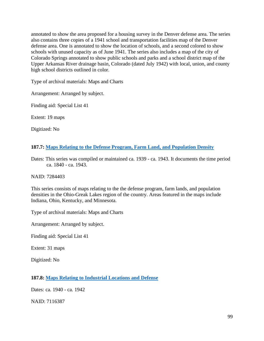annotated to show the area proposed for a housing survey in the Denver defense area. The series also contains three copies of a 1941 school and transportation facilities map of the Denver defense area. One is annotated to show the location of schools, and a second colored to show schools with unused capacity as of June 1941. The series also includes a map of the city of Colorado Springs annotated to show public schools and parks and a school district map of the Upper Arkansas River drainage basin, Colorado (dated July 1942) with local, union, and county high school districts outlined in color.

Type of archival materials: Maps and Charts

Arrangement: Arranged by subject.

Finding aid: Special List 41

Extent: 19 maps

Digitized: No

## **187.7: [Maps Relating to the Defense Program, Farm Land, and Population Density](https://catalog.archives.gov/id/7284403)**

Dates: This series was compiled or maintained ca. 1939 - ca. 1943. It documents the time period ca. 1840 - ca. 1943.

NAID: 7284403

This series consists of maps relating to the the defense program, farm lands, and population densities in the Ohio-Greak Lakes region of the country. Areas featured in the maps include Indiana, Ohio, Kentucky, and Minnesota.

Type of archival materials: Maps and Charts

Arrangement: Arranged by subject.

Finding aid: Special List 41

Extent: 31 maps

Digitized: No

#### **187.8: [Maps Relating to Industrial Locations and Defense](https://catalog.archives.gov/id/7116387)**

Dates: ca. 1940 - ca. 1942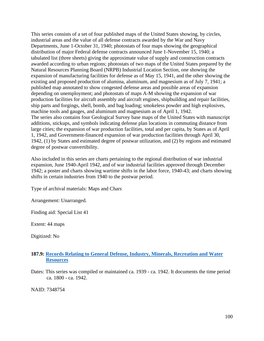This series consists of a set of four published maps of the United States showing, by circles, industrial areas and the value of all defense contracts awarded by the War and Navy Departments, June 1-October 31, 1940; photostats of four maps showing the geographical distribution of major Federal defense contracts announced June 1-November 15, 1940; a tabulated list (three sheets) giving the approximate value of supply and construction contracts awarded according to urban regions; photostats of two maps of the United States prepared by the Natural Resources Planning Board (NRPB) Industrial Location Section, one showing the expansion of manufacturing facilities for defense as of May 15, 1941, and the other showing the existing and proposed production of alumina, aluminum, and magnesium as of July 7, 1941; a published map annotated to show congested defense areas and possible areas of expansion depending on unemployment; and photostats of maps A-M showing the expansion of war production facilities for aircraft assembly and aircraft engines, shipbuilding and repair facilities, ship parts and forgings, shell, bomb, and bag loading; smokeless powder and high explosives, machine tools and gauges, and aluminum and magnesium as of April 1, 1942. The series also contains four Geological Survey base maps of the United States with manuscript additions, stickups, and symbols indicating defense plan locations in commuting distance from large cities; the expansion of war production facilities, total and per capita, by States as of April 1, 1942, and Government-financed expansion of war production facilities through April 30, 1942, (1) by States and estimated degree of postwar utilization, and (2) by regions and estimated degree of postwar convertibility.

Also included in this series are charts pertaining to the regional distribution of war industrial expansion, June 1940-April 1942, and of war industrial facilities approved through December 1942; a poster and charts showing wartime shifts in the labor force, 1940-43; and charts showing shifts in certain industries from 1940 to the postwar period.

Type of archival materials: Maps and Chars

Arrangement: Unarranged.

Finding aid: Special List 41

Extent: 44 maps

Digitized: No

### **187.9: [Records Relating to General Defense, Industry, Minerals, Recreation and Water](https://catalog.archives.gov/id/7348754)  [Resources](https://catalog.archives.gov/id/7348754)**

Dates: This series was compiled or maintained ca. 1939 - ca. 1942. It documents the time period ca. 1800 - ca. 1942.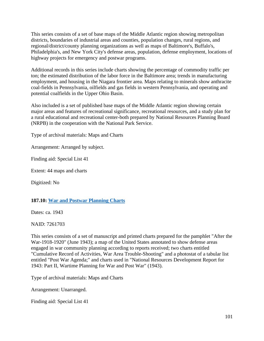This series consists of a set of base maps of the Middle Atlantic region showing metropolitan districts, boundaries of industrial areas and counties, population changes, rural regions, and regional/district/county planning organizations as well as maps of Baltimore's, Buffalo's, Philadelphia's, and New York City's defense areas, population, defense employment, locations of highway projects for emergency and postwar programs.

Additional records in this series include charts showing the percentage of commodity traffic per ton; the estimated distribution of the labor force in the Baltimore area; trends in manufacturing employment, and housing in the Niagara frontier area. Maps relating to minerals show anthracite coal-fields in Pennsylvania, oilfields and gas fields in western Pennsylvania, and operating and potential coalfields in the Upper Ohio Basin.

Also included is a set of published base maps of the Middle Atlantic region showing certain major areas and features of recreational significance, recreational resources, and a study plan for a rural educational and recreational center-both prepared by National Resources Planning Board (NRPB) in the cooperation with the National Park Service.

Type of archival materials: Maps and Charts

Arrangement: Arranged by subject.

Finding aid: Special List 41

Extent: 44 maps and charts

Digitized: No

#### **187.10: [War and Postwar Planning](https://catalog.archives.gov/id/7261703) Charts**

Dates: ca. 1943

NAID: 7261703

This series consists of a set of manuscript and printed charts prepared for the pamphlet "After the War-1918-1920" (June 1943); a map of the United States annotated to show defense areas engaged in war community planning according to reports received; two charts entitled "Cumulative Record of Activities, War Area Trouble-Shooting" and a photostat of a tabular list entitled "Post War Agenda;" and charts used in "National Resources Development Report for 1943: Part II, Wartime Planning for War and Post War" (1943).

Type of archival materials: Maps and Charts

Arrangement: Unarranged.

Finding aid: Special List 41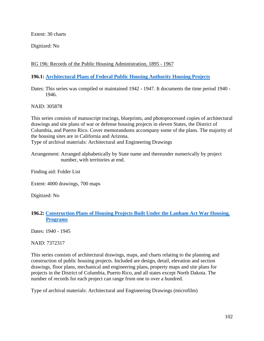Extent: 30 charts

Digitized: No

# RG 196: Records of the Public Housing Administration, 1895 - 1967

## **196.1: [Architectural Plans of Federal Public Housing Authority Housing Projects](https://catalog.archives.gov/id/305878)**

Dates: This series was compiled or maintained 1942 - 1947. It documents the time period 1940 - 1946.

NAID: 305878

This series consists of manuscript tracings, blueprints, and photoprocessed copies of architectural drawings and site plans of war or defense housing projects in eleven States, the District of Columbia, and Puerto Rico. Cover memorandums accompany some of the plans. The majority of the housing sites are in California and Arizona. Type of archival materials: Architectural and Engineering Drawings

Arrangement: Arranged alphabetically by State name and thereunder numerically by project number, with territories at end.

Finding aid: Folder List

Extent: 4000 drawings, 700 maps

Digitized: No

### **196.2: [Construction Plans of Housing Projects Built Under the Lanham Act War Housing.](https://catalog.archives.gov/id/7372317)  [Programs](https://catalog.archives.gov/id/7372317)**

Dates: 1940 - 1945

NAID: 7372317

This series consists of architectural drawings, maps, and charts relating to the planning and construction of public housing projects. Included are design, detail, elevation and section drawings, floor plans, mechanical and engineering plans, property maps and site plans for projects in the District of Columbia, Puerto Rico, and all states except North Dakota. The number of records for each project can range from one to over a hundred.

Type of archival materials: Architectural and Engineering Drawings (microfilm)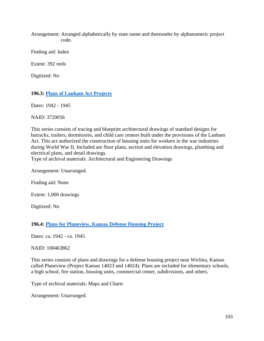Arrangement: Arranged alphabetically by state name and thereunder by alphanumeric project code.

Finding aid: Index

Extent: 392 reels

Digitized: No

### **196.3: [Plans of Lanham Act Projects](https://catalog.archives.gov/id/3720056)**

Dates: 1942 - 1945

NAID: 3720056

This series consists of tracing and blueprint architectural drawings of standard designs for barracks, trailers, dormitories, and child care centers built under the provisions of the Lanham Act. This act authorized the construction of housing units for workers in the war industries during World War II. Included are floor plans, section and elevation drawings, plumbing and electrical plans, and detail drawings.

Type of archival materials: Architectural and Engineering Drawings

Arrangement: Unarranged.

Finding aid: None

Extent: 1,000 drawings

Digitized: No

### **196.4: [Plans for Planeview, Kansas Defense Housing Project](https://catalog.archives.gov/id/100463862)**

Dates: ca. 1942 - ca. 1945

#### NAID: 100463862

This series consists of plans and drawings for a defense housing project near Wichita, Kansas called Planeview (Project Kansas 14023 and 14024). Plans are included for elementary schools, a high school, fire station, housing units, commercial center, subdivisions, and others.

Type of archival materials: Maps and Charts

Arrangement: Unarranged.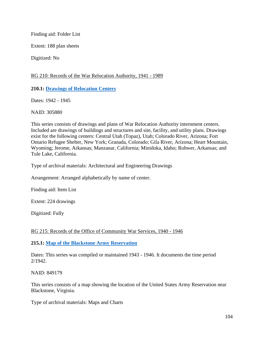Finding aid: Folder List

Extent: 188 plan sheets

Digitized: No

## RG 210: Records of the War Relocation Authority, 1941 - 1989

# **210.1: [Drawings of Relocation Centers](https://catalog.archives.gov/id/305880)**

Dates: 1942 - 1945

NAID: 305880

This series consists of drawings and plans of War Relocation Authority internment centers. Included are drawings of buildings and structures and site, facility, and utility plans. Drawings exist for the following centers: Central Utah (Topaz), Utah; Colorado River, Arizona; Fort Ontario Refugee Shelter, New York; Granada, Colorado; Gila River, Arizona; Heart Mountain, Wyoming; Jerome, Arkansas; Manzanar, California; Minidoka, Idaho; Rohwer, Arkansas; and Tule Lake, California.

Type of archival materials: Architectural and Engineering Drawings

Arrangement: Arranged alphabetically by name of center.

Finding aid: Item List

Extent: 224 drawings

Digitized: Fully

# RG 215: Records of the Office of Community War Services, 1940 - 1946

**215.1: [Map of the Blackstone Army Reservation](https://catalog.archives.gov/id/849179)**

Dates: This series was compiled or maintained 1943 - 1946. It documents the time period 2/1942.

NAID: 849179

This series consists of a map showing the location of the United States Army Reservation near Blackstone, Virginia.

Type of archival materials: Maps and Charts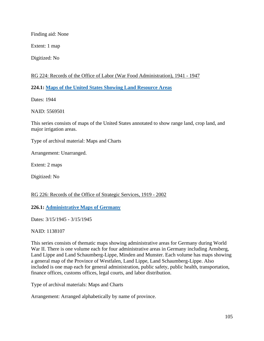Finding aid: None

Extent: 1 map

Digitized: No

# RG 224: Records of the Office of Labor (War Food Administration), 1941 - 1947

**224.1: [Maps of the United States Showing Land Resource Areas](https://catalog.archives.gov/id/5569501)**

Dates: 1944

NAID: 5569501

This series consists of maps of the United States annotated to show range land, crop land, and major irrigation areas.

Type of archival material: Maps and Charts

Arrangement: Unarranged.

Extent: 2 maps

Digitized: No

# RG 226: Records of the Office of Strategic Services, 1919 - 2002

# **226.1: [Administrative Maps of Germany](https://catalog.archives.gov/id/1138107)**

Dates: 3/15/1945 - 3/15/1945

NAID: 1138107

This series consists of thematic maps showing administrative areas for Germany during World War II. There is one volume each for four administrative areas in Germany including Arnsberg, Land Lippe and Land Schaumberg-Lippe, Minden and Munster. Each volume has maps showing a general map of the Province of Westfalen, Land Lippe, Land Schaumberg-Lippe. Also included is one map each for general administration, public safety, public health, transportation, finance offices, customs offices, legal courts, and labor distribution.

Type of archival materials: Maps and Charts

Arrangement: Arranged alphabetically by name of province.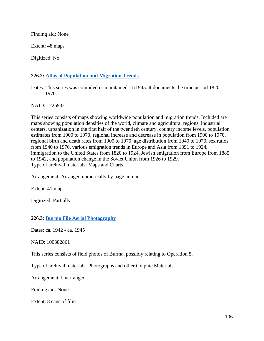Finding aid: None

Extent: 48 maps

Digitized: No

# **226.2: [Atlas of Population and Migration Trends](https://catalog.archives.gov/id/1225932)**

Dates: This series was compiled or maintained 11/1945. It documents the time period 1820 - 1970.

NAID: 1225932

This series consists of maps showing worldwide population and migration trends. Included are maps showing population densities of the world, climate and agricultural regions, industrial centers, urbanization in the first half of the twentieth century, country income levels, population estimates from 1900 to 1970, regional increase and decrease in population from 1900 to 1970, regional birth and death rates from 1900 to 1970, age distribution from 1940 to 1970, sex ratios from 1940 to 1970, various emigration trends in Europe and Asia from 1891 to 1924, immigration to the United States from 1820 to 1924, Jewish emigration from Europe from 1885 to 1942, and population change in the Soviet Union from 1926 to 1929. Type of archival materials: Maps and Charts

Arrangement: Arranged numerically by page number.

Extent: 41 maps

Digitized: Partially

# **226.3: Burma File [Aerial Photography](https://catalog.archives.gov/id/100382861)**

Dates: ca. 1942 - ca. 1945

NAID: 100382861

This series consists of field photos of Burma, possibly relating to Operation 5.

Type of archival materials: Photographs and other Graphic Materials

Arrangement: Unarranged.

Finding aid: None

Extent: 8 cans of film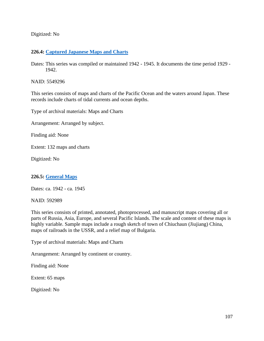Digitized: No

# **226.4: [Captured Japanese Maps and Charts](https://catalog.archives.gov/id/5549296)**

Dates: This series was compiled or maintained 1942 - 1945. It documents the time period 1929 - 1942.

NAID: 5549296

This series consists of maps and charts of the Pacific Ocean and the waters around Japan. These records include charts of tidal currents and ocean depths.

Type of archival materials: Maps and Charts

Arrangement: Arranged by subject.

Finding aid: None

Extent: 132 maps and charts

Digitized: No

# **226.5: [General Maps](https://catalog.archives.gov/id/592989)**

Dates: ca. 1942 - ca. 1945

NAID: 592989

This series consists of printed, annotated, photoprocessed, and manuscript maps covering all or parts of Russia, Asia, Europe, and several Pacific Islands. The scale and content of these maps is highly variable. Sample maps include a rough sketch of town of Chiuchaun (Jiujiang) China, maps of railroads in the USSR, and a relief map of Bulgaria.

Type of archival materials: Maps and Charts

Arrangement: Arranged by continent or country.

Finding aid: None

Extent: 65 maps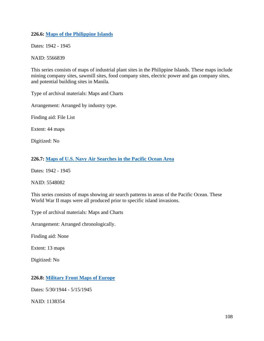## **226.6: [Maps of the Philippine Islands](https://catalog.archives.gov/id/5566839)**

Dates: 1942 - 1945

NAID: 5566839

This series consists of maps of industrial plant sites in the Philippine Islands. These maps include mining company sites, sawmill sites, food company sites, electric power and gas company sites, and potential building sites in Manila.

Type of archival materials: Maps and Charts

Arrangement: Arranged by industry type.

Finding aid: File List

Extent: 44 maps

Digitized: No

**226.7: [Maps of U.S. Navy Air Searches in the Pacific Ocean Area](https://catalog.archives.gov/id/5548082)**

Dates: 1942 - 1945

NAID: 5548082

This series consists of maps showing air search patterns in areas of the Pacific Ocean. These World War II maps were all produced prior to specific island invasions.

Type of archival materials: Maps and Charts

Arrangement: Arranged chronologically.

Finding aid: None

Extent: 13 maps

Digitized: No

# **226.8: [Military Front Maps of Europe](https://catalog.archives.gov/id/1138354)**

Dates: 5/30/1944 - 5/15/1945

NAID: 1138354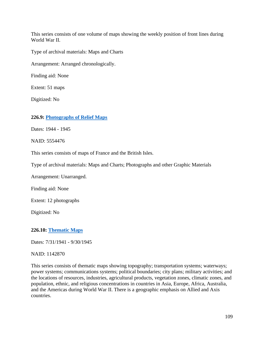This series consists of one volume of maps showing the weekly position of front lines during World War II.

Type of archival materials: Maps and Charts

Arrangement: Arranged chronologically.

Finding aid: None

Extent: 51 maps

Digitized: No

### **226.9: [Photographs of Relief Maps](https://catalog.archives.gov/id/5554476)**

Dates: 1944 - 1945

NAID: 5554476

This series consists of maps of France and the British Isles.

Type of archival materials: Maps and Charts; Photographs and other Graphic Materials

Arrangement: Unarranged.

Finding aid: None

Extent: 12 photographs

Digitized: No

**226.10: [Thematic Maps](https://catalog.archives.gov/id/1142870)**

Dates: 7/31/1941 - 9/30/1945

NAID: 1142870

This series consists of thematic maps showing topography; transportation systems; waterways; power systems; communications systems; political boundaries; city plans; military activities; and the locations of resources, industries, agricultural products, vegetation zones, climatic zones, and population, ethnic, and religious concentrations in countries in Asia, Europe, Africa, Australia, and the Americas during World War II. There is a geographic emphasis on Allied and Axis countries.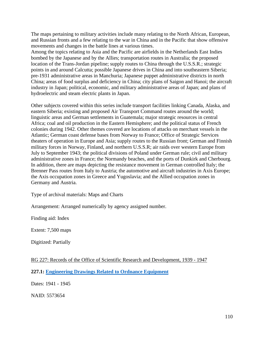The maps pertaining to military activities include many relating to the North African, European, and Russian fronts and a few relating to the war in China and in the Pacific that show offensive movements and changes in the battle lines at various times.

Among the topics relating to Asia and the Pacific are airfields in the Netherlands East Indies bombed by the Japanese and by the Allies; transportation routes in Australia; the proposed location of the Trans-Jordan pipeline; supply routes to China through the U.S.S.R.; strategic points in and around Calcutta; possible Japanese drives in China and into southeastern Siberia; pre-1931 administrative areas in Manchuria; Japanese puppet administrative districts in north China; areas of food surplus and deficiency in China; city plans of Saigon and Hanoi; the aircraft industry in Japan; political, economic, and military administrative areas of Japan; and plans of hydroelectric and steam electric plants in Japan.

Other subjects covered within this series include transport facilities linking Canada, Alaska, and eastern Siberia; existing and proposed Air Transport Command routes around the world; linguistic areas and German settlements in Guatemala; major strategic resources in central Africa; coal and oil production in the Eastern Hemisphere; and the political status of French colonies during 1942. Other themes covered are locations of attacks on merchant vessels in the Atlantic; German coast defense bases from Norway to France; Office of Strategic Services theaters of operation in Europe and Asia; supply routes to the Russian front; German and Finnish military forces in Norway, Finland, and northern U.S.S.R; air raids over western Europe from July to September 1943; the political divisions of Poland under German rule; civil and military administrative zones in France; the Normandy beaches, and the ports of Dunkirk and Cherbourg. In addition, there are maps depicting the resistance movement in German controlled Italy; the Brenner Pass routes from Italy to Austria; the automotive and aircraft industries in Axis Europe; the Axis occupation zones in Greece and Yugoslavia; and the Allied occupation zones in Germany and Austria.

Type of archival materials: Maps and Charts

Arrangement: Arranged numerically by agency assigned number.

Finding aid: Index

Extent: 7,500 maps

Digitized: Partially

RG 227: Records of the Office of Scientific Research and Development, 1939 - 1947

**227.1: Engineering [Drawings Related to Ordnance Equipment](https://catalog.archives.gov/id/5573654)**

Dates: 1941 - 1945

NAID: 5573654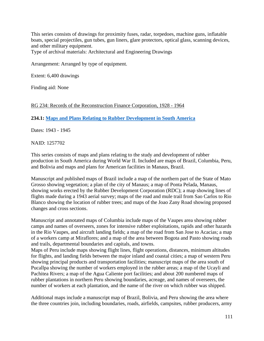This series consists of drawings for proximity fuses, radar, torpedoes, machine guns, inflatable boats, special projectiles, gun tubes, gun liners, glare protectors, optical glass, scanning devices, and other military equipment.

Type of archival materials: Architectural and Engineering Drawings

Arrangement: Arranged by type of equipment.

Extent: 6,400 drawings

Finding aid: None

RG 234: Records of the Reconstruction Finance Corporation, 1928 - 1964

**234.1: Maps and Plans [Relating to Rubber Development in South America](https://catalog.archives.gov/id/1257702)**

Dates: 1943 - 1945

NAID: 1257702

This series consists of maps and plans relating to the study and development of rubber production in South America during World War II. Included are maps of Brazil, Columbia, Peru, and Bolivia and maps and plans for American facilities in Manaus, Brazil.

Manuscript and published maps of Brazil include a map of the northern part of the State of Mato Grosso showing vegetation; a plan of the city of Manaus; a map of Ponta Pelada, Manaus, showing works erected by the Rubber Development Corporation (RDC); a map showing lines of flights made during a 1943 aerial survey; maps of the road and mule trail from Sao Carlos to Rio Blanco showing the location of rubber trees; and maps of the Joao Zany Road showing proposed changes and cross sections.

Manuscript and annotated maps of Columbia include maps of the Vaupes area showing rubber camps and names of overseers, zones for intensive rubber exploitations, rapids and other hazards in the Rio Vaupes, and aircraft landing fields; a map of the road from San Jose to Acacias; a map of a workers camp at Miraflores; and a map of the area between Bogota and Pasto showing roads and trails, departmental boundaries and capitals, and towns.

Maps of Peru include maps showing flight lines, flight operations, distances, minimum altitudes for flights, and landing fields between the major inland and coastal cities; a map of western Peru showing principal products and transportation facilities; manuscript maps of the area south of Pucallpa showing the number of workers employed in the rubber areas; a map of the Ucayli and Pachitea Rivers; a map of the Agua Caliente port facilities; and about 200 numbered maps of rubber plantations in northern Peru showing boundaries, acreage, and names of overseers, the number of workers at each plantation, and the name of the river on which rubber was shipped.

Additional maps include a manuscript map of Brazil, Bolivia, and Peru showing the area where the three countries join, including boundaries, roads, airfields, campsites, rubber producers, army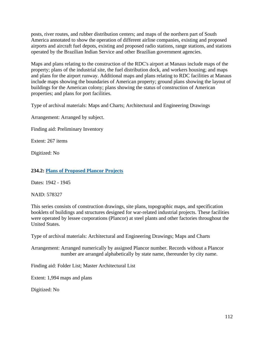posts, river routes, and rubber distribution centers; and maps of the northern part of South America annotated to show the operation of different airline companies, existing and proposed airports and aircraft fuel depots, existing and proposed radio stations, range stations, and stations operated by the Brazilian Indian Service and other Brazilian government agencies.

Maps and plans relating to the construction of the RDC's airport at Manaus include maps of the property; plans of the industrial site, the fuel distribution dock, and workers housing; and maps and plans for the airport runway. Additional maps and plans relating to RDC facilities at Manaus include maps showing the boundaries of American property; ground plans showing the layout of buildings for the American colony; plans showing the status of construction of American properties; and plans for port facilities.

Type of archival materials: Maps and Charts; Architectural and Engineering Drawings

Arrangement: Arranged by subject.

Finding aid: Preliminary Inventory

Extent: 267 items

Digitized: No

## **234.2: [Plans of Proposed Plancor Projects](https://catalog.archives.gov/id/578327)**

Dates: 1942 - 1945

NAID: 578327

This series consists of construction drawings, site plans, topographic maps, and specification booklets of buildings and structures designed for war-related industrial projects. These facilities were operated by lessee corporations (Plancor) at steel plants and other factories throughout the United States.

Type of archival materials: Architectural and Engineering Drawings; Maps and Charts

Arrangement: Arranged numerically by assigned Plancor number. Records without a Plancor number are arranged alphabetically by state name, thereunder by city name.

Finding aid: Folder List; Master Architectural List

Extent: 1,994 maps and plans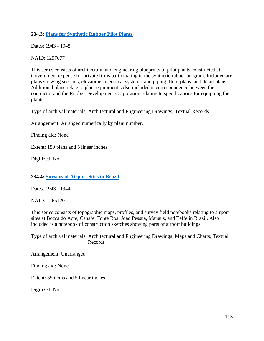# **234.3: Plans for [Synthetic Rubber Pilot Plants](https://catalog.archives.gov/id/1257677)**

Dates: 1943 - 1945

NAID: 1257677

This series consists of architectural and engineering blueprints of pilot plants constructed at Government expense for private firms participating in the synthetic rubber program. Included are plans showing sections, elevations, electrical systems, and piping; floor plans; and detail plans. Additional plans relate to plant equipment. Also included is correspondence between the contractor and the Rubber Development Corporation relating to specifications for equipping the plants.

Type of archival materials: Architectural and Engineering Drawings; Textual Records

Arrangement: Arranged numerically by plant number.

Finding aid: None

Extent: 150 plans and 5 linear inches

Digitized: No

### **234.4: Surveys [of Airport Sites in Brazil](https://catalog.archives.gov/id/1265120)**

Dates: 1943 - 1944

NAID: 1265120

This series consists of topographic maps, profiles, and survey field notebooks relating to airport sites at Bocca do Acre, Canafe, Fonte Boa, Joao Pessua, Manaus, and Teffe in Brazil. Also included is a notebook of construction sketches showing parts of airport buildings.

Type of archival materials: Architectural and Engineering Drawings; Maps and Charts; Textual Records

Arrangement: Unarranged.

Finding aid: None

Extent: 35 items and 5 linear inches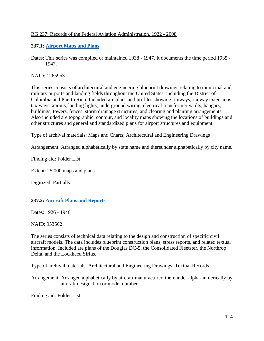# RG 237: Records of the Federal Aviation Administration, 1922 - 2008

# **237.1: Airport [Maps and Plans](https://catalog.archives.gov/id/1265953)**

Dates: This series was compiled or maintained 1938 - 1947. It documents the time period 1935 - 1947.

NAID: 1265953

This series consists of architectural and engineering blueprint drawings relating to municipal and military airports and landing fields throughout the United States, including the District of Columbia and Puerto Rico. Included are plans and profiles showing runways, runway extensions, taxiways, aprons, landing lights, underground wiring, electrical transformer vaults, hangars, buildings, towers, fences, storm drainage structures, and clearing and planting arrangements. Also included are topographic, contour, and locality maps showing the locations of buildings and other structures and general and standardized plans for airport structures and equipment.

Type of archival materials: Maps and Charts; Architectural and Engineering Drawings

Arrangement: Arranged alphabetically by state name and thereunder alphabetically by city name.

Finding aid: Folder List

Extent: 25,000 maps and plans

Digitized: Partially

# **237.2: Aircraft Plans and Reports**

Dates: 1926 - 1946

NAID: 953562

The series consists of technical data relating to the design and construction of specific civil aircraft models. The data includes blueprint construction plans, stress reports, and related textual information. Included are plans of the Douglas DC-5, the Consolidated Fleetster, the Northrop Delta, and the Lockheed Sirius.

Type of archival materials: Architectural and Engineering Drawings; Textual Records

Arrangement: Arranged alphabetically by aircraft manufacturer, thereunder alpha-numerically by aircraft designation or model number.

Finding aid: Folder List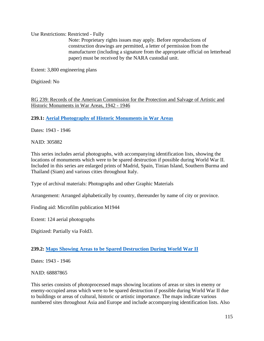Use Restrictions: Restricted - Fully

Note: Proprietary rights issues may apply. Before reproductions of construction drawings are permitted, a letter of permission from the manufacturer (including a signature from the appropriate official on letterhead paper) must be received by the NARA custodial unit.

Extent: 3,800 engineering plans

Digitized: No

RG 239: Records of the American Commission for the Protection and Salvage of Artistic and Historic Monuments in War Areas, 1942 - 1946

**239.1: Aerial Photography [of Historic Monuments in War Areas](https://catalog.archives.gov/id/305882)**

Dates: 1943 - 1946

NAID: 305882

This series includes aerial photographs, with accompanying identification lists, showing the locations of monuments which were to be spared destruction if possible during World War II. Included in this series are enlarged prints of Madrid, Spain, Tinian Island, Southern Burma and Thailand (Siam) and various cities throughout Italy.

Type of archival materials: Photographs and other Graphic Materials

Arrangement: Arranged alphabetically by country, thereunder by name of city or province.

Finding aid: Microfilm publication M1944

Extent: 124 aerial photographs

Digitized: Partially via Fold3.

# **239.2: Maps [Showing Areas to be Spared Destruction During World War II](https://catalog.archives.gov/id/68887865)**

Dates: 1943 - 1946

NAID: 68887865

This series consists of photoprocessed maps showing locations of areas or sites in enemy or enemy-occupied areas which were to be spared destruction if possible during World War II due to buildings or areas of cultural, historic or artistic importance. The maps indicate various numbered sites throughout Asia and Europe and include accompanying identification lists. Also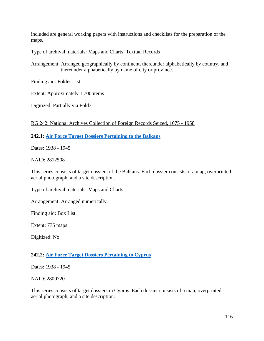included are general working papers with instructions and checklists for the preparation of the maps.

Type of archival materials: Maps and Charts; Textual Records

Arrangement: Arranged geographically by continent, thereunder alphabetically by country, and thereunder alphabetically by name of city or province.

Finding aid: Folder List

Extent: Approximately 1,700 items

Digitized: Partially via Fold3.

RG 242: National Archives Collection of Foreign Records Seized, 1675 - 1958

# **242.1: Air [Force Target Dossiers Pertaining to the Balkans](https://catalog.archives.gov/id/2812508)**

Dates: 1938 - 1945

NAID: 2812508

This series consists of target dossiers of the Balkans. Each dossier consists of a map, overprinted aerial photograph, and a site description.

Type of archival materials: Maps and Charts

Arrangement: Arranged numerically.

Finding aid: Box List

Extent: 775 maps

Digitized: No

### **242.2: Air [Force Target Dossiers Pertaining to Cyprus](https://catalog.archives.gov/id/2800720)**

Dates: 1938 - 1945

NAID: 2800720

This series consists of target dossiers in Cyprus. Each dossier consists of a map, overprinted aerial photograph, and a site description.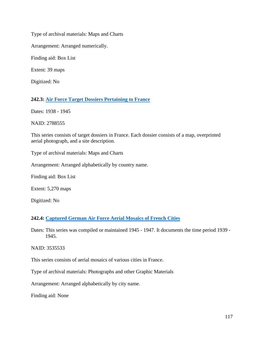Type of archival materials: Maps and Charts

Arrangement: Arranged numerically.

Finding aid: Box List

Extent: 39 maps

Digitized: No

# **242.3: Air Force [Target Dossiers Pertaining to France](https://catalog.archives.gov/id/2788555)**

Dates: 1938 - 1945

NAID: 2788555

This series consists of target dossiers in France. Each dossier consists of a map, overprinted aerial photograph, and a site description.

Type of archival materials: Maps and Charts

Arrangement: Arranged alphabetically by country name.

Finding aid: Box List

Extent: 5,270 maps

Digitized: No

# **242.4: Captured [German Air Force Aerial Mosaics of French Cities](https://catalog.archives.gov/id/3535533)**

Dates: This series was compiled or maintained 1945 - 1947. It documents the time period 1939 - 1945.

NAID: 3535533

This series consists of aerial mosaics of various cities in France.

Type of archival materials: Photographs and other Graphic Materials

Arrangement: Arranged alphabetically by city name.

Finding aid: None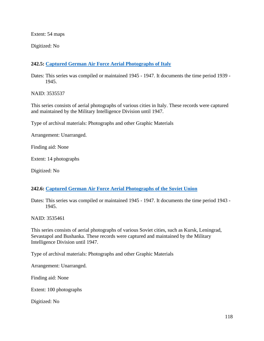Extent: 54 maps

Digitized: No

# **242.5: [Captured German Air Force Aerial Photographs of Italy](https://catalog.archives.gov/id/3535537)**

Dates: This series was compiled or maintained 1945 - 1947. It documents the time period 1939 - 1945.

NAID: 3535537

This series consists of aerial photographs of various cities in Italy. These records were captured and maintained by the Military Intelligence Division until 1947.

Type of archival materials: Photographs and other Graphic Materials

Arrangement: Unarranged.

Finding aid: None

Extent: 14 photographs

Digitized: No

### **242.6: Captured [German Air Force Aerial Photographs of the Soviet Union](https://catalog.archives.gov/id/3535461)**

Dates: This series was compiled or maintained 1945 - 1947. It documents the time period 1943 - 1945.

NAID: 3535461

This series consists of aerial photographs of various Soviet cities, such as Kursk, Leningrad, Sevastapol and Bushanka. These records were captured and maintained by the Military Intelligence Division until 1947.

Type of archival materials: Photographs and other Graphic Materials

Arrangement: Unarranged.

Finding aid: None

Extent: 100 photographs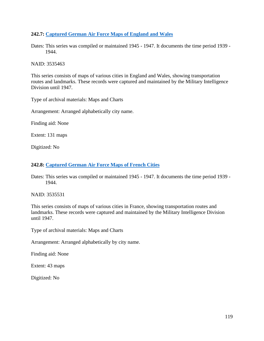# **242.7: [Captured German Air Force Maps of England and Wales](https://catalog.archives.gov/id/3535463)**

Dates: This series was compiled or maintained 1945 - 1947. It documents the time period 1939 - 1944.

NAID: 3535463

This series consists of maps of various cities in England and Wales, showing transportation routes and landmarks. These records were captured and maintained by the Military Intelligence Division until 1947.

Type of archival materials: Maps and Charts

Arrangement: Arranged alphabetically city name.

Finding aid: None

Extent: 131 maps

Digitized: No

### **242.8: Captured [German Air Force Maps of French Cities](https://catalog.archives.gov/id/3535531)**

Dates: This series was compiled or maintained 1945 - 1947. It documents the time period 1939 - 1944.

NAID: 3535531

This series consists of maps of various cities in France, showing transportation routes and landmarks. These records were captured and maintained by the Military Intelligence Division until 1947.

Type of archival materials: Maps and Charts

Arrangement: Arranged alphabetically by city name.

Finding aid: None

Extent: 43 maps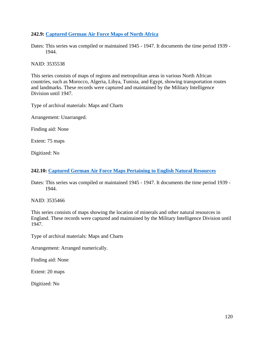## **242.9: Captured [German Air Force Maps of North Africa](https://catalog.archives.gov/id/3535538)**

Dates: This series was compiled or maintained 1945 - 1947. It documents the time period 1939 - 1944.

NAID: 3535538

This series consists of maps of regions and metropolitan areas in various North African countries, such as Morocco, Algeria, Libya, Tunisia, and Egypt, showing transportation routes and landmarks. These records were captured and maintained by the Military Intelligence Division until 1947.

Type of archival materials: Maps and Charts

Arrangement: Unarranged.

Finding aid: None

Extent: 75 maps

Digitized: No

### **242.10: Captured German [Air Force Maps Pertaining to English Natural Resources](https://catalog.archives.gov/id/3535466)**

Dates: This series was compiled or maintained 1945 - 1947. It documents the time period 1939 - 1944.

NAID: 3535466

This series consists of maps showing the location of minerals and other natural resources in England. These records were captured and maintained by the Military Intelligence Division until 1947.

Type of archival materials: Maps and Charts

Arrangement: Arranged numerically.

Finding aid: None

Extent: 20 maps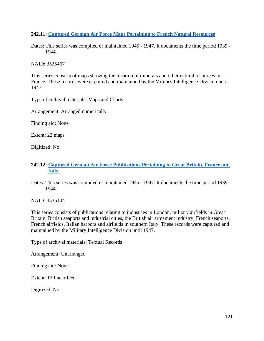# **242.11: [Captured German Air Force Maps Pertaining to French Natural Resources](https://catalog.archives.gov/id/3535467)**

Dates: This series was compiled or maintained 1945 - 1947. It documents the time period 1939 - 1944.

NAID: 3535467

This series consists of maps showing the location of minerals and other natural resources in France. These records were captured and maintained by the Military Intelligence Division until 1947.

Type of archival materials: Maps and Charts

Arrangement: Arranged numerically.

Finding aid: None

Extent: 22 maps

Digitized: No

# **242.12: Captured [German Air Force Publications Pertaining to Great Britain, France and](https://catalog.archives.gov/id/3535104)  [Italy](https://catalog.archives.gov/id/3535104)**

Dates: This series was compiled or maintained 1945 - 1947. It documents the time period 1939 - 1944.

NAID: 3535104

This series consists of publications relating to industries in London, military airfields in Great Britain, British seaports and industrial cities, the British air armament industry, French seaports, French airfields, Italian harbors and airfields in southern Italy. These records were captured and maintained by the Military Intelligence Division until 1947.

Type of archival materials: Textual Records

Arrangement: Unarranged.

Finding aid: None

Extent: 12 linear feet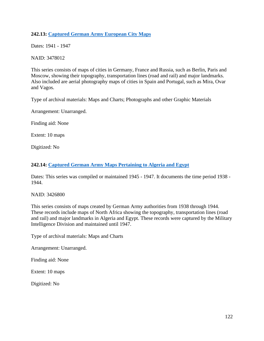# **242.13: Captured [German Army European City Maps](https://catalog.archives.gov/id/3478012)**

Dates: 1941 - 1947

NAID: 3478012

This series consists of maps of cities in Germany, France and Russia, such as Berlin, Paris and Moscow, showing their topography, transportation lines (road and rail) and major landmarks. Also included are aerial photography maps of cities in Spain and Portugal, such as Mira, Ovar and Vagos.

Type of archival materials: Maps and Charts; Photographs and other Graphic Materials

Arrangement: Unarranged.

Finding aid: None

Extent: 10 maps

Digitized: No

# **242.14: Captured [German Army Maps Pertaining to Algeria and Egypt](https://catalog.archives.gov/id/3426800)**

Dates: This series was compiled or maintained 1945 - 1947. It documents the time period 1938 - 1944.

NAID: 3426800

This series consists of maps created by German Army authorities from 1938 through 1944. These records include maps of North Africa showing the topography, transportation lines (road and rail) and major landmarks in Algeria and Egypt. These records were captured by the Military Intelligence Division and maintained until 1947.

Type of archival materials: Maps and Charts

Arrangement: Unarranged.

Finding aid: None

Extent: 10 maps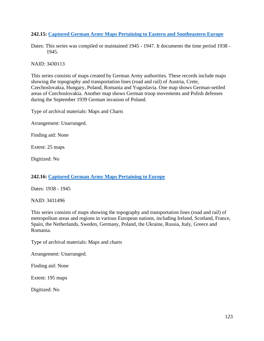# **242.15: Captured [German Army Maps Pertaining to Eastern and Southeastern Europe](https://catalog.archives.gov/id/3430113)**

Dates: This series was compiled or maintained 1945 - 1947. It documents the time period 1938 - 1945.

NAID: 3430113

This series consists of maps created by German Army authorities. These records include maps showing the topography and transportation lines (road and rail) of Austria, Crete, Czechoslovakia, Hungary, Poland, Romania and Yugoslavia. One map shows German-settled areas of Czechoslovakia. Another map shows German troop movements and Polish defenses during the September 1939 German invasion of Poland.

Type of archival materials: Maps and Charts

Arrangement: Unarranged.

Finding aid: None

Extent: 25 maps

Digitized: No

# **242.16: Captured [German Army Maps Pertaining to Europe](https://catalog.archives.gov/id/3431496)**

Dates: 1938 - 1945

NAID: 3431496

This series consists of maps showing the topography and transportation lines (road and rail) of metropolitan areas and regions in various European nations, including Ireland, Scotland, France, Spain, the Netherlands, Sweden, Germany, Poland, the Ukraine, Russia, Italy, Greece and Romania.

Type of archival materials: Maps and charts

Arrangement: Unarranged.

Finding aid: None

Extent: 195 maps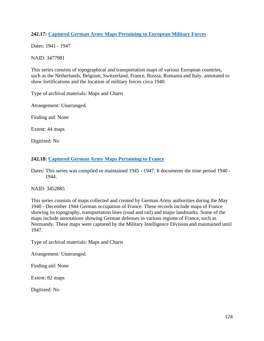# **242.17: Captured [German Army Maps Pertaining to European Military Forces](https://catalog.archives.gov/id/3477981)**

Dates: 1941 - 1947

NAID: 3477981

This series consists of topographical and transportation maps of various European countries, such as the Netherlands, Belgium, Switzerland, France, Russia, Romania and Italy, annotated to show fortifications and the location of military forces circa 1940.

Type of archival materials: Maps and Charts

Arrangement: Unarranged.

Finding aid: None

Extent: 44 maps

Digitized: No

### **242.18: Captured [German Army Maps Pertaining to France](https://catalog.archives.gov/id/3452885)**

Dates: This series was compiled or maintained 1945 - 1947. It documents the time period 1940 - 1944.

### NAID: 3452885

This series consists of maps collected and created by German Army authorities during the May 1940 - December 1944 German occupation of France. These records include maps of France showing its topography, transportation lines (road and rail) and major landmarks. Some of the maps include annotations showing German defenses in various regions of France, such as Normandy. These maps were captured by the Military Intelligence Division and maintained until 1947.

Type of archival materials: Maps and Charts

Arrangement: Unarranged.

Finding aid: None

Extent: 82 maps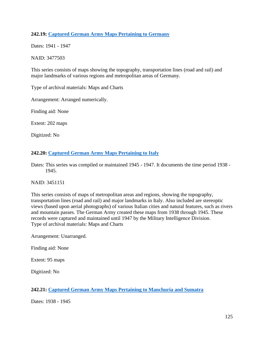# **242.19: Captured [German Army Maps Pertaining to Germany](https://catalog.archives.gov/id/3477503)**

Dates: 1941 - 1947

NAID: 3477503

This series consists of maps showing the topography, transportation lines (road and rail) and major landmarks of various regions and metropolitan areas of Germany.

Type of archival materials: Maps and Charts

Arrangement: Arranged numerically.

Finding aid: None

Extent: 202 maps

Digitized: No

### **242.20: Captured [German Army Maps Pertaining to Italy](https://catalog.archives.gov/id/3451151)**

Dates: This series was compiled or maintained 1945 - 1947. It documents the time period 1938 - 1945.

### NAID: 3451151

This series consists of maps of metropolitan areas and regions, showing the topography, transportation lines (road and rail) and major landmarks in Italy. Also included are stereoptic views (based upon aerial photographs) of various Italian cities and natural features, such as rivers and mountain passes. The German Army created these maps from 1938 through 1945. These records were captured and maintained until 1947 by the Military Intelligence Division. Type of archival materials: Maps and Charts

Arrangement: Unarranged.

Finding aid: None

Extent: 95 maps

Digitized: No

# **242.21: [Captured German Army Maps Pertaining to Manchuria and Sumatra](https://catalog.archives.gov/id/3431510)**

Dates: 1938 - 1945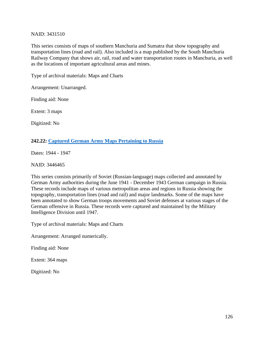### NAID: 3431510

This series consists of maps of southern Manchuria and Sumatra that show topography and transportation lines (road and rail). Also included is a map published by the South Manchuria Railway Company that shows air, rail, road and water transportation routes in Manchuria, as well as the locations of important agricultural areas and mines.

Type of archival materials: Maps and Charts

Arrangement: Unarranged.

Finding aid: None

Extent: 3 maps

Digitized: No

### **242.22: Captured German [Army Maps Pertaining to Russia](https://catalog.archives.gov/id/3446465)**

Dates: 1944 - 1947

NAID: 3446465

This series consists primarily of Soviet (Russian-language) maps collected and annotated by German Army authorities during the June 1941 - December 1943 German campaign in Russia. These records include maps of various metropolitan areas and regions in Russia showing the topography, transportation lines (road and rail) and major landmarks. Some of the maps have been annotated to show German troops movements and Soviet defenses at various stages of the German offensive in Russia. These records were captured and maintained by the Military Intelligence Division until 1947.

Type of archival materials: Maps and Charts

Arrangement: Arranged numerically.

Finding aid: None

Extent: 364 maps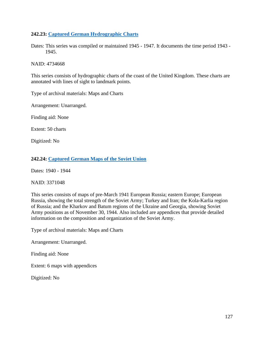## **242.23: Captured German [Hydrographic Charts](https://catalog.archives.gov/id/4734668)**

Dates: This series was compiled or maintained 1945 - 1947. It documents the time period 1943 - 1945.

NAID: 4734668

This series consists of hydrographic charts of the coast of the United Kingdom. These charts are annotated with lines of sight to landmark points.

Type of archival materials: Maps and Charts

Arrangement: Unarranged.

Finding aid: None

Extent: 50 charts

Digitized: No

### **242.24: Captured [German Maps of the Soviet Union](https://catalog.archives.gov/id/3371048)**

Dates: 1940 - 1944

NAID: 3371048

This series consists of maps of pre-March 1941 European Russia; eastern Europe; European Russia, showing the total strength of the Soviet Army; Turkey and Iran; the Kola-Karlia region of Russia; and the Kharkov and Batum regions of the Ukraine and Georgia, showing Soviet Army positions as of November 30, 1944. Also included are appendices that provide detailed information on the composition and organization of the Soviet Army.

Type of archival materials: Maps and Charts

Arrangement: Unarranged.

Finding aid: None

Extent: 6 maps with appendices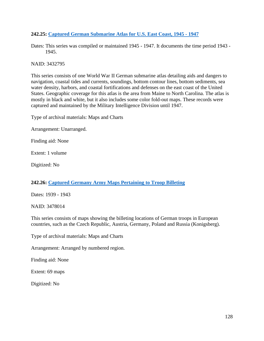## **242.25: Captured [German Submarine Atlas for U.S. East Coast, 1945 -](https://catalog.archives.gov/id/3432795) 1947**

Dates: This series was compiled or maintained 1945 - 1947. It documents the time period 1943 - 1945.

NAID: 3432795

This series consists of one World War II German submarine atlas detailing aids and dangers to navigation, coastal tides and currents, soundings, bottom contour lines, bottom sediments, sea water density, harbors, and coastal fortifications and defenses on the east coast of the United States. Geographic coverage for this atlas is the area from Maine to North Carolina. The atlas is mostly in black and white, but it also includes some color fold-out maps. These records were captured and maintained by the Military Intelligence Division until 1947.

Type of archival materials: Maps and Charts

Arrangement: Unarranged.

Finding aid: None

Extent: 1 volume

Digitized: No

# **242.26: Captured Germany [Army Maps Pertaining to Troop Billeting](https://catalog.archives.gov/id/3478014)**

Dates: 1939 - 1943

NAID: 3478014

This series consists of maps showing the billeting locations of German troops in European countries, such as the Czech Republic, Austria, Germany, Poland and Russia (Konigsberg).

Type of archival materials: Maps and Charts

Arrangement: Arranged by numbered region.

Finding aid: None

Extent: 69 maps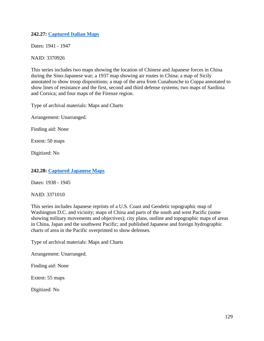# **242.27: Captured [Italian Maps](https://catalog.archives.gov/id/3370926)**

Dates: 1941 - 1947

NAID: 3370926

This series includes two maps showing the location of Chinese and Japanese forces in China during the Sino-Japanese war; a 1937 map showing air routes in China; a map of Sicily annotated to show troop dispositions; a map of the area from Cunabunche to Coppa annotated to show lines of resistance and the first, second and third defense systems; two maps of Sardinia and Corsica; and four maps of the Firenze region.

Type of archival materials: Maps and Charts

Arrangement: Unarranged.

Finding aid: None

Extent: 50 maps

Digitized: No

## **242.28: [Captured Japanese Maps](https://catalog.archives.gov/id/3371010)**

Dates: 1938 - 1945

NAID: 3371010

This series includes Japanese reprints of a U.S. Coast and Geodetic topographic map of Washington D.C. and vicinity; maps of China and parts of the south and west Pacific (some showing military movements and objectives); city plans, outline and topographic maps of areas in China, Japan and the southwest Pacific; and published Japanese and foreign hydrographic charts of area in the Pacific overprinted to show defenses.

Type of archival materials: Maps and Charts

Arrangement: Unarranged.

Finding aid: None

Extent: 55 maps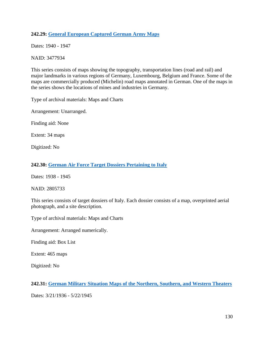# **242.29: General [European Captured German Army Maps](https://catalog.archives.gov/id/3477934)**

Dates: 1940 - 1947

NAID: 3477934

This series consists of maps showing the topography, transportation lines (road and rail) and major landmarks in various regions of Germany, Luxembourg, Belgium and France. Some of the maps are commercially produced (Michelin) road maps annotated in German. One of the maps in the series shows the locations of mines and industries in Germany.

Type of archival materials: Maps and Charts

Arrangement: Unarranged.

Finding aid: None

Extent: 34 maps

Digitized: No

### **242.30: German [Air Force Target Dossiers Pertaining to Italy](https://catalog.archives.gov/id/2805733)**

Dates: 1938 - 1945

NAID: 2805733

This series consists of target dossiers of Italy. Each dossier consists of a map, overprinted aerial photograph, and a site description.

Type of archival materials: Maps and Charts

Arrangement: Arranged numerically.

Finding aid: Box List

Extent: 465 maps

Digitized: No

**242.31: German [Military Situation Maps of the Northern,](https://catalog.archives.gov/id/559737) Southern, and Western Theaters**

Dates: 3/21/1936 - 5/22/1945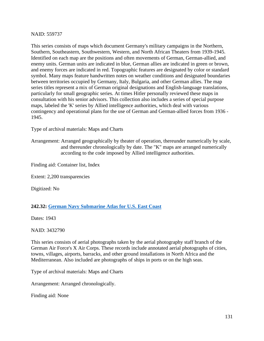### NAID: 559737

This series consists of maps which document Germany's military campaigns in the Northern, Southern, Southeastern, Southwestern, Western, and North African Theaters from 1939-1945. Identified on each map are the positions and often movements of German, German-allied, and enemy units. German units are indicated in blue, German allies are indicated in green or brown, and enemy forces are indicated in red. Topographic features are designated by color or standard symbol. Many maps feature handwritten notes on weather conditions and designated boundaries between territories occupied by Germany, Italy, Bulgaria, and other German allies. The map series titles represent a mix of German original designations and English-language translations, particularly for small geographic series. At times Hitler personally reviewed these maps in consultation with his senior advisors. This collection also includes a series of special purpose maps, labeled the 'K' series by Allied intelligence authorities, which deal with various contingency and operational plans for the use of German and German-allied forces from 1936 - 1945.

Type of archival materials: Maps and Charts

Arrangement: Arranged geographically by theater of operation, thereunder numerically by scale, and thereunder chronologically by date. The "K" maps are arranged numerically according to the code imposed by Allied intelligence authorities.

Finding aid: Container list, Index

Extent: 2,200 transparencies

Digitized: No

### **242.32: German [Navy Submarine Atlas for U.S. East Coast](https://catalog.archives.gov/id/3432790)**

Dates: 1943

NAID: 3432790

This series consists of aerial photographs taken by the aerial photography staff branch of the German Air Force's X Air Corps. These records include annotated aerial photographs of cities, towns, villages, airports, barracks, and other ground installations in North Africa and the Mediterranean. Also included are photographs of ships in ports or on the high seas.

Type of archival materials: Maps and Charts

Arrangement: Arranged chronologically.

Finding aid: None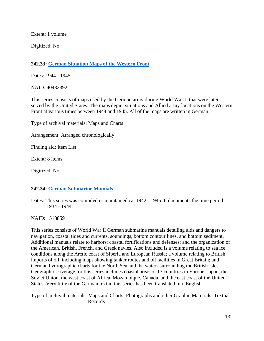Extent: 1 volume

Digitized: No

# **242.33: German [Situation Maps of the Western Front](https://catalog.archives.gov/id/40432392)**

Dates: 1944 - 1945

NAID: 40432392

This series consists of maps used by the German army during World War II that were later seized by the United States. The maps depict situations and Allied army locations on the Western Front at various times between 1944 and 1945. All of the maps are written in German.

Type of archival materials: Maps and Charts

Arrangement: Arranged chronologically.

Finding aid: Item List

Extent: 8 items

Digitized: No

# **242.34: [German Submarine](https://catalog.archives.gov/id/1518859) Manuals**

Dates: This series was compiled or maintained ca. 1942 - 1945. It documents the time period 1934 - 1944.

NAID: 1518859

This series consists of World War II German submarine manuals detailing aids and dangers to navigation, coastal tides and currents, soundings, bottom contour lines, and bottom sediment. Additional manuals relate to harbors; coastal fortifications and defenses; and the organization of the American, British, French, and Greek navies. Also included is a volume relating to sea ice conditions along the Arctic coast of Siberia and European Russia; a volume relating to British imports of oil, including maps showing tanker routes and oil facilities in Great Britain; and German hydrographic charts for the North Sea and the waters surrounding the British Isles. Geographic coverage for this series includes coastal areas of 17 countries in Europe, Japan, the Soviet Union, the west coast of Africa, Mozambique, Canada, and the east coast of the United States. Very little of the German text in this series has been translated into English.

Type of archival materials: Maps and Charts; Photographs and other Graphic Materials; Textual Records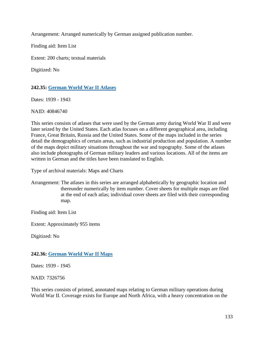Arrangement: Arranged numerically by German assigned publication number.

Finding aid: Item List

Extent: 200 charts; textual materials

Digitized: No

# **242.35: German [World War II Atlases](https://catalog.archives.gov/id/40846740)**

Dates: 1939 - 1943

NAID: 40846740

This series consists of atlases that were used by the German army during World War II and were later seized by the United States. Each atlas focuses on a different geographical area, including France, Great Britain, Russia and the United States. Some of the maps included in the series detail the demographics of certain areas, such as industrial production and population. A number of the maps depict military situations throughout the war and topography. Some of the atlases also include photographs of German military leaders and various locations. All of the items are written in German and the titles have been translated to English.

Type of archival materials: Maps and Charts

Arrangement: The atlases in this series are arranged alphabetically by geographic location and thereunder numerically by item number. Cover sheets for multiple maps are filed at the end of each atlas; individual cover sheets are filed with their corresponding map.

Finding aid: Item List

Extent: Approximately 955 items

Digitized: No

# **242.36: German [World War II Maps](https://catalog.archives.gov/id/7326756)**

Dates: 1939 - 1945

NAID: 7326756

This series consists of printed, annotated maps relating to German military operations during World War II. Coverage exists for Europe and North Africa, with a heavy concentration on the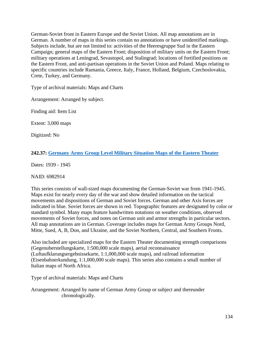German-Soviet front in Eastern Europe and the Soviet Union. All map annotations are in German. A number of maps in this series contain no annotations or have unidentified markings. Subjects include, but are not limited to: activities of the Heeresgruppe Sud in the Eastern Campaign; general maps of the Eastern Front; disposition of military units on the Eastern Front; military operations at Leningrad, Sevastopol, and Stalingrad; locations of fortified positions on the Eastern Front, and anti-partisan operations in the Soviet Union and Poland. Maps relating to specific countries include Rumania, Greece, Italy, France, Holland, Belgium, Czechoslovakia, Crete, Turkey, and Germany.

Type of archival materials: Maps and Charts

Arrangement: Arranged by subject.

Finding aid: Item List

Extent: 3,000 maps

Digitized: No

# **242.37: Germany [Army Group Level Military Situation Maps of the Eastern Theater](https://catalog.archives.gov/id/6982914)**

Dates: 1939 - 1945

### NAID: 6982914

This series consists of wall-sized maps documenting the German-Soviet war from 1941-1945. Maps exist for nearly every day of the war and show detailed information on the tactical movements and dispositions of German and Soviet forces. German and other Axis forces are indicated in blue. Soviet forces are shown in red. Topographic features are designated by color or standard symbol. Many maps feature handwritten notations on weather conditions, observed movements of Soviet forces, and notes on German unit and armor strengths in particular sectors. All map annotations are in German. Coverage includes maps for German Army Groups Nord, Mitte, Sued, A, B, Don, and Ukraine, and the Soviet Northern, Central, and Southern Fronts.

Also included are specialized maps for the Eastern Theater documenting strength comparisons (Gegenuberstellungskarte, 1:500,000 scale maps), aerial reconnaissance (Luftaufklarungsergebnissekarte, 1:1,000,000 scale maps), and railroad information (Eisenbahnerkundung, 1:1,000,000 scale maps). This series also contains a small number of Italian maps of North Africa.

Type of archival materials: Maps and Charts

Arrangement: Arranged by name of German Army Group or subject and thereunder chronologically.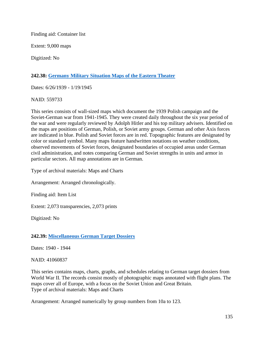Finding aid: Container list

Extent: 9,000 maps

Digitized: No

# **242.38: Germany [Military Situation Maps of the Eastern Theater](https://catalog.archives.gov/id/559733)**

Dates: 6/26/1939 - 1/19/1945

NAID: 559733

This series consists of wall-sized maps which document the 1939 Polish campaign and the Soviet-German war from 1941-1945. They were created daily throughout the six year period of the war and were regularly reviewed by Adolph Hitler and his top military advisers. Identified on the maps are positions of German, Polish, or Soviet army groups. German and other Axis forces are indicated in blue. Polish and Soviet forces are in red. Topographic features are designated by color or standard symbol. Many maps feature handwritten notations on weather conditions, observed movements of Soviet forces, designated boundaries of occupied areas under German civil administration, and notes comparing German and Soviet strengths in units and armor in particular sectors. All map annotations are in German.

Type of archival materials: Maps and Charts

Arrangement: Arranged chronologically.

Finding aid: Item List

Extent: 2,073 transparencies, 2,073 prints

Digitized: No

**242.39: Miscellaneous [German Target Dossiers](https://catalog.archives.gov/id/41060837)**

Dates: 1940 - 1944

NAID: 41060837

This series contains maps, charts, graphs, and schedules relating to German target dossiers from World War II. The records consist mostly of photographic maps annotated with flight plans. The maps cover all of Europe, with a focus on the Soviet Union and Great Britain. Type of archival materials: Maps and Charts

Arrangement: Arranged numerically by group numbers from 10a to 123.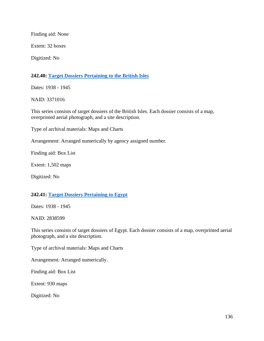Finding aid: None

Extent: 32 boxes

Digitized: No

### **242.40: Target [Dossiers Pertaining to the British Isles](https://catalog.archives.gov/id/3371016)**

Dates: 1938 - 1945

NAID: 3371016

This series consists of target dossiers of the British Isles. Each dossier consists of a map, overprinted aerial photograph, and a site description.

Type of archival materials: Maps and Charts

Arrangement: Arranged numerically by agency assigned number.

Finding aid: Box List

Extent: 1,502 maps

Digitized: No

### **242.41: [Target Dossiers Pertaining to Egypt](https://catalog.archives.gov/id/2838599)**

Dates: 1938 - 1945

NAID: 2838599

This series consists of target dossiers of Egypt. Each dossier consists of a map, overprinted aerial photograph, and a site description.

Type of archival materials: Maps and Charts

Arrangement: Arranged numerically.

Finding aid: Box List

Extent: 930 maps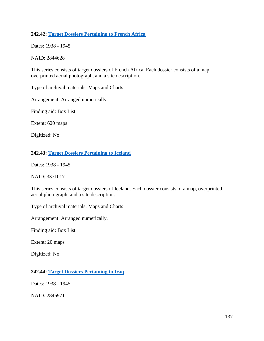# **242.42: Target [Dossiers Pertaining to French Africa](https://catalog.archives.gov/id/2844628)**

Dates: 1938 - 1945

NAID: 2844628

This series consists of target dossiers of French Africa. Each dossier consists of a map, overprinted aerial photograph, and a site description.

Type of archival materials: Maps and Charts

Arrangement: Arranged numerically.

Finding aid: Box List

Extent: 620 maps

Digitized: No

# **242.43: Target [Dossiers Pertaining to Iceland](https://catalog.archives.gov/id/3371017)**

Dates: 1938 - 1945

### NAID: 3371017

This series consists of target dossiers of Iceland. Each dossier consists of a map, overprinted aerial photograph, and a site description.

Type of archival materials: Maps and Charts

Arrangement: Arranged numerically.

Finding aid: Box List

Extent: 20 maps

Digitized: No

# **242.44: Target [Dossiers Pertaining to Iraq](https://catalog.archives.gov/id/2846971)**

Dates: 1938 - 1945

NAID: 2846971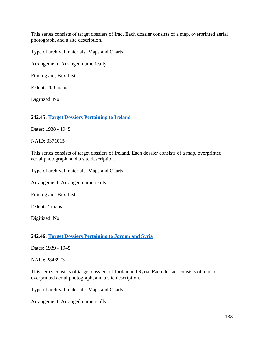This series consists of target dossiers of Iraq. Each dossier consists of a map, overprinted aerial photograph, and a site description.

Type of archival materials: Maps and Charts

Arrangement: Arranged numerically.

Finding aid: Box List

Extent: 200 maps

Digitized: No

**242.45: Target [Dossiers Pertaining to Ireland](https://catalog.archives.gov/id/3371015)**

Dates: 1938 - 1945

NAID: 3371015

This series consists of target dossiers of Ireland. Each dossier consists of a map, overprinted aerial photograph, and a site description.

Type of archival materials: Maps and Charts

Arrangement: Arranged numerically.

Finding aid: Box List

Extent: 4 maps

Digitized: No

# **242.46: Target Dossiers Pertaining to Jordan and Syria**

Dates: 1939 - 1945

NAID: 2846973

This series consists of target dossiers of Jordan and Syria. Each dossier consists of a map, overprinted aerial photograph, and a site description.

Type of archival materials: Maps and Charts

Arrangement: Arranged numerically.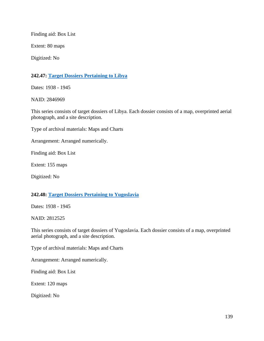Finding aid: Box List

Extent: 80 maps

Digitized: No

## **242.47: Target [Dossiers Pertaining to Libya](https://catalog.archives.gov/id/2846969)**

Dates: 1938 - 1945

NAID: 2846969

This series consists of target dossiers of Libya. Each dossier consists of a map, overprinted aerial photograph, and a site description.

Type of archival materials: Maps and Charts

Arrangement: Arranged numerically.

Finding aid: Box List

Extent: 155 maps

Digitized: No

#### **242.48: Target [Dossiers Pertaining to Yugoslavia](https://catalog.archives.gov/id/2812525)**

Dates: 1938 - 1945

NAID: 2812525

This series consists of target dossiers of Yugoslavia. Each dossier consists of a map, overprinted aerial photograph, and a site description.

Type of archival materials: Maps and Charts

Arrangement: Arranged numerically.

Finding aid: Box List

Extent: 120 maps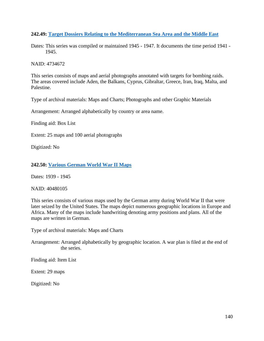# **242.49: Target [Dossiers Relating to the Mediterranean Sea Area and the Middle East](https://catalog.archives.gov/id/4734672)**

Dates: This series was compiled or maintained 1945 - 1947. It documents the time period 1941 - 1945.

NAID: 4734672

This series consists of maps and aerial photographs annotated with targets for bombing raids. The areas covered include Aden, the Balkans, Cyprus, Gibraltar, Greece, Iran, Iraq, Malta, and Palestine.

Type of archival materials: Maps and Charts; Photographs and other Graphic Materials

Arrangement: Arranged alphabetically by country or area name.

Finding aid: Box List

Extent: 25 maps and 100 aerial photographs

Digitized: No

# **242.50: Various [German World War II Maps](https://catalog.archives.gov/id/40480105)**

Dates: 1939 - 1945

NAID: 40480105

This series consists of various maps used by the German army during World War II that were later seized by the United States. The maps depict numerous geographic locations in Europe and Africa. Many of the maps include handwriting denoting army positions and plans. All of the maps are written in German.

Type of archival materials: Maps and Charts

Arrangement: Arranged alphabetically by geographic location. A war plan is filed at the end of the series.

Finding aid: Item List

Extent: 29 maps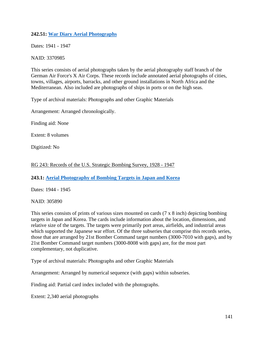# **242.51: War [Diary Aerial Photographs](https://catalog.archives.gov/id/3370985)**

Dates: 1941 - 1947

NAID: 3370985

This series consists of aerial photographs taken by the aerial photography staff branch of the German Air Force's X Air Corps. These records include annotated aerial photographs of cities, towns, villages, airports, barracks, and other ground installations in North Africa and the Mediterranean. Also included are photographs of ships in ports or on the high seas.

Type of archival materials: Photographs and other Graphic Materials

Arrangement: Arranged chronologically.

Finding aid: None

Extent: 8 volumes

Digitized: No

#### RG 243: Records of the U.S. Strategic Bombing Survey, 1928 - 1947

**243.1: [Aerial Photography of Bombing Targets in Japan and Korea](https://catalog.archives.gov/id/305890)**

Dates: 1944 - 1945

NAID: 305890

This series consists of prints of various sizes mounted on cards (7 x 8 inch) depicting bombing targets in Japan and Korea. The cards include information about the location, dimensions, and relative size of the targets. The targets were primarily port areas, airfields, and industrial areas which supported the Japanese war effort. Of the three subseries that comprise this records series, those that are arranged by 21st Bomber Command target numbers (3000-7010 with gaps), and by 21st Bomber Command target numbers (3000-8008 with gaps) are, for the most part complementary, not duplicative.

Type of archival materials: Photographs and other Graphic Materials

Arrangement: Arranged by numerical sequence (with gaps) within subseries.

Finding aid: Partial card index included with the photographs.

Extent: 2,340 aerial photographs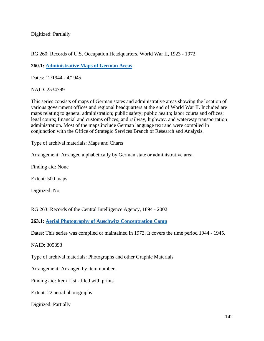Digitized: Partially

## RG 260: Records of U.S. Occupation Headquarters, World War II, 1923 - 1972

**260.1: Administrative [Maps of German Areas](https://catalog.archives.gov/id/2534799)**

Dates: 12/1944 - 4/1945

NAID: 2534799

This series consists of maps of German states and administrative areas showing the location of various government offices and regional headquarters at the end of World War II. Included are maps relating to general administration; public safety; public health; labor courts and offices; legal courts; financial and customs offices; and railway, highway, and waterway transportation administration. Most of the maps include German language text and were compiled in conjunction with the Office of Strategic Services Branch of Research and Analysis.

Type of archival materials: Maps and Charts

Arrangement: Arranged alphabetically by German state or administrative area.

Finding aid: None

Extent: 500 maps

Digitized: No

RG 263: Records of the Central Intelligence Agency, 1894 - 2002

**263.1: Aerial [Photography of Auschwitz Concentration Camp](https://catalog.archives.gov/id/305893)**

Dates: This series was compiled or maintained in 1973. It covers the time period 1944 - 1945.

NAID: 305893

Type of archival materials: Photographs and other Graphic Materials

Arrangement: Arranged by item number.

Finding aid: Item List - filed with prints

Extent: 22 aerial photographs

Digitized: Partially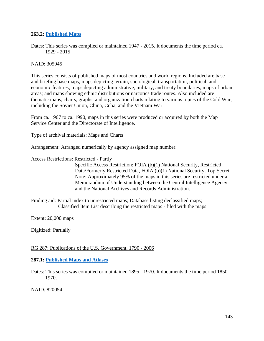## **263.2: [Published](https://catalog.archives.gov/id/305945) Maps**

Dates: This series was compiled or maintained 1947 - 2015. It documents the time period ca. 1929 - 2015

#### NAID: 305945

This series consists of published maps of most countries and world regions. Included are base and briefing base maps; maps depicting terrain, sociological, transportation, political, and economic features; maps depicting administrative, military, and treaty boundaries; maps of urban areas; and maps showing ethnic distributions or narcotics trade routes. Also included are thematic maps, charts, graphs, and organization charts relating to various topics of the Cold War, including the Soviet Union, China, Cuba, and the Vietnam War.

From ca. 1967 to ca. 1990, maps in this series were produced or acquired by both the Map Service Center and the Directorate of Intelligence.

Type of archival materials: Maps and Charts

Arrangement: Arranged numerically by agency assigned map number.

Access Restrictions: Restricted - Partly

 Specific Access Restriction: FOIA (b)(1) National Security, Restricted Data/Formerly Restricted Data, FOIA (b)(1) National Security, Top Secret Note: Approximately 95% of the maps in this series are restricted under a Memorandum of Understanding between the Central Intelligence Agency and the National Archives and Records Administration.

Finding aid: Partial index to unrestricted maps; Database listing declassified maps; Classified Item List describing the restricted maps - filed with the maps

Extent: 20,000 maps

Digitized: Partially

RG 287: Publications of the U.S. Government, 1790 - 2006

#### **287.1: Published [Maps and Atlases](https://catalog.archives.gov/id/820054)**

Dates: This series was compiled or maintained 1895 - 1970. It documents the time period 1850 - 1970.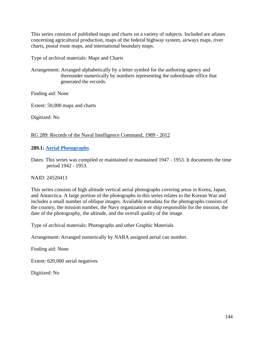This series consists of published maps and charts on a variety of subjects. Included are atlases concerning agricultural production, maps of the federal highway system, airways maps, river charts, postal route maps, and international boundary maps.

Type of archival materials: Maps and Charts

Arrangement: Arranged alphabetically by a letter symbol for the authoring agency and thereunder numerically by numbers representing the subordinate office that generated the records.

Finding aid: None

Extent: 50,000 maps and charts

Digitized: No

#### RG 289: Records of the Naval Intelligence Command, 1989 - 2012

## **289.1: Aerial [Photographs](https://catalog.archives.gov/id/24520413)**

Dates: This series was compiled or maintained or maintained 1947 - 1953. It documents the time period 1942 - 1953.

#### NAID: 24520413

This series consists of high altitude vertical aerial photographs covering areas in Korea, Japan, and Antarctica. A large portion of the photographs in this series relates to the Korean War and includes a small number of oblique images. Available metadata for the photographs consists of the country, the mission number, the Navy organization or ship responsible for the mission, the date of the photography, the altitude, and the overall quality of the image.

Type of archival materials: Photographs and other Graphic Materials

Arrangement: Arranged numerically by NARA assigned aerial can number.

Finding aid: None

Extent: 620,000 aerial negatives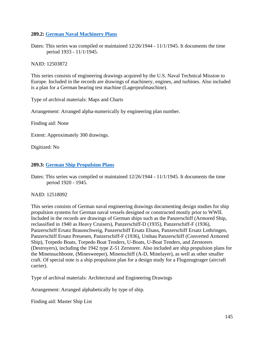## **289.2: German [Naval Machinery Plans](https://catalog.archives.gov/id/12503872)**

Dates: This series was compiled or maintained  $12/26/1944 - 11/1/1945$ . It documents the time period 1933 - 11/1/1945.

NAID: 12503872

This series consists of engineering drawings acquired by the U.S. Naval Technical Mission to Europe. Included in the records are drawings of machinery, engines, and turbines. Also included is a plan for a German bearing test machine (Lagerprufmaschine).

Type of archival materials: Maps and Charts

Arrangement: Arranged alpha-numerically by engineering plan number.

Finding aid: None

Extent: Approximately 300 drawings.

Digitized: No

#### **289.3: [German Ship Propulsion Plans](https://catalog.archives.gov/id/12518092)**

Dates: This series was compiled or maintained 12/26/1944 - 11/1/1945. It documents the time period 1920 - 1945.

NAID: 12518092

This series consists of German naval engineering drawings documenting design studies for ship propulsion systems for German naval vessels designed or constructed mostly prior to WWII. Included in the records are drawings of German ships such as the Panzerschiff (Armored Ship, reclassified in 1940 as Heavy Cruisers), Panzerschiff-D (1935), Panzerschiff-F (1936), Panzerschiff Ersatz Braunschweig, Panzerschiff Ersatz Elsass, Panzerschiff Ersatz Lothringen, Panzerschiff Ersatz Preuesen, Panzerschiff-F (1936), Umbau Panzerschiff (Converted Armored Ship), Torpedo Boats, Torpedo Boat Tenders, U-Boats, U-Boat Tenders, and Zerstorers (Destroyers), including the 1942 type Z-51 Zerstorer. Also included are ship propulsion plans for the Minensuchboote, (Minesweeper), Minenschiff (A-D, Minelayer), as well as other smaller craft. Of special note is a ship propulsion plan for a design study for a Flugzeugtrager (aircraft carrier).

Type of archival materials: Architectural and Engineering Drawings

Arrangement: Arranged alphabetically by type of ship.

Finding aid: Master Ship List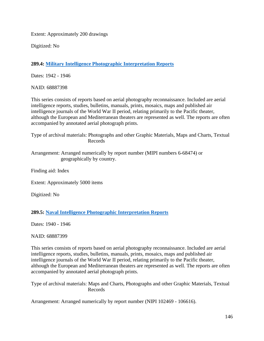Extent: Approximately 200 drawings

Digitized: No

**289.4: Military [Intelligence Photographic Interpretation Reports](https://catalog.archives.gov/id/68887398)**

Dates: 1942 - 1946

NAID: 68887398

This series consists of reports based on aerial photography reconnaissance. Included are aerial intelligence reports, studies, bulletins, manuals, prints, mosaics, maps and published air intelligence journals of the World War II period, relating primarily to the Pacific theater, although the European and Mediterranean theaters are represented as well. The reports are often accompanied by annotated aerial photograph prints.

Type of archival materials: Photographs and other Graphic Materials, Maps and Charts, Textual Records

Arrangement: Arranged numerically by report number (MIPI numbers 6-68474) or geographically by country.

Finding aid: Index

Extent: Approximately 5000 items

Digitized: No

**289.5: Naval [Intelligence Photographic Interpretation Reports](https://catalog.archives.gov/id/68887399)**

Dates: 1940 - 1946

NAID: 68887399

This series consists of reports based on aerial photography reconnaissance. Included are aerial intelligence reports, studies, bulletins, manuals, prints, mosaics, maps and published air intelligence journals of the World War II period, relating primarily to the Pacific theater, although the European and Mediterranean theaters are represented as well. The reports are often accompanied by annotated aerial photograph prints.

Type of archival materials: Maps and Charts, Photographs and other Graphic Materials, Textual Records

Arrangement: Arranged numerically by report number (NIPI 102469 - 106616).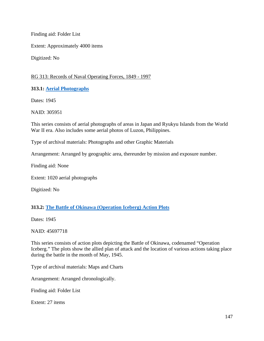Finding aid: Folder List

Extent: Approximately 4000 items

Digitized: No

# RG 313: Records of Naval Operating Forces, 1849 - 1997

**313.1: [Aerial Photographs](https://catalog.archives.gov/id/305951)**

Dates: 1945

NAID: 305951

This series consists of aerial photographs of areas in Japan and Ryukyu Islands from the World War II era. Also includes some aerial photos of Luzon, Philippines.

Type of archival materials: Photographs and other Graphic Materials

Arrangement: Arranged by geographic area, thereunder by mission and exposure number.

Finding aid: None

Extent: 1020 aerial photographs

Digitized: No

# **313.2: The [Battle of Okinawa \(Operation Iceberg\)](https://catalog.archives.gov/id/45697718) Action Plots**

Dates: 1945

NAID: 45697718

This series consists of action plots depicting the Battle of Okinawa, codenamed "Operation Iceberg." The plots show the allied plan of attack and the location of various actions taking place during the battle in the month of May, 1945.

Type of archival materials: Maps and Charts

Arrangement: Arranged chronologically.

Finding aid: Folder List

Extent: 27 items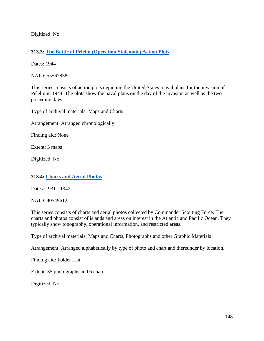Digitized: No

# **313.3: The Battle [of Peleliu \(Operation Stalemate\) Action Plots](https://catalog.archives.gov/id/55562838)**

Dates: 1944

NAID: 55562838

This series consists of action plots depicting the United States' naval plans for the invasion of Peleliu in 1944. The plots show the naval plans on the day of the invasion as well as the two preceding days.

Type of archival materials: Maps and Charts

Arrangement: Arranged chronologically.

Finding aid: None

Extent: 3 maps

Digitized: No

#### **313.4: Charts [and Aerial Photos](https://catalog.archives.gov/id/40549612)**

Dates: 1931 - 1942

NAID: 40549612

This series consists of charts and aerial photos collected by Commander Scouting Force. The charts and photos consist of islands and areas on interest in the Atlantic and Pacific Ocean. They typically show topography, operational information, and restricted areas.

Type of archival materials: Maps and Charts, Photographs and other Graphic Materials

Arrangement: Arranged alphabetically by type of photo and chart and thereunder by location.

Finding aid: Folder List

Extent: 35 photographs and 6 charts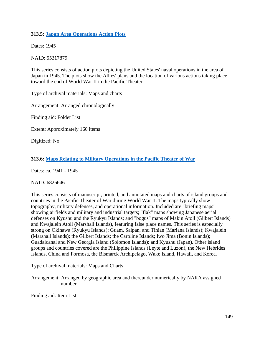## **313.5: Japan Area Operations [Action Plots](https://catalog.archives.gov/id/55317879)**

Dates: 1945

NAID: 55317879

This series consists of action plots depicting the United States' naval operations in the area of Japan in 1945. The plots show the Allies' plans and the location of various actions taking place toward the end of World War II in the Pacific Theater.

Type of archival materials: Maps and charts

Arrangement: Arranged chronologically.

Finding aid: Folder List

Extent: Approximately 160 items

Digitized: No

## **313.6: [Maps Relating to Military Operations in the Pacific Theater of War](https://catalog.archives.gov/id/6826646)**

Dates: ca. 1941 - 1945

#### NAID: 6826646

This series consists of manuscript, printed, and annotated maps and charts of island groups and countries in the Pacific Theater of War during World War II. The maps typically show topography, military defenses, and operational information. Included are "briefing maps" showing airfields and military and industrial targets; "flak" maps showing Japanese aerial defenses on Kyushu and the Ryukyu Islands; and "bogus" maps of Makin Atoll (Gilbert Islands) and Kwajalein Atoll (Marshall Islands), featuring false place names. This series is especially strong on Okinawa (Ryukyu Islands); Guam, Saipan, and Tinian (Mariana Islands); Kwajalein (Marshall Islands); the Gilbert Islands; the Caroline Islands; Iwo Jima (Bonin Islands); Guadalcanal and New Georgia Island (Solomon Islands); and Kyushu (Japan). Other island groups and countries covered are the Philippine Islands (Leyte and Luzon), the New Hebrides Islands, China and Formosa, the Bismarck Archipelago, Wake Island, Hawaii, and Korea.

Type of archival materials: Maps and Charts

Arrangement: Arranged by geographic area and thereunder numerically by NARA assigned number.

Finding aid: Item List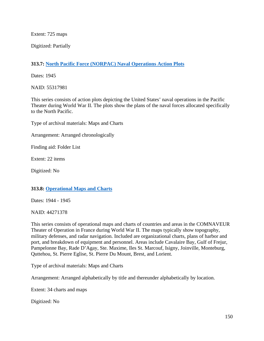Extent: 725 maps

Digitized: Partially

# **313.7: North [Pacific Force \(NORPAC\) Naval Operations Action Plots](https://catalog.archives.gov/id/55317981)**

Dates: 1945

NAID: 55317981

This series consists of action plots depicting the United States' naval operations in the Pacific Theater during World War II. The plots show the plans of the naval forces allocated specifically to the North Pacific.

Type of archival materials: Maps and Charts

Arrangement: Arranged chronologically

Finding aid: Folder List

Extent: 22 items

Digitized: No

# **313.8: Operational [Maps and Charts](https://catalog.archives.gov/id/44271378)**

Dates: 1944 - 1945

NAID: 44271378

This series consists of operational maps and charts of countries and areas in the COMNAVEUR Theater of Operation in France during World War II. The maps typically show topography, military defenses, and radar navigation. Included are organizational charts, plans of harbor and port, and breakdown of equipment and personnel. Areas include Cavalaire Bay, Gulf of Frejur, Pampelonne Bay, Rade D'Agay, Ste. Maxime, Iles St. Marcouf, Isigny, Joinville, Monteburg, Quttehou, St. Pierre Eglise, St. Pierre Du Mount, Brest, and Lorient.

Type of archival materials: Maps and Charts

Arrangement: Arranged alphabetically by title and thereunder alphabetically by location.

Extent: 34 charts and maps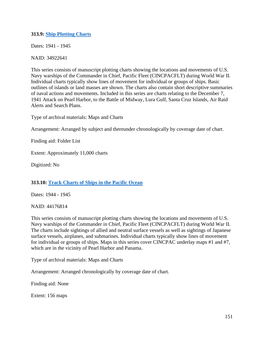## **313.9: Ship [Plotting Charts](https://catalog.archives.gov/id/34922641)**

Dates: 1941 - 1945

NAID: 34922641

This series consists of manuscript plotting charts showing the locations and movements of U.S. Navy warships of the Commander in Chief, Pacific Fleet (CINCPACFLT) during World War II. Individual charts typically show lines of movement for individual or groups of ships. Basic outlines of islands or land masses are shown. The charts also contain short descriptive summaries of naval actions and movements. Included in this series are charts relating to the December 7, 1941 Attack on Pearl Harbor, to the Battle of Midway, Lura Gulf, Santa Cruz Islands, Air Raid Alerts and Search Plans.

Type of archival materials: Maps and Charts

Arrangement: Arranged by subject and thereunder chronologically by coverage date of chart.

Finding aid: Folder List

Extent: Approximately 11,000 charts

Digitized: No

#### **313.10: Track Charts [of Ships in the Pacific Ocean](https://catalog.archives.gov/id/44176814)**

Dates: 1944 - 1945

NAID: 44176814

This series consists of manuscript plotting charts showing the locations and movements of U.S. Navy warships of the Commander in Chief, Pacific Fleet (CINCPACFLT) during World War II. The charts include sightings of allied and neutral surface vessels as well as sightings of Japanese surface vessels, airplanes, and submarines. Individual charts typically show lines of movement for individual or groups of ships. Maps in this series cover CINCPAC underlay maps #1 and #7, which are in the vicinity of Pearl Harbor and Panama.

Type of archival materials: Maps and Charts

Arrangement: Arranged chronologically by coverage date of chart.

Finding aid: None

Extent: 156 maps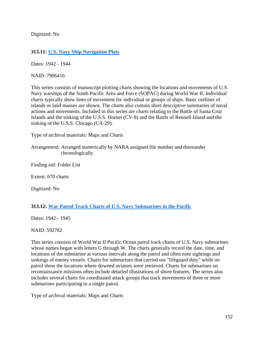Digitized: No

# **313.11: [U.S. Navy Ship Navigation Plots](https://catalog.archives.gov/id/7906416)**

Dates: 1942 - 1944

NAID: 7906416

This series consists of manuscript plotting charts showing the locations and movements of U.S. Navy warships of the South Pacific Area and Force (SOPAC) during World War II. Individual charts typically show lines of movement for individual or groups of ships. Basic outlines of islands or land masses are shown. The charts also contain short descriptive summaries of naval actions and movements. Included in this series are charts relating to the Battle of Santa Cruz Islands and the sinking of the U.S.S. Hornet (CV-8) and the Battle of Rennell Island and the sinking of the U.S.S. Chicago (CA-29).

Type of archival materials: Maps and Charts

Arrangement: Arranged numerically by NARA assigned file number and thereunder chronologically.

Finding aid: Folder List

Extent: 670 charts

Digitized: No

# **313.12: War [Patrol Track Charts of U.S. Navy Submarines in the Pacific](https://catalog.archives.gov/id/592782)**

Dates: 1942 - 1945

NAID: 592782

This series consists of World War II Pacific Ocean patrol track charts of U.S. Navy submarines whose names began with letters G through W. The charts generally record the date, time, and locations of the submarine at various intervals along the patrol and often note sightings and sinkings of enemy vessels. Charts for submarines that carried out "lifeguard duty" while on patrol show the locations where downed aviators were retrieved. Charts for submarines on reconnaissance missions often include detailed illustrations of shore features. The series also includes several charts for coordinated attack groups that track movements of three or more submarines participating in a single patrol.

Type of archival materials: Maps and Charts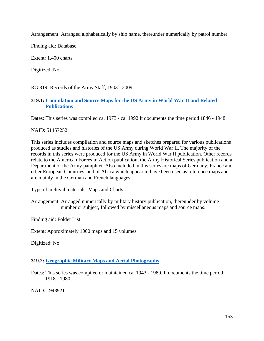Arrangement: Arranged alphabetically by ship name, thereunder numerically by patrol number.

Finding aid: Database

Extent: 1,400 charts

Digitized: No

# RG 319: Records of the Army Staff, 1903 - 2009

# **319.1: [Compilation and Source Maps for the US Army in World War II and Related](https://catalog.archives.gov/id/51457252)  [Publications](https://catalog.archives.gov/id/51457252)**

Dates: This series was compiled ca. 1973 - ca. 1992 It documents the time period 1846 - 1948

## NAID: 51457252

This series includes compilation and source maps and sketches prepared for various publications produced as studies and histories of the US Army during World War II. The majority of the records in this series were produced for the US Army in World War II publication. Other records relate to the American Forces in Action publication, the Army Historical Series publication and a Department of the Army pamphlet. Also included in this series are maps of Germany, France and other European Countries, and of Africa which appear to have been used as reference maps and are mainly in the German and French languages.

Type of archival materials: Maps and Charts

Arrangement: Arranged numerically by military history publication, thereunder by volume number or subject, followed by miscellaneous maps and source maps.

Finding aid: Folder List

Extent: Approximately 1000 maps and 15 volumes

Digitized: No

# **319.2: Geographic [Military Maps and Aerial Photographs](https://catalog.archives.gov/id/1948921)**

Dates: This series was compiled or maintained ca. 1943 - 1980. It documents the time period 1918 - 1980.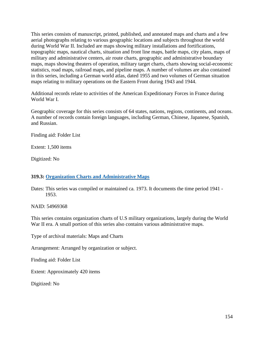This series consists of manuscript, printed, published, and annotated maps and charts and a few aerial photographs relating to various geographic locations and subjects throughout the world during World War II. Included are maps showing military installations and fortifications, topographic maps, nautical charts, situation and front line maps, battle maps, city plans, maps of military and administrative centers, air route charts, geographic and administrative boundary maps, maps showing theaters of operation, military target charts, charts showing social-economic statistics, road maps, railroad maps, and pipeline maps. A number of volumes are also contained in this series, including a German world atlas, dated 1955 and two volumes of German situation maps relating to military operations on the Eastern Front during 1943 and 1944.

Additional records relate to activities of the American Expeditionary Forces in France during World War I.

Geographic coverage for this series consists of 64 states, nations, regions, continents, and oceans. A number of records contain foreign languages, including German, Chinese, Japanese, Spanish, and Russian.

Finding aid: Folder List

Extent: 1,500 items

Digitized: No

# **319.3: Organization [Charts and Administrative Maps](https://catalog.archives.gov/id/54969368)**

Dates: This series was compiled or maintained ca. 1973. It documents the time period 1941 - 1953.

NAID: 54969368

This series contains organization charts of U.S military organizations, largely during the World War II era. A small portion of this series also contains various administrative maps.

Type of archival materials: Maps and Charts

Arrangement: Arranged by organization or subject.

Finding aid: Folder List

Extent: Approximately 420 items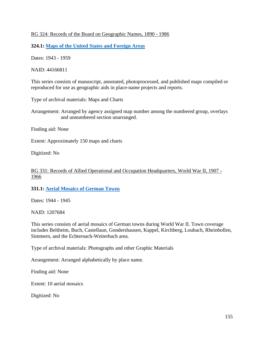## RG 324: Records of the Board on Geographic Names, 1890 - 1986

**324.1: [Maps of the United States and Foreign Areas](https://catalog.archives.gov/id/44166811)**

Dates: 1943 - 1959

NAID: 44166811

This series consists of manuscript, annotated, photoprocessed, and published maps compiled or reproduced for use as geographic aids in place-name projects and reports.

Type of archival materials: Maps and Charts

Arrangement: Arranged by agency assigned map number among the numbered group, overlays and unnumbered section unarranged.

Finding aid: None

Extent: Approximately 150 maps and charts

Digitized: No

RG 331: Records of Allied Operational and Occupation Headquarters, World War II, 1907 - 1966

**331.1: Aerial [Mosaics of German Towns](https://catalog.archives.gov/id/1207684)**

Dates: 1944 - 1945

NAID: 1207684

This series consists of aerial mosaics of German towns during World War II. Town coverage includes Beltheim, Buch, Castellaun, Gondershausen, Kappel, Kirchberg, Loubach, Rheinbollen, Simmern, and the Echternach-Weiterbach area.

Type of archival materials: Photographs and other Graphic Materials

Arrangement: Arranged alphabetically by place name.

Finding aid: None

Extent: 10 aerial mosaics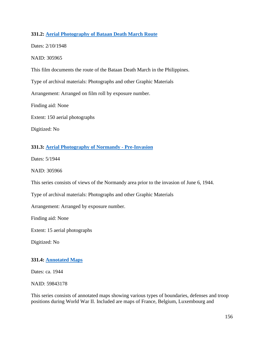# **331.2: Aerial [Photography of Bataan Death March Route](https://catalog.archives.gov/id/305965)**

Dates: 2/10/1948

NAID: 305965

This film documents the route of the Bataan Death March in the Philippines.

Type of archival materials: Photographs and other Graphic Materials

Arrangement: Arranged on film roll by exposure number.

Finding aid: None

Extent: 150 aerial photographs

Digitized: No

# **331.3: Aerial [Photography of Normandy -](https://catalog.archives.gov/id/305966) Pre-Invasion**

Dates: 5/1944

NAID: 305966

This series consists of views of the Normandy area prior to the invasion of June 6, 1944.

Type of archival materials: Photographs and other Graphic Materials

Arrangement: Arranged by exposure number.

Finding aid: None

Extent: 15 aerial photographs

Digitized: No

# **331.4: [Annotated Maps](https://catalog.archives.gov/id/59843178)**

Dates: ca. 1944

NAID: 59843178

This series consists of annotated maps showing various types of boundaries, defenses and troop positions during World War II. Included are maps of France, Belgium, Luxembourg and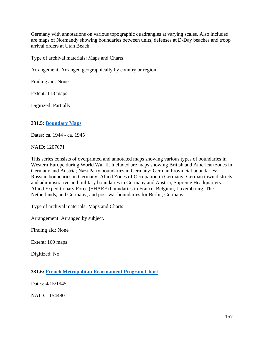Germany with annotations on various topographic quadrangles at varying scales. Also included are maps of Normandy showing boundaries between units, defenses at D-Day beaches and troop arrival orders at Utah Beach.

Type of archival materials: Maps and Charts

Arrangement: Arranged geographically by country or region.

Finding aid: None

Extent: 113 maps

Digitized: Partially

# **331.5: [Boundary](https://catalog.archives.gov/id/1207671) Maps**

Dates: ca. 1944 - ca. 1945

NAID: 1207671

This series consists of overprinted and annotated maps showing various types of boundaries in Western Europe during World War II. Included are maps showing British and American zones in Germany and Austria; Nazi Party boundaries in Germany; German Provincial boundaries; Russian boundaries in Germany; Allied Zones of Occupation in Germany; German town districts and administrative and military boundaries in Germany and Austria; Supreme Headquarters Allied Expeditionary Force (SHAEF) boundaries in France, Belgium, Luxembourg, The Netherlands, and Germany; and post-war boundaries for Berlin, Germany.

Type of archival materials: Maps and Charts

Arrangement: Arranged by subject.

Finding aid: None

Extent: 160 maps

Digitized: No

**331.6: French [Metropolitan Rearmament Program Chart](https://catalog.archives.gov/id/1154480)**

Dates: 4/15/1945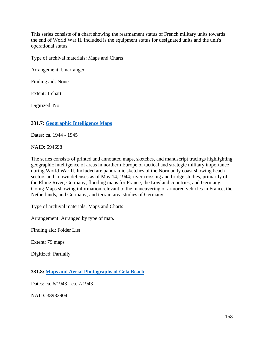This series consists of a chart showing the rearmament status of French military units towards the end of World War II. Included is the equipment status for designated units and the unit's operational status.

Type of archival materials: Maps and Charts

Arrangement: Unarranged.

Finding aid: None

Extent: 1 chart

Digitized: No

# **331.7: [Geographic Intelligence Maps](https://catalog.archives.gov/id/594698)**

Dates: ca. 1944 - 1945

NAID: 594698

The series consists of printed and annotated maps, sketches, and manuscript tracings highlighting geographic intelligence of areas in northern Europe of tactical and strategic military importance during World War II. Included are panoramic sketches of the Normandy coast showing beach sectors and known defenses as of May 14, 1944; river crossing and bridge studies, primarily of the Rhine River, Germany; flooding maps for France, the Lowland countries, and Germany; Going Maps showing information relevant to the maneuvering of armored vehicles in France, the Netherlands, and Germany; and terrain area studies of Germany.

Type of archival materials: Maps and Charts

Arrangement: Arranged by type of map.

Finding aid: Folder List

Extent: 79 maps

Digitized: Partially

**331.8: [Maps and Aerial Photographs of Gela Beach](https://catalog.archives.gov/id/38982904)**

Dates: ca. 6/1943 - ca. 7/1943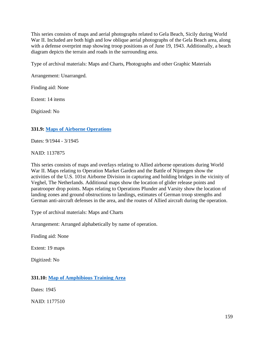This series consists of maps and aerial photographs related to Gela Beach, Sicily during World War II. Included are both high and low oblique aerial photographs of the Gela Beach area, along with a defense overprint map showing troop positions as of June 19, 1943. Additionally, a beach diagram depicts the terrain and roads in the surrounding area.

Type of archival materials: Maps and Charts, Photographs and other Graphic Materials

Arrangement: Unarranged.

Finding aid: None

Extent: 14 items

Digitized: No

## **331.9: [Maps of Airborne Operations](https://catalog.archives.gov/id/1137875)**

Dates: 9/1944 - 3/1945

NAID: 1137875

This series consists of maps and overlays relating to Allied airborne operations during World War II. Maps relating to Operation Market Garden and the Battle of Nijmegen show the activities of the U.S. 101st Airborne Division in capturing and holding bridges in the vicinity of Veghel, The Netherlands. Additional maps show the location of glider release points and paratrooper drop points. Maps relating to Operations Plunder and Varsity show the location of landing zones and ground obstructions to landings, estimates of German troop strengths and German anti-aircraft defenses in the area, and the routes of Allied aircraft during the operation.

Type of archival materials: Maps and Charts

Arrangement: Arranged alphabetically by name of operation.

Finding aid: None

Extent: 19 maps

Digitized: No

# **331.10: Map [of Amphibious Training Area](https://catalog.archives.gov/id/1177510)**

Dates: 1945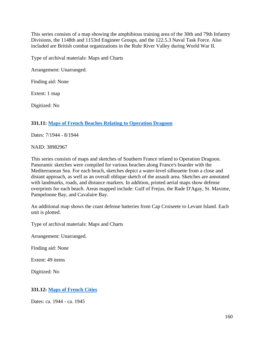This series consists of a map showing the amphibious training area of the 30th and 79th Infantry Divisions, the 1148th and 1153rd Engineer Groups, and the 122.5.3 Naval Task Force. Also included are British combat organizations in the Ruhr River Valley during World War II.

Type of archival materials: Maps and Charts

Arrangement: Unarranged.

Finding aid: None

Extent: 1 map

Digitized: No

## **331.11: Maps [of French Beaches Relating to Operation Dragoon](https://catalog.archives.gov/id/38982967)**

Dates: 7/1944 - 8/1944

NAID: 38982967

This series consists of maps and sketches of Southern France related to Operation Dragoon. Panoramic sketches were compiled for various beaches along France's boarder with the Mediterranean Sea. For each beach, sketches depict a water-level silhouette from a close and distant approach, as well as an overall oblique sketch of the assault area. Sketches are annotated with landmarks, roads, and distance markers. In addition, printed aerial maps show defense overprints for each beach. Areas mapped include: Gulf of Frejus, the Rade D'Agay, St. Maxime, Pampelonne Bay, and Cavalaire Bay.

An additional map shows the coast defense batteries from Cap Croiseete to Levant Island. Each unit is plotted.

Type of archival materials: Maps and Charts

Arrangement: Unarranged.

Finding aid: None

Extent: 49 items

Digitized: No

# **331.12: [Maps of French Cities](https://catalog.archives.gov/id/1207681)**

Dates: ca. 1944 - ca. 1945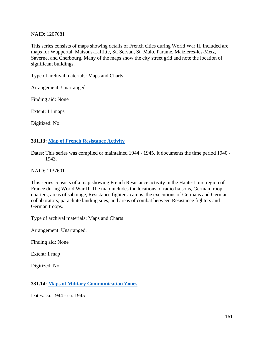### NAID: 1207681

This series consists of maps showing details of French cities during World War II. Included are maps for Wuppertal, Maisons-Laffitte, St. Servan, St. Malo, Parame, Maizieres-les-Metz, Saverne, and Cherbourg. Many of the maps show the city street grid and note the location of significant buildings.

Type of archival materials: Maps and Charts

Arrangement: Unarranged.

Finding aid: None

Extent: 11 maps

Digitized: No

## **331.13: Map [of French Resistance Activity](https://catalog.archives.gov/id/1137601)**

Dates: This series was compiled or maintained 1944 - 1945. It documents the time period 1940 - 1943.

NAID: 1137601

This series consists of a map showing French Resistance activity in the Haute-Loire region of France during World War II. The map includes the locations of radio liaisons, German troop quarters, areas of sabotage, Resistance fighters' camps, the executions of Germans and German collaborators, parachute landing sites, and areas of combat between Resistance fighters and German troops.

Type of archival materials: Maps and Charts

Arrangement: Unarranged.

Finding aid: None

Extent: 1 map

Digitized: No

# **331.14: [Maps of Military Communication Zones](https://catalog.archives.gov/id/1145498)**

Dates: ca. 1944 - ca. 1945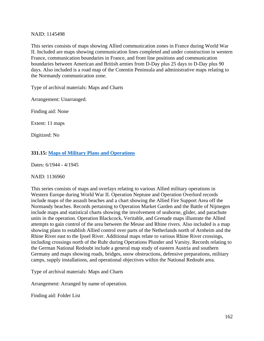### NAID: 1145498

This series consists of maps showing Allied communication zones in France during World War II. Included are maps showing communication lines completed and under construction in western France, communication boundaries in France, and front line positions and communication boundaries between American and British armies from D-Day plus 25 days to D-Day plus 90 days. Also included is a road map of the Cotentin Peninsula and administrative maps relating to the Normandy communication zone.

Type of archival materials: Maps and Charts

Arrangement: Unarranged.

Finding aid: None

Extent: 11 maps

Digitized: No

## **331.15: Maps [of Military Plans and Operations](https://catalog.archives.gov/id/1136960)**

Dates: 6/1944 - 4/1945

#### NAID: 1136960

This series consists of maps and overlays relating to various Allied military operations in Western Europe during World War II. Operation Neptune and Operation Overlord records include maps of the assault beaches and a chart showing the Allied Fire Support Area off the Normandy beaches. Records pertaining to Operation Market Garden and the Battle of Nijmegen include maps and statistical charts showing the involvement of seaborne, glider, and parachute units in the operation. Operation Blackcock, Veritable, and Grenade maps illustrate the Allied attempts to gain control of the area between the Meuse and Rhine rivers. Also included is a map showing plans to establish Allied control over parts of the Netherlands north of Arnheim and the Rhine River east to the Ijssel River. Additional maps relate to various Rhine River crossings, including crossings north of the Ruhr during Operations Plunder and Varsity. Records relating to the German National Redoubt include a general map study of eastern Austria and southern Germany and maps showing roads, bridges, snow obstructions, defensive preparations, military camps, supply installations, and operational objectives within the National Redoubt area.

Type of archival materials: Maps and Charts

Arrangement: Arranged by name of operation.

Finding aid: Folder List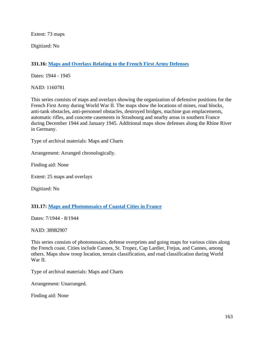Extent: 73 maps

Digitized: No

# **331.16: Maps and [Overlays Relating to the French First Army Defenses](https://catalog.archives.gov/id/1160781)**

Dates: 1944 - 1945

NAID: 1160781

This series consists of maps and overlays showing the organization of defensive positions for the French First Army during World War II. The maps show the locations of mines, road blocks, anti-tank obstacles, anti-personnel obstacles, destroyed bridges, machine gun emplacements, automatic rifles, and concrete casements in Strasbourg and nearby areas in southern France during December 1944 and January 1945. Additional maps show defenses along the Rhine River in Germany.

Type of archival materials: Maps and Charts

Arrangement: Arranged chronologically.

Finding aid: None

Extent: 25 maps and overlays

Digitized: No

# **331.17: Maps [and Photomosaics of Coastal Cities in France](https://catalog.archives.gov/id/38982907)**

Dates: 7/1944 - 8/1944

NAID: 38982907

This series consists of photomosaics, defense overprints and going maps for various cities along the French coast. Cities include Cannes, St. Tropez, Cap Lardier, Frejus, and Cannes, among others. Maps show troop location, terrain classification, and road classification during World War II.

Type of archival materials: Maps and Charts

Arrangement: Unarranged.

Finding aid: None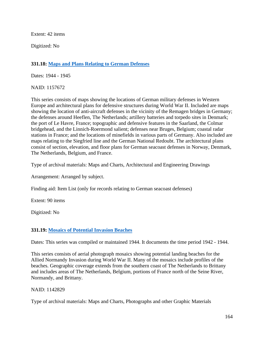Extent: 42 items

Digitized: No

# **331.18: [Maps and Plans Relating to German Defenses](https://catalog.archives.gov/id/1157672)**

Dates: 1944 - 1945

NAID: 1157672

This series consists of maps showing the locations of German military defenses in Western Europe and architectural plans for defensive structures during World War II. Included are maps showing the location of anti-aircraft defenses in the vicinity of the Remagen bridges in Germany; the defenses around Heeflen, The Netherlands; artillery batteries and torpedo sites in Denmark; the port of Le Havre, France; topographic and defensive features in the Saarland, the Colmar bridgehead, and the Linnich-Roermond salient; defenses near Bruges, Belgium; coastal radar stations in France; and the locations of minefields in various parts of Germany. Also included are maps relating to the Siegfried line and the German National Redoubt. The architectural plans consist of section, elevation, and floor plans for German seacoast defenses in Norway, Denmark, The Netherlands, Belgium, and France.

Type of archival materials: Maps and Charts, Architectural and Engineering Drawings

Arrangement: Arranged by subject.

Finding aid: Item List (only for records relating to German seacoast defenses)

Extent: 90 items

Digitized: No

# **331.19: Mosaics [of Potential Invasion Beaches](https://catalog.archives.gov/id/1142829)**

Dates: This series was compiled or maintained 1944. It documents the time period 1942 - 1944.

This series consists of aerial photograph mosaics showing potential landing beaches for the Allied Normandy Invasion during World War II. Many of the mosaics include profiles of the beaches. Geographic coverage extends from the southern coast of The Netherlands to Brittany and includes areas of The Netherlands, Belgium, portions of France north of the Seine River, Normandy, and Brittany.

#### NAID: 1142829

Type of archival materials: Maps and Charts, Photographs and other Graphic Materials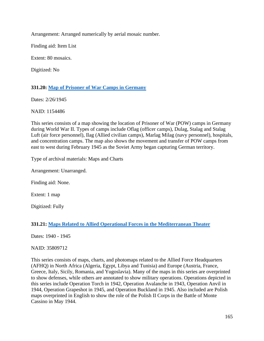Arrangement: Arranged numerically by aerial mosaic number.

Finding aid: Item List

Extent: 80 mosaics.

Digitized: No

# **331.20: Map [of Prisoner of War Camps in Germany](https://catalog.archives.gov/id/1154486)**

Dates: 2/26/1945

NAID: 1154486

This series consists of a map showing the location of Prisoner of War (POW) camps in Germany during World War II. Types of camps include Oflag (officer camps), Dulag, Stalag and Stalag Luft (air force personnel), Ilag (Allied civilian camps), Marlag Milag (navy personnel), hospitals, and concentration camps. The map also shows the movement and transfer of POW camps from east to west during February 1945 as the Soviet Army began capturing German territory.

Type of archival materials: Maps and Charts

Arrangement: Unarranged.

Finding aid: None.

Extent: 1 map

Digitized: Fully

# **331.21: [Maps Related to Allied Operational Forces in the Mediterranean Theater](https://catalog.archives.gov/id/35809712)**

Dates: 1940 - 1945

NAID: 35809712

This series consists of maps, charts, and photomaps related to the Allied Force Headquarters (AFHQ) in North Africa (Algeria, Egypt, Libya and Tunisia) and Europe (Austria, France, Greece, Italy, Sicily, Romania, and Yugoslavia). Many of the maps in this series are overprinted to show defenses, while others are annotated to show military operations. Operations depicted in this series include Operation Torch in 1942, Operation Avalanche in 1943, Operation Anvil in 1944, Operation Grapeshot in 1945, and Operation Buckland in 1945. Also included are Polish maps overprinted in English to show the role of the Polish II Corps in the Battle of Monte Cassino in May 1944.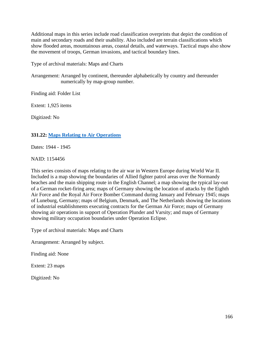Additional maps in this series include road classification overprints that depict the condition of main and secondary roads and their usability. Also included are terrain classifications which show flooded areas, mountainous areas, coastal details, and waterways. Tactical maps also show the movement of troops, German invasions, and tactical boundary lines.

Type of archival materials: Maps and Charts

Arrangement: Arranged by continent, thereunder alphabetically by country and thereunder numerically by map-group number.

Finding aid: Folder List

Extent: 1,925 items

Digitized: No

# **331.22: Maps [Relating to Air Operations](https://catalog.archives.gov/id/1154456)**

Dates: 1944 - 1945

NAID: 1154456

This series consists of maps relating to the air war in Western Europe during World War II. Included is a map showing the boundaries of Allied fighter patrol areas over the Normandy beaches and the main shipping route in the English Channel; a map showing the typical lay-out of a German rocket-firing area; maps of Germany showing the location of attacks by the Eighth Air Force and the Royal Air Force Bomber Command during January and February 1945; maps of Luneburg, Germany; maps of Belgium, Denmark, and The Netherlands showing the locations of industrial establishments executing contracts for the German Air Force; maps of Germany showing air operations in support of Operation Plunder and Varsity; and maps of Germany showing military occupation boundaries under Operation Eclipse.

Type of archival materials: Maps and Charts

Arrangement: Arranged by subject.

Finding aid: None

Extent: 23 maps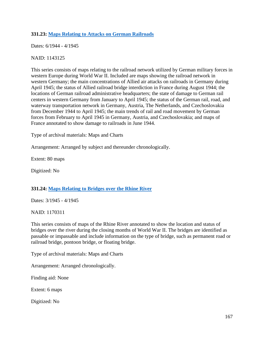# **331.23: Maps [Relating to Attacks on German Railroads](https://catalog.archives.gov/id/1143125)**

Dates: 6/1944 - 4/1945

# NAID: 1143125

This series consists of maps relating to the railroad network utilized by German military forces in western Europe during World War II. Included are maps showing the railroad network in western Germany; the main concentrations of Allied air attacks on railroads in Germany during April 1945; the status of Allied railroad bridge interdiction in France during August 1944; the locations of German railroad administrative headquarters; the state of damage to German rail centers in western Germany from January to April 1945; the status of the German rail, road, and waterway transportation network in Germany, Austria, The Netherlands, and Czechoslovakia from December 1944 to April 1945; the main trends of rail and road movement by German forces from February to April 1945 in Germany, Austria, and Czechoslovakia; and maps of France annotated to show damage to railroads in June 1944.

Type of archival materials: Maps and Charts

Arrangement: Arranged by subject and thereunder chronologically.

Extent: 80 maps

Digitized: No

# **331.24: Maps [Relating to Bridges over the Rhine River](https://catalog.archives.gov/id/1170311)**

Dates: 3/1945 - 4/1945

NAID: 1170311

This series consists of maps of the Rhine River annotated to show the location and status of bridges over the river during the closing months of World War II. The bridges are identified as passable or impassable and include information on the type of bridge, such as permanent road or railroad bridge, pontoon bridge, or floating bridge.

Type of archival materials: Maps and Charts

Arrangement: Arranged chronologically.

Finding aid: None

Extent: 6 maps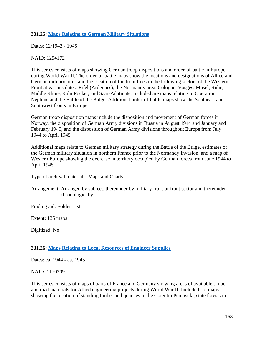# **331.25: Maps Relating [to German Military Situations](https://catalog.archives.gov/id/1254172)**

Dates: 12/1943 - 1945

NAID: 1254172

This series consists of maps showing German troop dispositions and order-of-battle in Europe during World War II. The order-of-battle maps show the locations and designations of Allied and German military units and the location of the front lines in the following sectors of the Western Front at various dates: Eifel (Ardennes), the Normandy area, Cologne, Vosges, Mosel, Ruhr, Middle Rhine, Ruhr Pocket, and Saar-Palatinate. Included are maps relating to Operation Neptune and the Battle of the Bulge. Additional order-of-battle maps show the Southeast and Southwest fronts in Europe.

German troop disposition maps include the disposition and movement of German forces in Norway, the disposition of German Army divisions in Russia in August 1944 and January and February 1945, and the disposition of German Army divisions throughout Europe from July 1944 to April 1945.

Additional maps relate to German military strategy during the Battle of the Bulge, estimates of the German military situation in northern France prior to the Normandy Invasion, and a map of Western Europe showing the decrease in territory occupied by German forces from June 1944 to April 1945.

Type of archival materials: Maps and Charts

Arrangement: Arranged by subject, thereunder by military front or front sector and thereunder chronologically.

Finding aid: Folder List

Extent: 135 maps

Digitized: No

# **331.26: [Maps Relating to Local Resources of Engineer Supplies](https://catalog.archives.gov/id/1170309)**

Dates: ca. 1944 - ca. 1945

NAID: 1170309

This series consists of maps of parts of France and Germany showing areas of available timber and road materials for Allied engineering projects during World War II. Included are maps showing the location of standing timber and quarries in the Cotentin Peninsula; state forests in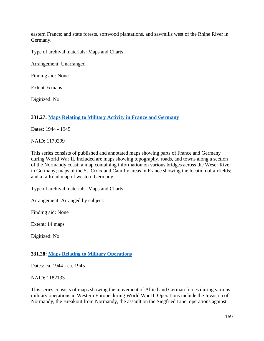eastern France; and state forests, softwood plantations, and sawmills west of the Rhine River in Germany.

Type of archival materials: Maps and Charts

Arrangement: Unarranged.

Finding aid: None

Extent: 6 maps

Digitized: No

# **331.27: [Maps Relating to Military Activity in France and Germany](https://catalog.archives.gov/id/1170299)**

Dates: 1944 - 1945

NAID: 1170299

This series consists of published and annotated maps showing parts of France and Germany during World War II. Included are maps showing topography, roads, and towns along a section of the Normandy coast; a map containing information on various bridges across the Weser River in Germany; maps of the St. Croix and Camilly areas in France showing the location of airfields; and a railroad map of western Germany.

Type of archival materials: Maps and Charts

Arrangement: Arranged by subject.

Finding aid: None

Extent: 14 maps

Digitized: No

#### **331.28: Maps [Relating to Military Operations](https://catalog.archives.gov/id/1182133)**

Dates: ca. 1944 - ca. 1945

NAID: 1182133

This series consists of maps showing the movement of Allied and German forces during various military operations in Western Europe during World War II. Operations include the Invasion of Normandy, the Breakout from Normandy, the assault on the Siegfried Line, operations against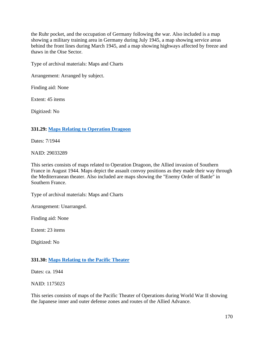the Ruhr pocket, and the occupation of Germany following the war. Also included is a map showing a military training area in Germany during July 1945, a map showing service areas behind the front lines during March 1945, and a map showing highways affected by freeze and thaws in the Oise Sector.

Type of archival materials: Maps and Charts

Arrangement: Arranged by subject.

Finding aid: None

Extent: 45 items

Digitized: No

## **331.29: [Maps Relating to Operation Dragoon](https://catalog.archives.gov/id/29033289)**

Dates: 7/1944

NAID: 29033289

This series consists of maps related to Operation Dragoon, the Allied invasion of Southern France in August 1944. Maps depict the assault convoy positions as they made their way through the Mediterranean theater. Also included are maps showing the "Enemy Order of Battle" in Southern France.

Type of archival materials: Maps and Charts

Arrangement: Unarranged.

Finding aid: None

Extent: 23 items

Digitized: No

#### **331.30: Maps [Relating to the Pacific Theater](https://catalog.archives.gov/id/1175023)**

Dates: ca. 1944

NAID: 1175023

This series consists of maps of the Pacific Theater of Operations during World War II showing the Japanese inner and outer defense zones and routes of the Allied Advance.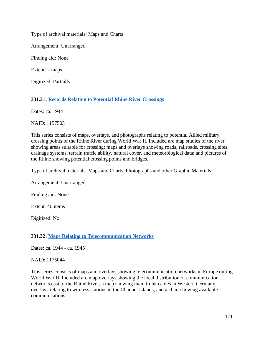Type of archival materials: Maps and Charts

Arrangement: Unarranged.

Finding aid: None

Extent: 2 maps

Digitized: Partially

# **331.31: Records [Relating to Potential Rhine River Crossings](https://catalog.archives.gov/id/1157503)**

Dates: ca. 1944

NAID: 1157503

This series consists of maps, overlays, and photographs relating to potential Allied military crossing points of the Rhine River during World War II. Included are map studies of the river showing areas suitable for crossing; maps and overlays showing roads, railroads, crossing sites, drainage systems, terrain traffic ability, natural cover, and meteorological data; and pictures of the Rhine showing potential crossing points and bridges.

Type of archival materials: Maps and Charts, Photographs and other Graphic Materials

Arrangement: Unarranged.

Finding aid: None

Extent: 40 items

Digitized: No

# **331.32: Maps Relating [to Telecommunication Networks](https://catalog.archives.gov/id/1175044)**

Dates: ca. 1944 - ca. 1945

#### NAID: 1175044

This series consists of maps and overlays showing telecommunication networks in Europe during World War II. Included are map overlays showing the local distribution of communication networks east of the Rhine River, a map showing main trunk cables in Western Germany, overlays relating to wireless stations in the Channel Islands, and a chart showing available communications.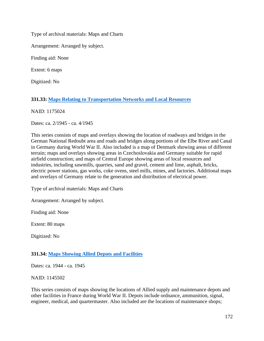Type of archival materials: Maps and Charts

Arrangement: Arranged by subject.

Finding aid: None

Extent: 6 maps

Digitized: No

# **331.33: [Maps Relating to Transportation Networks and Local Resources](https://catalog.archives.gov/id/1175024)**

NAID: 1175024

Dates: ca. 2/1945 - ca. 4/1945

This series consists of maps and overlays showing the location of roadways and bridges in the German National Redoubt area and roads and bridges along portions of the Elbe River and Canal in Germany during World War II. Also included is a map of Denmark showing areas of different terrain; maps and overlays showing areas in Czechoslovakia and Germany suitable for rapid airfield construction; and maps of Central Europe showing areas of local resources and industries, including sawmills, quarries, sand and gravel, cement and lime, asphalt, bricks, electric power stations, gas works, coke ovens, steel mills, mines, and factories. Additional maps and overlays of Germany relate to the generation and distribution of electrical power.

Type of archival materials: Maps and Charts

Arrangement: Arranged by subject.

Finding aid: None

Extent: 80 maps

Digitized: No

# **331.34: [Maps Showing Allied Depots and Facilities](https://catalog.archives.gov/id/1145502)**

Dates: ca. 1944 - ca. 1945

NAID: 1145502

This series consists of maps showing the locations of Allied supply and maintenance depots and other facilities in France during World War II. Depots include ordnance, ammunition, signal, engineer, medical, and quartermaster. Also included are the locations of maintenance shops;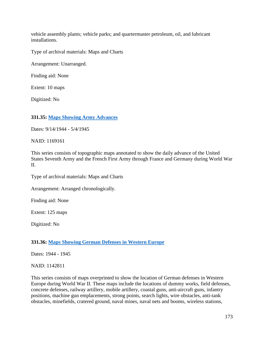vehicle assembly plants; vehicle parks; and quartermaster petroleum, oil, and lubricant installations.

Type of archival materials: Maps and Charts

Arrangement: Unarranged.

Finding aid: None

Extent: 10 maps

Digitized: No

## **331.35: [Maps Showing Army Advances](https://catalog.archives.gov/id/1169161)**

Dates: 9/14/1944 - 5/4/1945

NAID: 1169161

This series consists of topographic maps annotated to show the daily advance of the United States Seventh Army and the French First Army through France and Germany during World War II.

Type of archival materials: Maps and Charts

Arrangement: Arranged chronologically.

Finding aid: None

Extent: 125 maps

Digitized: No

# **331.36: [Maps Showing German Defenses in Western Europe](https://catalog.archives.gov/id/1142811)**

Dates: 1944 - 1945

#### NAID: 1142811

This series consists of maps overprinted to show the location of German defenses in Western Europe during World War II. These maps include the locations of dummy works, field defenses, concrete defenses, railway artillery, mobile artillery, coastal guns, anti-aircraft guns, infantry positions, machine gun emplacements, strong points, search lights, wire obstacles, anti-tank obstacles, minefields, cratered ground, naval mines, naval nets and booms, wireless stations,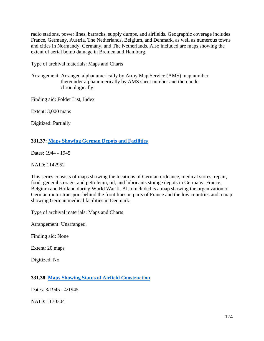radio stations, power lines, barracks, supply dumps, and airfields. Geographic coverage includes France, Germany, Austria, The Netherlands, Belgium, and Denmark, as well as numerous towns and cities in Normandy, Germany, and The Netherlands. Also included are maps showing the extent of aerial bomb damage in Bremen and Hamburg.

Type of archival materials: Maps and Charts

Arrangement: Arranged alphanumerically by Army Map Service (AMS) map number, thereunder alphanumerically by AMS sheet number and thereunder chronologically.

Finding aid: Folder List, Index

Extent: 3,000 maps

Digitized: Partially

# **331.37: [Maps Showing German Depots and Facilities](https://catalog.archives.gov/id/1142952)**

Dates: 1944 - 1945

NAID: 1142952

This series consists of maps showing the locations of German ordnance, medical stores, repair, food, general storage, and petroleum, oil, and lubricants storage depots in Germany, France, Belgium and Holland during World War II. Also included is a map showing the organization of German motor transport behind the front lines in parts of France and the low countries and a map showing German medical facilities in Denmark.

Type of archival materials: Maps and Charts

Arrangement: Unarranged.

Finding aid: None

Extent: 20 maps

Digitized: No

# **331.38**: **[Maps Showing Status of Airfield Construction](https://catalog.archives.gov/id/1170304)**

Dates: 3/1945 - 4/1945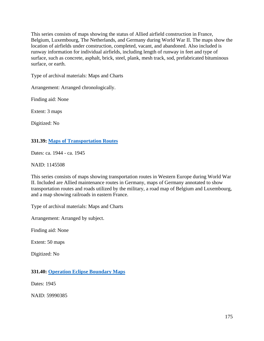This series consists of maps showing the status of Allied airfield construction in France, Belgium, Luxembourg, The Netherlands, and Germany during World War II. The maps show the location of airfields under construction, completed, vacant, and abandoned. Also included is runway information for individual airfields, including length of runway in feet and type of surface, such as concrete, asphalt, brick, steel, plank, mesh track, sod, prefabricated bituminous surface, or earth.

Type of archival materials: Maps and Charts

Arrangement: Arranged chronologically.

Finding aid: None

Extent: 3 maps

Digitized: No

### **331.39: [Maps of Transportation Routes](https://catalog.archives.gov/id/1145508)**

Dates: ca. 1944 - ca. 1945

NAID: 1145508

This series consists of maps showing transportation routes in Western Europe during World War II. Included are Allied maintenance routes in Germany, maps of Germany annotated to show transportation routes and roads utilized by the military, a road map of Belgium and Luxembourg, and a map showing railroads in eastern France.

Type of archival materials: Maps and Charts

Arrangement: Arranged by subject.

Finding aid: None

Extent: 50 maps

Digitized: No

**331.40: [Operation Eclipse Boundary Maps](https://catalog.archives.gov/id/59990385)**

Dates: 1945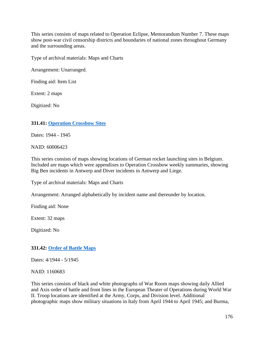This series consists of maps related to Operation Eclipse, Memorandum Number 7. These maps show post-war civil censorship districts and boundaries of national zones throughout Germany and the surrounding areas.

Type of archival materials: Maps and Charts

Arrangement: Unarranged.

Finding aid: Item List

Extent: 2 maps

Digitized: No

### **331.41: Operation [Crossbow Sites](https://catalog.archives.gov/id/60006423)**

Dates: 1944 - 1945

NAID: 60006423

This series consists of maps showing locations of German rocket launching sites in Belgium. Included are maps which were appendixes to Operation Crossbow weekly summaries, showing Big Ben incidents in Antwerp and Diver incidents in Antwerp and Liege.

Type of archival materials: Maps and Charts

Arrangement: Arranged alphabetically by incident name and thereunder by location.

Finding aid: None

Extent: 32 maps

Digitized: No

# **331.42: [Order of Battle Maps](https://catalog.archives.gov/id/1160683)**

Dates: 4/1944 - 5/1945

NAID: 1160683

This series consists of black and white photographs of War Room maps showing daily Allied and Axis order of battle and front lines in the European Theater of Operations during World War II. Troop locations are identified at the Army, Corps, and Division level. Additional photographic maps show military situations in Italy from April 1944 to April 1945; and Burma,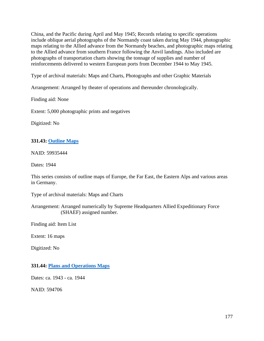China, and the Pacific during April and May 1945; Records relating to specific operations include oblique aerial photographs of the Normandy coast taken during May 1944, photographic maps relating to the Allied advance from the Normandy beaches, and photographic maps relating to the Allied advance from southern France following the Anvil landings. Also included are photographs of transportation charts showing the tonnage of supplies and number of reinforcements delivered to western European ports from December 1944 to May 1945.

Type of archival materials: Maps and Charts, Photographs and other Graphic Materials

Arrangement: Arranged by theater of operations and thereunder chronologically.

Finding aid: None

Extent: 5,000 photographic prints and negatives

Digitized: No

# **331.43: [Outline Maps](https://catalog.archives.gov/id/59935444)**

NAID: 59935444

Dates: 1944

This series consists of outline maps of Europe, the Far East, the Eastern Alps and various areas in Germany.

Type of archival materials: Maps and Charts

Arrangement: Arranged numerically by Supreme Headquarters Allied Expeditionary Force (SHAEF) assigned number.

Finding aid: Item List

Extent: 16 maps

Digitized: No

### **331.44: [Plans and Operations Maps](https://catalog.archives.gov/id/594706)**

Dates: ca. 1943 - ca. 1944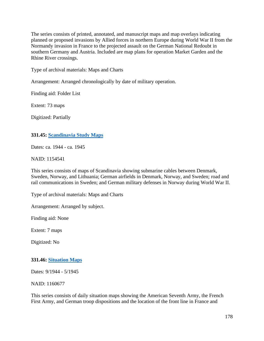The series consists of printed, annotated, and manuscript maps and map overlays indicating planned or proposed invasions by Allied forces in northern Europe during World War II from the Normandy invasion in France to the projected assault on the German National Redoubt in southern Germany and Austria. Included are map plans for operation Market Garden and the Rhine River crossings.

Type of archival materials: Maps and Charts

Arrangement: Arranged chronologically by date of military operation.

Finding aid: Folder List

Extent: 73 maps

Digitized: Partially

### **331.45: [Scandinavia](https://catalog.archives.gov/id/1154541) Study Maps**

Dates: ca. 1944 - ca. 1945

#### NAID: 1154541

This series consists of maps of Scandinavia showing submarine cables between Denmark, Sweden, Norway, and Lithuania; German airfields in Denmark, Norway, and Sweden; road and rail communications in Sweden; and German military defenses in Norway during World War II.

Type of archival materials: Maps and Charts

Arrangement: Arranged by subject.

Finding aid: None

Extent: 7 maps

Digitized: No

# **331.46: [Situation Maps](https://catalog.archives.gov/id/1160677)**

Dates: 9/1944 - 5/1945

NAID: 1160677

This series consists of daily situation maps showing the American Seventh Army, the French First Army, and German troop dispositions and the location of the front line in France and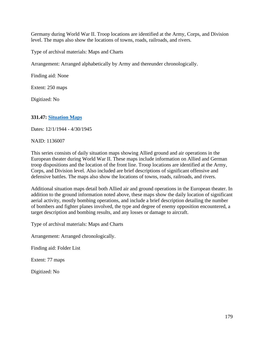Germany during World War II. Troop locations are identified at the Army, Corps, and Division level. The maps also show the locations of towns, roads, railroads, and rivers.

Type of archival materials: Maps and Charts

Arrangement: Arranged alphabetically by Army and thereunder chronologically.

Finding aid: None

Extent: 250 maps

Digitized: No

### **331.47: [Situation](https://catalog.archives.gov/id/1136007) Maps**

Dates: 12/1/1944 - 4/30/1945

NAID: 1136007

This series consists of daily situation maps showing Allied ground and air operations in the European theater during World War II. These maps include information on Allied and German troop dispositions and the location of the front line. Troop locations are identified at the Army, Corps, and Division level. Also included are brief descriptions of significant offensive and defensive battles. The maps also show the locations of towns, roads, railroads, and rivers.

Additional situation maps detail both Allied air and ground operations in the European theater. In addition to the ground information noted above, these maps show the daily location of significant aerial activity, mostly bombing operations, and include a brief description detailing the number of bombers and fighter planes involved, the type and degree of enemy opposition encountered, a target description and bombing results, and any losses or damage to aircraft.

Type of archival materials: Maps and Charts

Arrangement: Arranged chronologically.

Finding aid: Folder List

Extent: 77 maps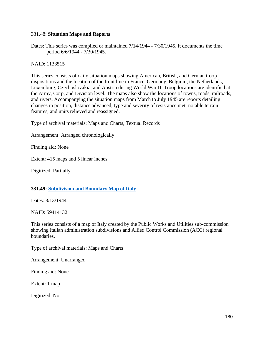### 331.48: **Situation Maps and Reports**

Dates: This series was compiled or maintained 7/14/1944 - 7/30/1945. It documents the time period 6/6/1944 - 7/30/1945.

NAID: 1133515

This series consists of daily situation maps showing American, British, and German troop dispositions and the location of the front line in France, Germany, Belgium, the Netherlands, Luxemburg, Czechoslovakia, and Austria during World War II. Troop locations are identified at the Army, Corp, and Division level. The maps also show the locations of towns, roads, railroads, and rivers. Accompanying the situation maps from March to July 1945 are reports detailing changes in position, distance advanced, type and severity of resistance met, notable terrain features, and units relieved and reassigned.

Type of archival materials: Maps and Charts, Textual Records

Arrangement: Arranged chronologically.

Finding aid: None

Extent: 415 maps and 5 linear inches

Digitized: Partially

### **331.49: [Subdivision and Boundary Map of Italy](https://catalog.archives.gov/id/59414132)**

Dates: 3/13/1944

NAID: 59414132

This series consists of a map of Italy created by the Public Works and Utilities sub-commission showing Italian administration subdivisions and Allied Control Commission (ACC) regional boundaries.

Type of archival materials: Maps and Charts

Arrangement: Unarranged.

Finding aid: None

Extent: 1 map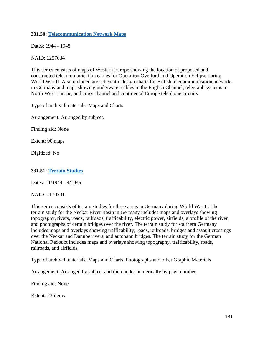### **331.50: [Telecommunication](https://catalog.archives.gov/id/1257634) Network Maps**

Dates: 1944 - 1945

NAID: 1257634

This series consists of maps of Western Europe showing the location of proposed and constructed telecommunication cables for Operation Overlord and Operation Eclipse during World War II. Also included are schematic design charts for British telecommunication networks in Germany and maps showing underwater cables in the English Channel, telegraph systems in North West Europe, and cross channel and continental Europe telephone circuits.

Type of archival materials: Maps and Charts

Arrangement: Arranged by subject.

Finding aid: None

Extent: 90 maps

Digitized: No

### **331.51: [Terrain Studies](https://catalog.archives.gov/id/1170301)**

Dates: 11/1944 - 4/1945

NAID: 1170301

This series consists of terrain studies for three areas in Germany during World War II. The terrain study for the Neckar River Basin in Germany includes maps and overlays showing topography, rivers, roads, railroads, trafficability, electric power, airfields, a profile of the river, and photographs of certain bridges over the river. The terrain study for southern Germany includes maps and overlays showing trafficability, roads, railroads, bridges and assault crossings over the Neckar and Danube rivers, and autobahn bridges. The terrain study for the German National Redoubt includes maps and overlays showing topography, trafficability, roads, railroads, and airfields.

Type of archival materials: Maps and Charts, Photographs and other Graphic Materials

Arrangement: Arranged by subject and thereunder numerically by page number.

Finding aid: None

Extent: 23 items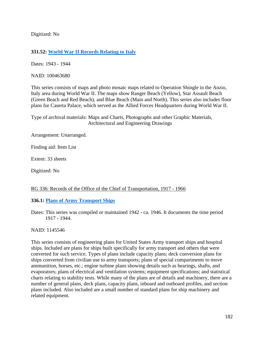Digitized: No

# **331.52: [World War II Records Relating to Italy](https://catalog.archives.gov/id/100463680)**

Dates: 1943 - 1944

NAID: 100463680

This series consists of maps and photo mosaic maps related to Operation Shingle in the Anzio, Italy area during World War II. The maps show Ranger Beach (Yellow), Star Assault Beach (Green Beach and Red Beach), and Blue Beach (Main and North). This series also includes floor plans for Caserta Palace, which served as the Allied Forces Headquarters during World War II.

Type of archival materials: Maps and Charts, Photographs and other Graphic Materials, Architectural and Engineering Drawings

Arrangement: Unarranged.

Finding aid: Item List

Extent: 33 sheets

Digitized: No

# RG 336: Records of the Office of the Chief of Transportation, 1917 - 1966

# **336.1: [Plans of Army Transport Ships](https://catalog.archives.gov/id/1145546)**

Dates: This series was compiled or maintained 1942 - ca. 1946. It documents the time period 1917 - 1944.

# NAID: 1145546

This series consists of engineering plans for United States Army transport ships and hospital ships. Included are plans for ships built specifically for army transport and others that were converted for such service. Types of plans include capacity plans; deck conversion plans for ships converted from civilian use to army transports; plans of special compartments to move ammunition, horses, etc.; engine turbine plans showing details such as bearings, shafts, and evaporators; plans of electrical and ventilation systems; equipment specifications; and statistical charts relating to stability tests. While many of the plans are of details and machinery, there are a number of general plans, deck plans, capacity plans, inboard and outboard profiles, and section plans included. Also included are a small number of standard plans for ship machinery and related equipment.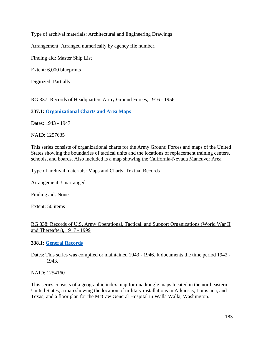Type of archival materials: Architectural and Engineering Drawings

Arrangement: Arranged numerically by agency file number.

Finding aid: Master Ship List

Extent: 6,000 blueprints

Digitized: Partially

# RG 337: Records of Headquarters Army Ground Forces, 1916 - 1956

# **337.1: [Organizational Charts and Area Maps](https://catalog.archives.gov/id/1257635)**

Dates: 1943 - 1947

NAID: 1257635

This series consists of organizational charts for the Army Ground Forces and maps of the United States showing the boundaries of tactical units and the locations of replacement training centers, schools, and boards. Also included is a map showing the California-Nevada Maneuver Area.

Type of archival materials: Maps and Charts, Textual Records

Arrangement: Unarranged.

Finding aid: None

Extent: 50 items

### RG 338: Records of U.S. Army Operational, Tactical, and Support Organizations (World War II and Thereafter), 1917 - 1999

# **338.1: [General Records](https://catalog.archives.gov/id/1254160)**

Dates: This series was compiled or maintained 1943 - 1946. It documents the time period 1942 - 1943.

NAID: 1254160

This series consists of a geographic index map for quadrangle maps located in the northeastern United States; a map showing the location of military installations in Arkansas, Louisiana, and Texas; and a floor plan for the McCaw General Hospital in Walla Walla, Washington.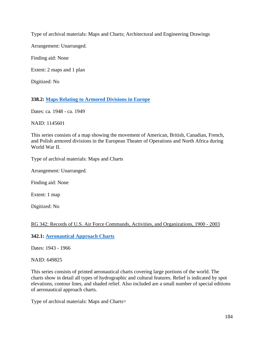Type of archival materials: Maps and Charts; Architectural and Engineering Drawings

Arrangement: Unarranged.

Finding aid: None

Extent: 2 maps and 1 plan

Digitized: No

# **338.2: Maps Relating to [Armored Divisions in Europe](https://catalog.archives.gov/id/1145601)**

Dates: ca. 1948 - ca. 1949

NAID: 1145601

This series consists of a map showing the movement of American, British, Canadian, French, and Polish armored divisions in the European Theater of Operations and North Africa during World War II.

Type of archival materials: Maps and Charts

Arrangement: Unarranged.

Finding aid: None

Extent: 1 map

Digitized: No

# RG 342: Records of U.S. Air Force Commands, Activities, and Organizations, 1900 - 2003

**342.1: [Aeronautical Approach Charts](https://catalog.archives.gov/id/649825)**

Dates: 1943 - 1966

NAID: 649825

This series consists of printed aeronautical charts covering large portions of the world. The charts show in detail all types of hydrographic and cultural features. Relief is indicated by spot elevations, contour lines, and shaded relief. Also included are a small number of special editions of aeronautical approach charts.

Type of archival materials: Maps and Charts=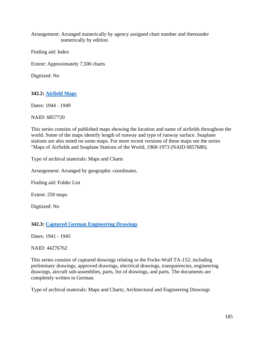Arrangement: Arranged numerically by agency assigned chart number and thereunder numerically by edition.

Finding aid: Index

Extent: Approximately 7,500 charts

Digitized: No

# **342.2: [Airfield Maps](https://catalog.archives.gov/id/6857720)**

Dates: 1944 - 1949

NAID: 6857720

This series consists of published maps showing the location and name of airfields throughout the world. Some of the maps identify length of runway and type of runway surface. Seaplane stations are also noted on some maps. For more recent versions of these maps see the series "Maps of Airfields and Seaplane Stations of the World, 1968-1973 (NAID 6857680).

Type of archival materials: Maps and Charts

Arrangement: Arranged by geographic coordinates.

Finding aid: Folder List

Extent: 250 maps

Digitized: No

### **342.3: [Captured German Engineering Drawings](https://catalog.archives.gov/id/44276762)**

Dates: 1941 - 1945

NAID: 44276762

This series consists of captured drawings relating to the Focke-Wulf TA-152; including preliminary drawings, approved drawings, electrical drawings, transparencies, engineering drawings, aircraft sub-assemblies, parts, list of drawings, and parts. The documents are completely written in German.

Type of archival materials: Maps and Charts; Architectural and Engineering Drawings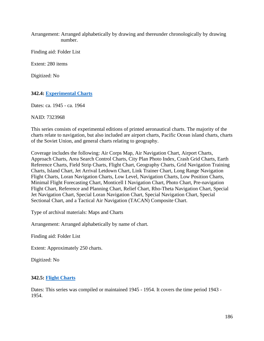Arrangement: Arranged alphabetically by drawing and thereunder chronologically by drawing number.

Finding aid: Folder List

Extent: 280 items

Digitized: No

### **342.4: [Experimental Charts](https://catalog.archives.gov/id/7323968)**

Dates: ca. 1945 - ca. 1964

NAID: 7323968

This series consists of experimental editions of printed aeronautical charts. The majority of the charts relate to navigation, but also included are airport charts, Pacific Ocean island charts, charts of the Soviet Union, and general charts relating to geography.

Coverage includes the following: Air Corps Map, Air Navigation Chart, Airport Charts, Approach Charts, Area Search Control Charts, City Plan Photo Index, Crash Grid Charts, Earth Reference Charts, Field Strip Charts, Flight Chart, Geography Charts, Grid Navigation Training Charts, Island Chart, Jet Arrival Letdown Chart, Link Trainer Chart, Long Range Navigation Flight Charts, Loran Navigation Charts, Low Level, Navigation Charts, Low Position Charts, Minimal Flight Forecasting Chart, Monticell I Navigation Chart, Photo Chart, Pre-navigation Flight Chart, Reference and Planning Chart, Relief Chart, Rho-Theta Navigation Chart, Special Jet Navigation Chart, Special Loran Navigation Chart, Special Navigation Chart, Special Sectional Chart, and a Tactical Air Navigation (TACAN) Composite Chart.

Type of archival materials: Maps and Charts

Arrangement: Arranged alphabetically by name of chart.

Finding aid: Folder List

Extent: Approximately 250 charts.

Digitized: No

### **342.5: Flight Charts**

Dates: This series was compiled or maintained 1945 - 1954. It covers the time period 1943 - 1954.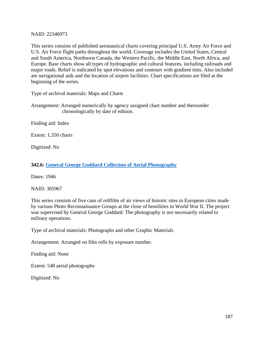NAID: 22346973

This series consists of published aeronautical charts covering principal U.S. Army Air Force and U.S. Air Force flight paths throughout the world. Coverage includes the United States, Central and South America, Northwest Canada, the Western Pacific, the Middle East, North Africa, and Europe. Base charts show all types of hydrographic and cultural features, including railroads and major roads. Relief is indicated by spot elevations and contours with gradient tints. Also included are navigational aids and the location of airport facilities. Chart specifications are filed at the beginning of the series.

Type of archival materials: Maps and Charts

Arrangement: Arranged numerically by agency assigned chart number and thereunder chronologically by date of edition.

Finding aid: Index

Extent: 1,350 charts

Digitized: No

# **342.6: [General George Goddard Collection of Aerial Photography](https://catalog.archives.gov/id/305967)**

Dates: 1946

NAID: 305967

This series consists of five cans of rollfilm of air views of historic sites in European cities made by various Photo Reconnaissance Groups at the close of hostilities in World War II. The project was supervised by General George Goddard. The photography is not necessarily related to military operations.

Type of archival materials: Photographs and other Graphic Materials

Arrangement: Arranged on film rolls by exposure number.

Finding aid: None

Extent: 548 aerial photographs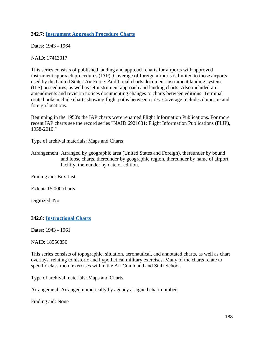### **342.7: [Instrument Approach Procedure Charts](https://catalog.archives.gov/id/17413017)**

Dates: 1943 - 1964

NAID: 17413017

This series consists of published landing and approach charts for airports with approved instrument approach procedures (IAP). Coverage of foreign airports is limited to those airports used by the United States Air Force. Additional charts document instrument landing system (ILS) procedures, as well as jet instrument approach and landing charts. Also included are amendments and revision notices documenting changes to charts between editions. Terminal route books include charts showing flight paths between cities. Coverage includes domestic and foreign locations.

Beginning in the 1950's the IAP charts were renamed Flight Information Publications. For more recent IAP charts see the record series "NAID 6921681: Flight Information Publications (FLIP), 1958-2010."

Type of archival materials: Maps and Charts

Finding aid: Box List

Extent: 15,000 charts

Digitized: No

### **342.8: [Instructional Charts](https://catalog.archives.gov/id/18556850)**

Dates: 1943 - 1961

#### NAID: 18556850

This series consists of topographic, situation, aeronautical, and annotated charts, as well as chart overlays, relating to historic and hypothetical military exercises. Many of the charts relate to specific class room exercises within the Air Command and Staff School.

Type of archival materials: Maps and Charts

Arrangement: Arranged numerically by agency assigned chart number.

Finding aid: None

Arrangement: Arranged by geographic area (United States and Foreign), thereunder by bound and loose charts, thereunder by geographic region, thereunder by name of airport facility, thereunder by date of edition.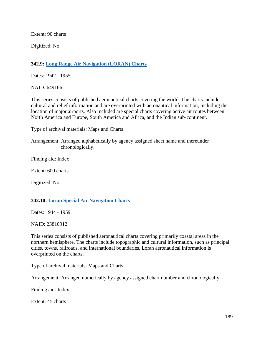Extent: 90 charts

Digitized: No

# **342.9: [Long Range Air Navigation \(LORAN\) Charts](https://catalog.archives.gov/id/649166)**

Dates: 1942 - 1955

NAID: 649166

This series consists of published aeronautical charts covering the world. The charts include cultural and relief information and are overprinted with aeronautical information, including the location of major airports. Also included are special charts covering active air routes between North America and Europe, South America and Africa, and the Indian sub-continent.

Type of archival materials: Maps and Charts

Arrangement: Arranged alphabetically by agency assigned sheet name and thereunder chronologically.

Finding aid: Index

Extent: 600 charts

Digitized: No

# **342.10: [Loran Special Air Navigation Charts](https://catalog.archives.gov/id/23810912)**

Dates: 1944 - 1959

NAID: 23810912

This series consists of published aeronautical charts covering primarily coastal areas in the northern hemisphere. The charts include topographic and cultural information, such as principal cities, towns, railroads, and international boundaries. Loran aeronautical information is overprinted on the charts.

Type of archival materials: Maps and Charts

Arrangement: Arranged numerically by agency assigned chart number and chronologically.

Finding aid: Index

Extent: 45 charts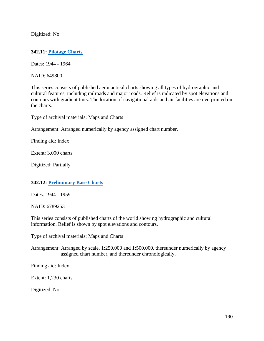Digitized: No

### **342.11: [Pilotage Charts](https://catalog.archives.gov/id/649800)**

Dates: 1944 - 1964

NAID: 649800

This series consists of published aeronautical charts showing all types of hydrographic and cultural features, including railroads and major roads. Relief is indicated by spot elevations and contours with gradient tints. The location of navigational aids and air facilities are overprinted on the charts.

Type of archival materials: Maps and Charts

Arrangement: Arranged numerically by agency assigned chart number.

Finding aid: Index

Extent: 3,000 charts

Digitized: Partially

### **342.12: [Preliminary](https://catalog.archives.gov/id/6789253) Base Charts**

Dates: 1944 - 1959

NAID: 6789253

This series consists of published charts of the world showing hydrographic and cultural information. Relief is shown by spot elevations and contours.

Type of archival materials: Maps and Charts

Arrangement: Arranged by scale, 1:250,000 and 1:500,000, thereunder numerically by agency assigned chart number, and thereunder chronologically.

Finding aid: Index

Extent: 1,230 charts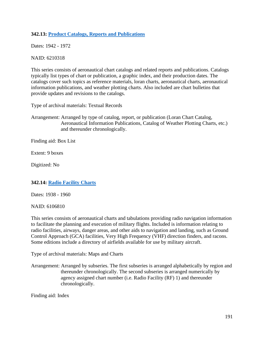# **342.13: [Product Catalogs, Reports and Publications](https://catalog.archives.gov/id/6210318)**

Dates: 1942 - 1972

### NAID: 6210318

This series consists of aeronautical chart catalogs and related reports and publications. Catalogs typically list types of chart or publication, a graphic index, and their production dates. The catalogs cover such topics as reference materials, loran charts, aeronautical charts, aeronautical information publications, and weather plotting charts. Also included are chart bulletins that provide updates and revisions to the catalogs.

Type of archival materials: Textual Records

Arrangement: Arranged by type of catalog, report, or publication (Loran Chart Catalog, Aeronautical Information Publications, Catalog of Weather Plotting Charts, etc.) and thereunder chronologically.

Finding aid: Box List

Extent: 9 boxes

Digitized: No

# **342.14: [Radio Facility Charts](https://catalog.archives.gov/id/6106810)**

Dates: 1938 - 1960

NAID: 6106810

This series consists of aeronautical charts and tabulations providing radio navigation information to facilitate the planning and execution of military flights. Included is information relating to radio facilities, airways, danger areas, and other aids to navigation and landing, such as Ground Control Approach (GCA) facilities, Very High Frequency (VHF) direction finders, and racons. Some editions include a directory of airfields available for use by military aircraft.

Type of archival materials: Maps and Charts

Arrangement: Arranged by subseries. The first subseries is arranged alphabetically by region and thereunder chronologically. The second subseries is arranged numerically by agency assigned chart number (i.e. Radio Facility (RF) 1) and thereunder chronologically.

Finding aid: Index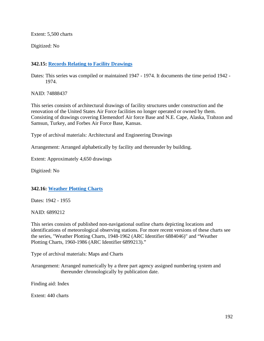Extent: 5,500 charts

Digitized: No

# **342.15: [Records Relating to Facility Drawings](https://catalog.archives.gov/id/74888437)**

Dates: This series was compiled or maintained 1947 - 1974. It documents the time period 1942 - 1974.

NAID: 74888437

This series consists of architectural drawings of facility structures under construction and the renovation of the United States Air Force facilities no longer operated or owned by them. Consisting of drawings covering Elemendorf Air force Base and N.E. Cape, Alaska, Trabzon and Samsun, Turkey, and Forbes Air Force Base, Kansas.

Type of archival materials: Architectural and Engineering Drawings

Arrangement: Arranged alphabetically by facility and thereunder by building.

Extent: Approximately 4,650 drawings

Digitized: No

# **342.16: [Weather Plotting Charts](https://catalog.archives.gov/id/6899212)**

Dates: 1942 - 1955

NAID: 6899212

This series consists of published non-navigational outline charts depicting locations and identifications of meteorological observing stations. For more recent versions of these charts see the series, "Weather Plotting Charts, 1948-1962 (ARC Identifier 6884046)" and "Weather Plotting Charts, 1960-1986 (ARC Identifier 6899213)."

Type of archival materials: Maps and Charts

Arrangement: Arranged numerically by a three part agency assigned numbering system and thereunder chronologically by publication date.

Finding aid: Index

Extent: 440 charts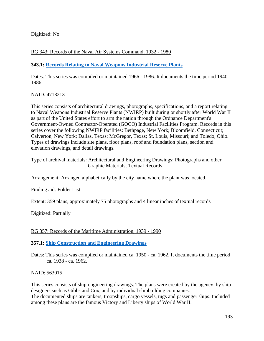Digitized: No

# RG 343: Records of the Naval Air Systems Command, 1932 - 1980

### **343.1: [Records Relating to Naval Weapons Industrial Reserve Plants](https://catalog.archives.gov/id/4713213)**

Dates: This series was compiled or maintained 1966 - 1986. It documents the time period 1940 - 1986.

NAID: 4713213

This series consists of architectural drawings, photographs, specifications, and a report relating to Naval Weapons Industrial Reserve Plants (NWIRP) built during or shortly after World War II as part of the United States effort to arm the nation through the Ordnance Department's Government-Owned Contractor-Operated (GOCO) Industrial Facilities Program. Records in this series cover the following NWIRP facilities: Bethpage, New York; Bloomfield, Connecticut; Calverton, New York; Dallas, Texas; McGregor, Texas; St. Louis, Missouri; and Toledo, Ohio. Types of drawings include site plans, floor plans, roof and foundation plans, section and elevation drawings, and detail drawings.

Type of archival materials: Architectural and Engineering Drawings; Photographs and other Graphic Materials; Textual Records

Arrangement: Arranged alphabetically by the city name where the plant was located.

Finding aid: Folder List

Extent: 359 plans, approximately 75 photographs and 4 linear inches of textual records

Digitized: Partially

### RG 357: Records of the Maritime Administration, 1939 - 1990

### **357.1: [Ship Construction and Engineering Drawings](https://catalog.archives.gov/id/563015)**

Dates: This series was compiled or maintained ca. 1950 - ca. 1962. It documents the time period ca. 1938 - ca. 1962.

#### NAID: 563015

This series consists of ship-engineering drawings. The plans were created by the agency, by ship designers such as Gibbs and Cox, and by individual shipbuilding companies.

The documented ships are tankers, troopships, cargo vessels, tugs and passenger ships. Included among these plans are the famous Victory and Liberty ships of World War II.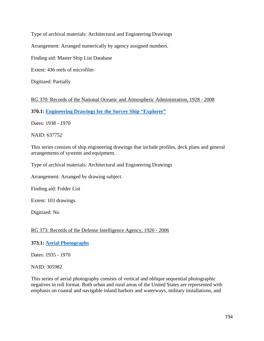Type of archival materials: Architectural and Engineering Drawings

Arrangement: Arranged numerically by agency assigned numbers.

Finding aid: Master Ship List Database

Extent: 436 reels of microfilm

Digitized: Partially

RG 370: Records of the National Oceanic and Atmospheric Administration, 1928 - 2008

**370.1: [Engineering Drawings for the Survey Ship "Explorer"](https://catalog.archives.gov/id/637752)**

Dates: 1938 - 1970

NAID: 637752

This series consists of ship engineering drawings that include profiles, deck plans and general arrangements of systems and equipment.

Type of archival materials: Architectural and Engineering Drawings

Arrangement: Arranged by drawing subject.

Finding aid: Folder List

Extent: 103 drawings

Digitized: No

# RG 373: Records of the Defense Intelligence Agency, 1920 - 2006

# **373.1: [Aerial Photographs](https://catalog.archives.gov/id/305982)**

Dates: 1935 - 1970

NAID: 305982

This series of aerial photography consists of vertical and oblique sequential photographic negatives in roll format. Both urban and rural areas of the United States are represented with emphasis on coastal and navigable inland harbors and waterways, military installations, and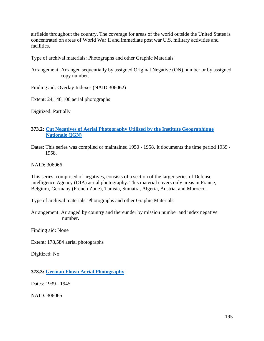airfields throughout the country. The coverage for areas of the world outside the United States is concentrated on areas of World War II and immediate post war U.S. military activities and facilities.

Type of archival materials: Photographs and other Graphic Materials

Arrangement: Arranged sequentially by assigned Original Negative (ON) number or by assigned copy number.

Finding aid: Overlay Indexes (NAID 306062)

Extent: 24,146,100 aerial photographs

Digitized: Partially

# **373.2: [Cut Negatives of Aerial Photography Utilized by the Institute Geographique](https://catalog.archives.gov/id/306066)  [Nationale \(IGN\)](https://catalog.archives.gov/id/306066)**

Dates: This series was compiled or maintained 1950 - 1958. It documents the time period 1939 - 1958.

NAID: 306066

This series, comprised of negatives, consists of a section of the larger series of Defense Intelligence Agency (DIA) aerial photography. This material covers only areas in France, Belgium, Germany (French Zone), Tunisia, Sumatra, Algeria, Austria, and Morocco.

Type of archival materials: Photographs and other Graphic Materials

Arrangement: Arranged by country and thereunder by mission number and index negative number.

Finding aid: None

Extent: 178,584 aerial photographs

Digitized: No

**373.3: [German Flown Aerial Photography](https://catalog.archives.gov/id/306065)**

Dates: 1939 - 1945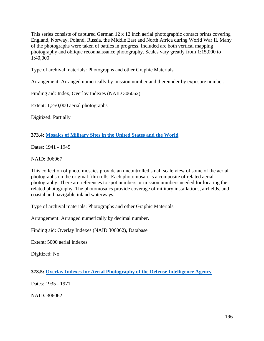This series consists of captured German 12 x 12 inch aerial photographic contact prints covering England, Norway, Poland, Russia, the Middle East and North Africa during World War II. Many of the photographs were taken of battles in progress. Included are both vertical mapping photography and oblique reconnaissance photography. Scales vary greatly from 1:15,000 to 1:40,000.

Type of archival materials: Photographs and other Graphic Materials

Arrangement: Arranged numerically by mission number and thereunder by exposure number.

Finding aid: Index, Overlay Indexes (NAID 306062)

Extent: 1,250,000 aerial photographs

Digitized: Partially

# **373.4: [Mosaics of Military Sites in the United States and the World](https://catalog.archives.gov/id/306067)**

Dates: 1941 - 1945

NAID: 306067

This collection of photo mosaics provide an uncontrolled small scale view of some of the aerial photographs on the original film rolls. Each photomosaic is a composite of related aerial photography. There are references to spot numbers or mission numbers needed for locating the related photography. The photomosaics provide coverage of military installations, airfields, and coastal and navigable inland waterways.

Type of archival materials: Photographs and other Graphic Materials

Arrangement: Arranged numerically by decimal number.

Finding aid: Overlay Indexes (NAID 306062), Database

Extent: 5000 aerial indexes

Digitized: No

**373.5: Overlay [Indexes for Aerial Photography of the Defense Intelligence Agency](https://catalog.archives.gov/id/306062)**

Dates: 1935 - 1971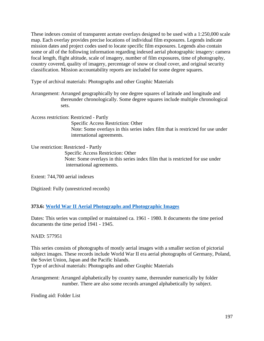These indexes consist of transparent acetate overlays designed to be used with a 1:250,000 scale map. Each overlay provides precise locations of individual film exposures. Legends indicate mission dates and project codes used to locate specific film exposures. Legends also contain some or all of the following information regarding indexed aerial photographic imagery: camera focal length, flight altitude, scale of imagery, number of film exposures, time of photography, country covered, quality of imagery, percentage of snow or cloud cover, and original security classification. Mission accountability reports are included for some degree squares.

Type of archival materials: Photographs and other Graphic Materials

Arrangement: Arranged geographically by one degree squares of latitude and longitude and thereunder chronologically. Some degree squares include multiple chronological sets.

Access restriction: Restricted - Partly Specific Access Restriction: Other Note: Some overlays in this series index film that is restricted for use under international agreements.

Use restriction: Restricted - Partly Specific Access Restriction: Other Note: Some overlays in this series index film that is restricted for use under international agreements.

Extent: 744,700 aerial indexes

Digitized: Fully (unrestricted records)

# **373.6: World [War II Aerial Photographs and Photographic Images](https://catalog.archives.gov/id/577951)**

Dates: This series was compiled or maintained ca. 1961 - 1980. It documents the time period documents the time period 1941 - 1945.

### NAID: 577951

This series consists of photographs of mostly aerial images with a smaller section of pictorial subject images. These records include World War II era aerial photographs of Germany, Poland, the Soviet Union, Japan and the Pacific Islands.

Type of archival materials: Photographs and other Graphic Materials

Arrangement: Arranged alphabetically by country name, thereunder numerically by folder number. There are also some records arranged alphabetically by subject.

Finding aid: Folder List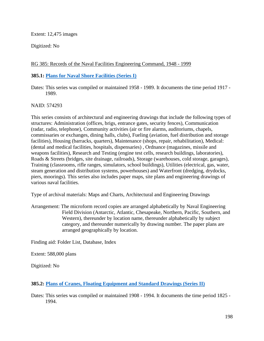Extent: 12,475 images

Digitized: No

# RG 385: Records of the Naval Facilities Engineering Command, 1948 - 1999

### **385.1: [Plans for Naval Shore Facilities \(Series I\)](https://catalog.archives.gov/id/574293)**

Dates: This series was compiled or maintained 1958 - 1989. It documents the time period 1917 - 1989.

NAID: 574293

This series consists of architectural and engineering drawings that include the following types of structures: Administration (offices, brigs, entrance gates, security fences), Communication (radar, radio, telephone), Community activities (air or fire alarms, auditoriums, chapels, commissaries or exchanges, dining halls, clubs), Fueling (aviation, fuel distribution and storage facilities), Housing (barracks, quarters), Maintenance (shops, repair, rehabilitation), Medical: (dental and medical facilities, hospitals, dispensaries) , Ordnance (magazines, missile and weapons facilities), Research and Testing (engine test cells, research buildings, laboratories), Roads & Streets (bridges, site drainage, railroads), Storage (warehouses, cold storage, garages), Training (classrooms, rifle ranges, simulators, school buildings), Utilities (electrical, gas, water, steam generation and distribution systems, powerhouses) and Waterfront (dredging, drydocks, piers, moorings). This series also includes paper maps, site plans and engineering drawings of various naval facilities.

Type of archival materials: Maps and Charts, Architectural and Engineering Drawings

Arrangement: The microform record copies are arranged alphabetically by Naval Engineering Field Division (Antarctic, Atlantic, Chesapeake, Northern, Pacific, Southern, and Western), thereunder by location name, thereunder alphabetically by subject category, and thereunder numerically by drawing number. The paper plans are arranged geographically by location.

Finding aid: Folder List, Database, Index

Extent: 588,000 plans

Digitized: No

# **385.2: [Plans of Cranes, Floating Equipment and Standard Drawings \(Series II\)](https://catalog.archives.gov/id/63531026)**

Dates: This series was compiled or maintained 1908 - 1994. It documents the time period 1825 - 1994.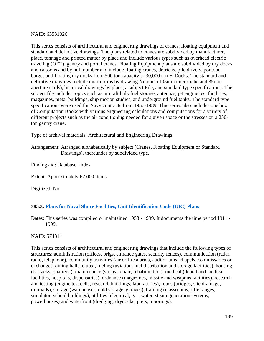### NAID: 63531026

This series consists of architectural and engineering drawings of cranes, floating equipment and standard and definitive drawings. The plans related to cranes are subdivided by manufacturer, place, tonnage and printed matter by place and include various types such as overhead electric traveling (OET), gantry and portal cranes. Floating Equipment plans are subdivided by dry docks and caissons and by hull number and include floating cranes, derricks, pile drivers, pontoon barges and floating dry docks from 500 ton capacity to 30,000 ton H-Docks. The standard and definitive drawings include microforms by drawing Number (105mm microfiche and 35mm aperture cards), historical drawings by place, a subject File, and standard type specifications. The subject file includes topics such as aircraft bulk fuel storage, antennas, jet engine test facilities, magazines, metal buildings, ship motion studies, and underground fuel tanks. The standard type specifications were used for Navy contracts from 1957-1989. This series also includes one box of Computation Books with various engineering calculations and computations for a variety of different projects such as the air conditioning needed for a given space or the stresses on a 250 ton gantry crane.

Type of archival materials: Architectural and Engineering Drawings

Arrangement: Arranged alphabetically by subject (Cranes, Floating Equipment or Standard Drawings), thereunder by subdivided type.

Finding aid: Database, Index

Extent: Approximately 67,000 items

Digitized: No

# **385.3: [Plans for Naval Shore Facilities, Unit Identification](https://catalog.archives.gov/id/574311) Code (UIC) Plans**

Dates: This series was compiled or maintained 1958 - 1999. It documents the time period 1911 - 1999.

NAID: 574311

This series consists of architectural and engineering drawings that include the following types of structures: administration (offices, brigs, entrance gates, security fences), communication (radar, radio, telephone), community activities (air or fire alarms, auditoriums, chapels, commissaries or exchanges, dining halls, clubs), fueling (aviation, fuel distribution and storage facilities), housing (barracks, quarters,), maintenance (shops, repair, rehabilitation), medical (dental and medical facilities, hospitals, dispensaries), ordnance (magazines, missile and weapons facilities), research and testing (engine test cells, research buildings, laboratories), roads (bridges, site drainage, railroads), storage (warehouses, cold storage, garages), training (classrooms, rifle ranges, simulator, school buildings), utilities (electrical, gas, water, steam generation systems, powerhouses) and waterfront (dredging, drydocks, piers, moorings).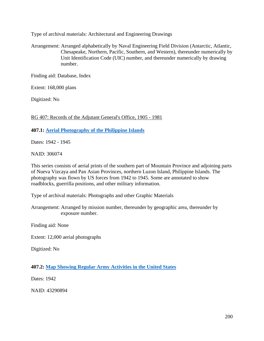Type of archival materials: Architectural and Engineering Drawings

Arrangement: Arranged alphabetically by Naval Engineering Field Division (Antarctic, Atlantic, Chesapeake, Northern, Pacific, Southern, and Western), thereunder numerically by Unit Identification Code (UIC) number, and thereunder numerically by drawing number.

Finding aid: Database, Index

Extent: 168,000 plans

Digitized: No

RG 407: Records of the Adjutant General's Office, 1905 - 1981

**407.1: [Aerial Photography of the Philippine Islands](https://catalog.archives.gov/id/306074)**

Dates: 1942 - 1945

NAID: 306074

This series consists of aerial prints of the southern part of Mountain Province and adjoining parts of Nueva Vizcaya and Pan Asian Provinces, northern Luzon Island, Philippine Islands. The photography was flown by US forces from 1942 to 1945. Some are annotated to show roadblocks, guerrilla positions, and other military information.

Type of archival materials: Photographs and other Graphic Materials

Arrangement: Arranged by mission number, thereunder by geographic area, thereunder by exposure number.

Finding aid: None

Extent: 12,000 aerial photographs

Digitized: No

**407.2: [Map Showing Regular Army Activities in the United States](https://catalog.archives.gov/id/43290894)**

Dates: 1942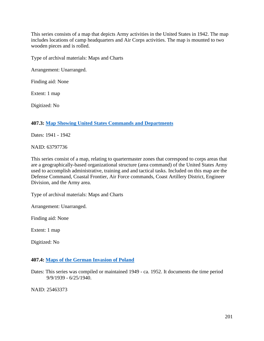This series consists of a map that depicts Army activities in the United States in 1942. The map includes locations of camp headquarters and Air Corps activities. The map is mounted to two wooden pieces and is rolled.

Type of archival materials: Maps and Charts

Arrangement: Unarranged.

Finding aid: None

Extent: 1 map

Digitized: No

### **407.3: Map [Showing United States Commands and Departments](https://catalog.archives.gov/id/63797736)**

Dates: 1941 - 1942

NAID: 63797736

This series consist of a map, relating to quartermaster zones that correspond to corps areas that are a geographically-based organizational structure (area command) of the United States Army used to accomplish administrative, training and and tactical tasks. Included on this map are the Defense Command, Coastal Frontier, Air Force commands, Coast Artillery District, Engineer Division, and the Army area.

Type of archival materials: Maps and Charts

Arrangement: Unarranged.

Finding aid: None

Extent: 1 map

Digitized: No

### **407.4: [Maps of the German Invasion of Poland](https://catalog.archives.gov/id/25463373)**

Dates: This series was compiled or maintained 1949 - ca. 1952. It documents the time period 9/9/1939 - 6/25/1940.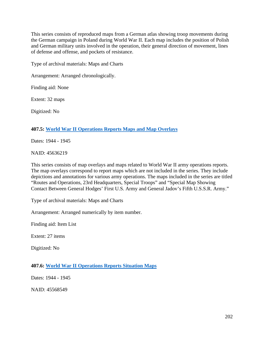This series consists of reproduced maps from a German atlas showing troop movements during the German campaign in Poland during World War II. Each map includes the position of Polish and German military units involved in the operation, their general direction of movement, lines of defense and offense, and pockets of resistance.

Type of archival materials: Maps and Charts

Arrangement: Arranged chronologically.

Finding aid: None

Extent: 32 maps

Digitized: No

### **407.5: [World War II Operations Reports Maps and Map Overlays](https://catalog.archives.gov/id/45636219)**

Dates: 1944 - 1945

NAID: 45636219

This series consists of map overlays and maps related to World War II army operations reports. The map overlays correspond to report maps which are not included in the series. They include depictions and annotations for various army operations. The maps included in the series are titled "Routes and Operations, 23rd Headquarters, Special Troops" and "Special Map Showing Contact Between General Hodges' First U.S. Army and General Jadov's Fifth U.S.S.R. Army."

Type of archival materials: Maps and Charts

Arrangement: Arranged numerically by item number.

Finding aid: Item List

Extent: 27 items

Digitized: No

**407.6: World [War II Operations Reports Situation Maps](https://catalog.archives.gov/id/45568549)**

Dates: 1944 - 1945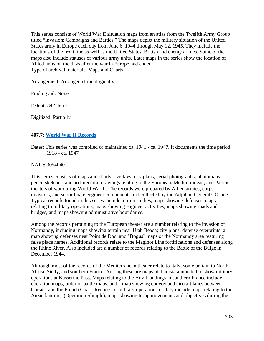This series consists of World War II situation maps from an atlas from the Twelfth Army Group titled "Invasion: Campaigns and Battles." The maps depict the military situation of the United States army in Europe each day from June 6, 1944 through May 12, 1945. They include the locations of the front line as well as the United States, British and enemy armies. Some of the maps also include statuses of various army units. Later maps in the series show the location of Allied units on the days after the war in Europe had ended. Type of archival materials: Maps and Charts

Arrangement: Arranged chronologically.

Finding aid: None

Extent: 342 items

Digitized: Partially

### **407.7: [World War II Records](https://catalog.archives.gov/id/3054040)**

Dates: This series was compiled or maintained ca. 1941 - ca. 1947. It documents the time period 1918 - ca. 1947

NAID: 3054040

This series consists of maps and charts, overlays, city plans, aerial photographs, photomaps, pencil sketches, and architectural drawings relating to the European, Mediterranean, and Pacific theaters of war during World War II. The records were prepared by Allied armies, corps, divisions, and subordinate engineer components and collected by the Adjutant General's Office. Typical records found in this series include terrain studies, maps showing defenses, maps relating to military operations, maps showing engineer activities, maps showing roads and bridges, and maps showing administrative boundaries.

Among the records pertaining to the European theater are a number relating to the invasion of Normandy, including maps showing terrain near Utah Beach; city plans; defense overprints; a map showing defenses near Point de Doc; and "Bogus" maps of the Normandy area featuring false place names. Additional records relate to the Maginot Line fortifications and defenses along the Rhine River. Also included are a number of records relating to the Battle of the Bulge in December 1944.

Although most of the records of the Mediterranean theater relate to Italy, some pertain to North Africa, Sicily, and southern France. Among these are maps of Tunisia annotated to show military operations at Kasserine Pass. Maps relating to the Anvil landings in southern France include operation maps; order of battle maps; and a map showing convoy and aircraft lanes between Corsica and the French Coast. Records of military operations in Italy include maps relating to the Anzio landings (Operation Shingle), maps showing troop movements and objectives during the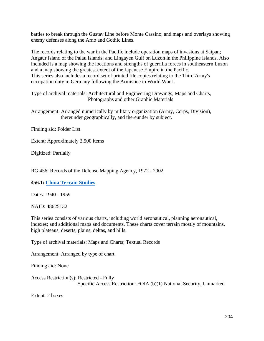battles to break through the Gustav Line before Monte Cassino, and maps and overlays showing enemy defenses along the Arno and Gothic Lines.

The records relating to the war in the Pacific include operation maps of invasions at Saipan; Angaur Island of the Palau Islands; and Lingayen Gulf on Luzon in the Philippine Islands. Also included is a map showing the locations and strengths of guerrilla forces in southeastern Luzon and a map showing the greatest extent of the Japanese Empire in the Pacific. This series also includes a record set of printed file copies relating to the Third Army's occupation duty in Germany following the Armistice in World War I.

Type of archival materials: Architectural and Engineering Drawings, Maps and Charts, Photographs and other Graphic Materials

Arrangement: Arranged numerically by military organization (Army, Corps, Division), thereunder geographically, and thereunder by subject.

Finding aid: Folder List

Extent: Approximately 2,500 items

Digitized: Partially

### RG 456: Records of the Defense Mapping Agency, 1972 - 2002

### **456.1: [China Terrain Studies](https://catalog.archives.gov/id/48625132)**

Dates: 1940 - 1959

NAID: 48625132

This series consists of various charts, including world aeronautical, planning aeronautical, indexes; and additional maps and documents. These charts cover terrain mostly of mountains, high plateaus, deserts, plains, deltas, and hills.

Type of archival materials: Maps and Charts; Textual Records

Arrangement: Arranged by type of chart.

Finding aid: None

Access Restriction(s): Restricted - Fully Specific Access Restriction: FOIA (b)(1) National Security, Unmarked

Extent: 2 boxes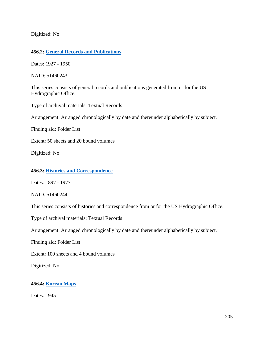Digitized: No

# **456.2: [General Records and Publications](https://catalog.archives.gov/id/51460243)**

Dates: 1927 - 1950

NAID: 51460243

This series consists of general records and publications generated from or for the US Hydrographic Office.

Type of archival materials: Textual Records

Arrangement: Arranged chronologically by date and thereunder alphabetically by subject.

Finding aid: Folder List

Extent: 50 sheets and 20 bound volumes

Digitized: No

#### **456.3: [Histories and Correspondence](https://catalog.archives.gov/id/51460244)**

Dates: 1897 - 1977

NAID: 51460244

This series consists of histories and correspondence from or for the US Hydrographic Office.

Type of archival materials: Textual Records

Arrangement: Arranged chronologically by date and thereunder alphabetically by subject.

Finding aid: Folder List

Extent: 100 sheets and 4 bound volumes

Digitized: No

### **456.4: [Korean](https://catalog.archives.gov/id/74207484) Maps**

Dates: 1945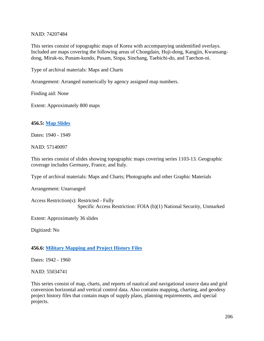### NAID: 74207484

This series consist of topographic maps of Korea with accompanying unidentified overlays. Included are maps covering the following areas of Chongdain, Huji-dong, Kangjin, Kwansangdong, Miruk-to, Punam-kundo, Pusam, Sinpa, Sinchang, Taebichi-do, and Taechon-ni.

Type of archival materials: Maps and Charts

Arrangement: Arranged numerically by agency assigned map numbers.

Finding aid: None

Extent: Approximately 800 maps

# **456.5: [Map Slides](https://catalog.archives.gov/id/57140097)**

Dates: 1940 - 1949

NAID: 57140097

This series consist of slides showing topographic maps covering series 1103-13. Geographic coverage includes Germany, France, and Italy.

Type of archival materials: Maps and Charts; Photographs and other Graphic Materials

Arrangement: Unarranged

Access Restriction(s): Restricted - Fully Specific Access Restriction: FOIA (b)(1) National Security, Unmarked

Extent: Approximately 36 slides

Digitized: No

# **456.6: Military [Mapping and Project History Files](https://catalog.archives.gov/id/55034741)**

Dates: 1942 - 1960

NAID: 55034741

This series consist of map, charts, and reports of nautical and navigational source data and grid conversion horizontal and vertical control data. Also contains mapping, charting, and geodesy project history files that contain maps of supply plans, planning requirements, and special projects.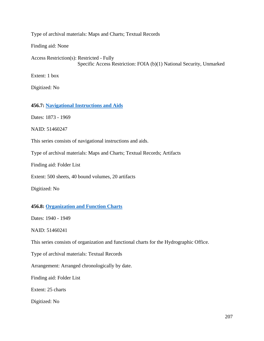Type of archival materials: Maps and Charts; Textual Records

Finding aid: None

Access Restriction(s): Restricted - Fully Specific Access Restriction: FOIA (b)(1) National Security, Unmarked

Extent: 1 box

Digitized: No

#### **456.7: [Navigational Instructions and Aids](https://catalog.archives.gov/id/51460247)**

Dates: 1873 - 1969

NAID: 51460247

This series consists of navigational instructions and aids.

Type of archival materials: Maps and Charts; Textual Records; Artifacts

Finding aid: Folder List

Extent: 500 sheets, 40 bound volumes, 20 artifacts

Digitized: No

#### **456.8: [Organization and Function Charts](https://catalog.archives.gov/id/51460241)**

Dates: 1940 - 1949

NAID: 51460241

This series consists of organization and functional charts for the Hydrographic Office.

Type of archival materials: Textual Records

Arrangement: Arranged chronologically by date.

Finding aid: Folder List

Extent: 25 charts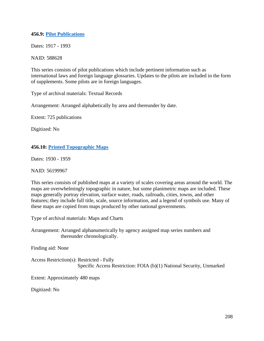### **456.9: Pilot [Publications](https://catalog.archives.gov/id/588628)**

Dates: 1917 - 1993

### NAID: 588628

This series consists of pilot publications which include pertinent information such as international laws and foreign language glossaries. Updates to the pilots are included in the form of supplements. Some pilots are in foreign languages.

Type of archival materials: Textual Records

Arrangement: Arranged alphabetically by area and thereunder by date.

Extent: 725 publications

Digitized: No

# **456.10: [Printed Topographic](https://catalog.archives.gov/id/56199967) Maps**

Dates: 1930 - 1959

NAID: 56199967

This series consists of published maps at a variety of scales covering areas around the world. The maps are overwhelmingly topographic in nature, but some planimetric maps are included. These maps generally portray elevation, surface water, roads, railroads, cities, towns, and other features; they include full title, scale, source information, and a legend of symbols use. Many of these maps are copied from maps produced by other national governments.

Type of archival materials: Maps and Charts

Arrangement: Arranged alphanumerically by agency assigned map series numbers and thereunder chronologically.

Finding aid: None

Access Restriction(s): Restricted - Fully Specific Access Restriction: FOIA (b)(1) National Security, Unmarked

Extent: Approximately 480 maps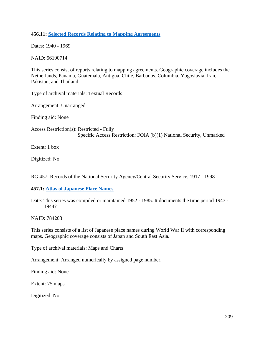### **456.11: Selected Records [Relating to Mapping Agreements](https://catalog.archives.gov/id/56190714)**

Dates: 1940 - 1969

NAID: 56190714

This series consist of reports relating to mapping agreements. Geographic coverage includes the Netherlands, Panama, Guatemala, Antigua, Chile, Barbados, Columbia, Yugoslavia, Iran, Pakistan, and Thailand.

Type of archival materials: Textual Records

Arrangement: Unarranged.

Finding aid: None

Access Restriction(s): Restricted - Fully Specific Access Restriction: FOIA (b)(1) National Security, Unmarked

Extent: 1 box

Digitized: No

### RG 457: Records of the National Security Agency/Central Security Service, 1917 - 1998

### **457.1: [Atlas of Japanese Place](https://catalog.archives.gov/id/784203) Names**

Date: This series was compiled or maintained 1952 - 1985. It documents the time period 1943 - 1944?

NAID: 784203

This series consists of a list of Japanese place names during World War II with corresponding maps. Geographic coverage consists of Japan and South East Asia.

Type of archival materials: Maps and Charts

Arrangement: Arranged numerically by assigned page number.

Finding aid: None

Extent: 75 maps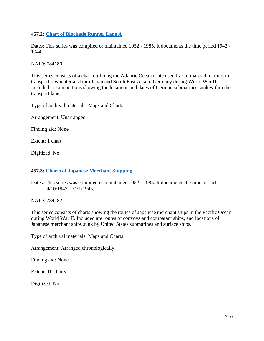### **457.2: [Chart of Blockade Runner Lane A](https://catalog.archives.gov/id/784180)**

Dates: This series was compiled or maintained 1952 - 1985. It documents the time period 1942 - 1944.

NAID: 784180

This series consists of a chart outlining the Atlantic Ocean route used by German submarines to transport raw materials from Japan and South East Asia to Germany during World War II. Included are annotations showing the locations and dates of German submarines sunk within the transport lane.

Type of archival materials: Maps and Charts

Arrangement: Unarranged.

Finding aid: None

Extent: 1 chart

Digitized: No

### **457.3: Charts [of Japanese Merchant Shipping](https://catalog.archives.gov/id/784182)**

Dates: This series was compiled or maintained 1952 - 1985. It documents the time period 9/10/1943 - 3/31/1945.

NAID: 784182

This series consists of charts showing the routes of Japanese merchant ships in the Pacific Ocean during World War II. Included are routes of convoys and combatant ships, and locations of Japanese merchant ships sunk by United States submarines and surface ships.

Type of archival materials: Maps and Charts

Arrangement: Arranged chronologically.

Finding aid: None

Extent: 10 charts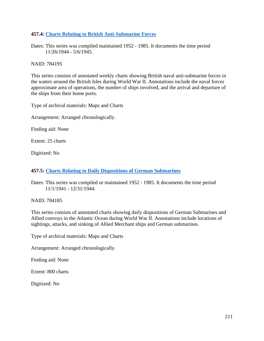## **457.4: Charts Relating to [British Anti-Submarine Forces](https://catalog.archives.gov/id/784195)**

Dates: This series was compiled maintained 1952 - 1985. It documents the time period 11/26/1944 - 5/6/1945.

NAID: 784195

This series consists of annotated weekly charts showing British naval anti-submarine forces in the waters around the British Isles during World War II. Annotations include the naval forces approximate area of operations, the number of ships involved, and the arrival and departure of the ships from their home ports.

Type of archival materials: Maps and Charts

Arrangement: Arranged chronologically.

Finding aid: None

Extent: 25 charts

Digitized: No

#### **457.5: [Charts Relating to Daily Dispositions of German Submarines](https://catalog.archives.gov/id/784185)**

Dates: This series was compiled or maintained 1952 - 1985. It documents the time period 11/1/1941 - 12/31/1944.

NAID: 784185

This series consists of annotated charts showing daily dispositions of German Submarines and Allied convoys in the Atlantic Ocean during World War II. Annotations include locations of sightings, attacks, and sinking of Allied Merchant ships and German submarines.

Type of archival materials: Maps and Charts

Arrangement: Arranged chronologically.

Finding aid: None

Extent: 800 charts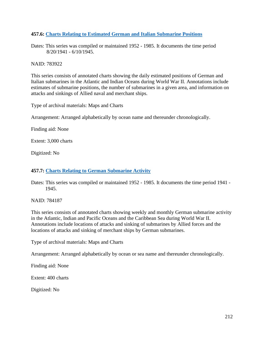## **457.6: [Charts Relating to Estimated German and Italian Submarine Positions](https://catalog.archives.gov/id/783922)**

Dates: This series was compiled or maintained 1952 - 1985. It documents the time period 8/20/1941 - 6/10/1945.

NAID: 783922

This series consists of annotated charts showing the daily estimated positions of German and Italian submarines in the Atlantic and Indian Oceans during World War II. Annotations include estimates of submarine positions, the number of submarines in a given area, and information on attacks and sinkings of Allied naval and merchant ships.

Type of archival materials: Maps and Charts

Arrangement: Arranged alphabetically by ocean name and thereunder chronologically.

Finding aid: None

Extent: 3,000 charts

Digitized: No

#### **457.7: Charts [Relating to German Submarine Activity](https://catalog.archives.gov/id/784187)**

Dates: This series was compiled or maintained 1952 - 1985. It documents the time period 1941 - 1945.

NAID: 784187

This series consists of annotated charts showing weekly and monthly German submarine activity in the Atlantic, Indian and Pacific Oceans and the Caribbean Sea during World War II. Annotations include locations of attacks and sinking of submarines by Allied forces and the locations of attacks and sinking of merchant ships by German submarines.

Type of archival materials: Maps and Charts

Arrangement: Arranged alphabetically by ocean or sea name and thereunder chronologically.

Finding aid: None

Extent: 400 charts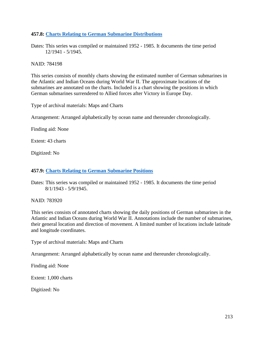### **457.8: Charts Relating [to German Submarine Distributions](https://catalog.archives.gov/id/784198)**

Dates: This series was compiled or maintained 1952 - 1985. It documents the time period 12/1941 - 5/1945.

NAID: 784198

This series consists of monthly charts showing the estimated number of German submarines in the Atlantic and Indian Oceans during World War II. The approximate locations of the submarines are annotated on the charts. Included is a chart showing the positions in which German submarines surrendered to Allied forces after Victory in Europe Day.

Type of archival materials: Maps and Charts

Arrangement: Arranged alphabetically by ocean name and thereunder chronologically.

Finding aid: None

Extent: 43 charts

Digitized: No

#### **457.9: Charts [Relating to German Submarine Positions](https://catalog.archives.gov/id/783920)**

Dates: This series was compiled or maintained 1952 - 1985. It documents the time period 8/1/1943 - 5/9/1945.

NAID: 783920

This series consists of annotated charts showing the daily positions of German submarines in the Atlantic and Indian Oceans during World War II. Annotations include the number of submarines, their general location and direction of movement. A limited number of locations include latitude and longitude coordinates.

Type of archival materials: Maps and Charts

Arrangement: Arranged alphabetically by ocean name and thereunder chronologically.

Finding aid: None

Extent: 1,000 charts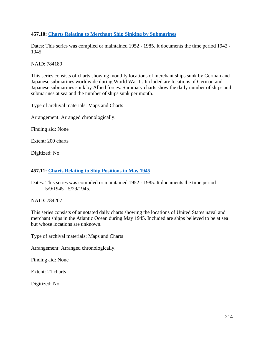## **457.10: Charts [Relating to Merchant Ship Sinking by Submarines](https://catalog.archives.gov/id/784189)**

Dates: This series was compiled or maintained 1952 - 1985. It documents the time period 1942 - 1945.

NAID: 784189

This series consists of charts showing monthly locations of merchant ships sunk by German and Japanese submarines worldwide during World War II. Included are locations of German and Japanese submarines sunk by Allied forces. Summary charts show the daily number of ships and submarines at sea and the number of ships sunk per month.

Type of archival materials: Maps and Charts

Arrangement: Arranged chronologically.

Finding aid: None

Extent: 200 charts

Digitized: No

#### **457.11: Charts Relating [to Ship Positions in May 1945](https://catalog.archives.gov/id/784207)**

Dates: This series was compiled or maintained 1952 - 1985. It documents the time period 5/9/1945 - 5/29/1945.

NAID: 784207

This series consists of annotated daily charts showing the locations of United States naval and merchant ships in the Atlantic Ocean during May 1945. Included are ships believed to be at sea but whose locations are unknown.

Type of archival materials: Maps and Charts

Arrangement: Arranged chronologically.

Finding aid: None

Extent: 21 charts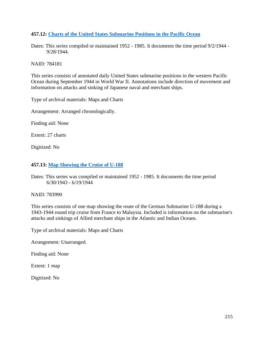## **457.12: [Charts of the United States Submarine Positions in the Pacific Ocean](https://catalog.archives.gov/id/784181)**

Dates: This series compiled or maintained 1952 - 1985. It documents the time period 9/2/1944 - 9/28/1944.

NAID: 784181

This series consists of annotated daily United States submarine positions in the western Pacific Ocean during September 1944 in World War II. Annotations include direction of movement and information on attacks and sinking of Japanese naval and merchant ships.

Type of archival materials: Maps and Charts

Arrangement: Arranged chronologically.

Finding aid: None

Extent: 27 charts

Digitized: No

#### **457.13: [Map Showing the Cruise of U-188](https://catalog.archives.gov/id/783990)**

Dates: This series was compiled or maintained 1952 - 1985. It documents the time period 6/30/1943 - 6/19/1944

NAID: 783990

This series consists of one map showing the route of the German Submarine U-188 during a 1943-1944 round trip cruise from France to Malaysia. Included is information on the submarine's attacks and sinkings of Allied merchant ships in the Atlantic and Indian Oceans.

Type of archival materials: Maps and Charts

Arrangement: Unarranged.

Finding aid: None

Extent: 1 map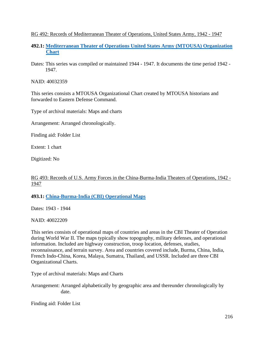## RG 492: Records of Mediterranean Theater of Operations, United States Army, 1942 - 1947

- **492.1: [Mediterranean Theater of Operations United States Army \(MTOUSA\) Organization](https://catalog.archives.gov/id/40032359)  [Chart](https://catalog.archives.gov/id/40032359)**
- Dates: This series was compiled or maintained 1944 1947. It documents the time period 1942 1947.

NAID: 40032359

This series consists a MTOUSA Organizational Chart created by MTOUSA historians and forwarded to Eastern Defense Command.

Type of archival materials: Maps and charts

Arrangement: Arranged chronologically.

Finding aid: Folder List

Extent: 1 chart

Digitized: No

## RG 493: Records of U.S. Army Forces in the China-Burma-India Theaters of Operations, 1942 - 1947

**493.1: [China-Burma-India \(CBI\) Operational Maps](https://catalog.archives.gov/id/40022209)**

Dates: 1943 - 1944

NAID: 40022209

This series consists of operational maps of countries and areas in the CBI Theater of Operation during World War II. The maps typically show topography, military defenses, and operational information. Included are highway construction, troop location, defenses, studies, reconnaissance, and terrain survey. Area and countries covered include, Burma, China, India, French Indo-China, Korea, Malaya, Sumatra, Thailand, and USSR. Included are three CBI Organizational Charts.

Type of archival materials: Maps and Charts

Arrangement: Arranged alphabetically by geographic area and thereunder chronologically by date.

Finding aid: Folder List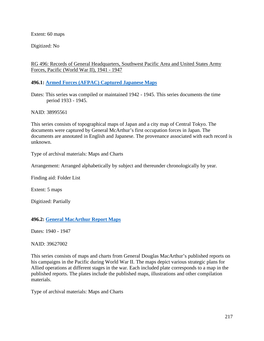Extent: 60 maps

Digitized: No

RG 496: Records of General Headquarters, Southwest Pacific Area and United States Army Forces, Pacific (World War II), 1941 - 1947

**496.1: Armed Forces [\(AFPAC\) Captured Japanese Maps](https://catalog.archives.gov/id/38995561)**

Dates: This series was compiled or maintained 1942 - 1945. This series documents the time period 1933 - 1945.

NAID: 38995561

This series consists of topographical maps of Japan and a city map of Central Tokyo. The documents were captured by General McArthur's first occupation forces in Japan. The documents are annotated in English and Japanese. The provenance associated with each record is unknown.

Type of archival materials: Maps and Charts

Arrangement: Arranged alphabetically by subject and thereunder chronologically by year.

Finding aid: Folder List

Extent: 5 maps

Digitized: Partially

## **496.2: General [MacArthur Report Maps](https://catalog.archives.gov/id/39627002)**

Dates: 1940 - 1947

NAID: 39627002

This series consists of maps and charts from General Douglas MacArthur's published reports on his campaigns in the Pacific during World War II. The maps depict various strategic plans for Allied operations at different stages in the war. Each included plate corresponds to a map in the published reports. The plates include the published maps, illustrations and other compilation materials.

Type of archival materials: Maps and Charts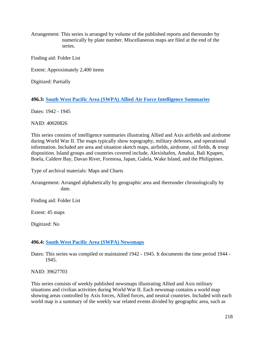Arrangement: This series is arranged by volume of the published reports and thereunder by numerically by plate number. Miscellaneous maps are filed at the end of the series.

Finding aid: Folder List

Extent: Approximately 2,400 items

Digitized: Partially

## **496.3: [South West Pacific Area \(SWPA\) Allied Air Force Intelligence Summaries](https://catalog.archives.gov/id/40020826)**

Dates: 1942 - 1945

NAID: 40020826

This series consists of intelligence summaries illustrating Allied and Axis airfields and airdrome during World War II. The maps typically show topography, military defenses, and operational information. Included are area and situation sketch maps, airfields, airdrome, oil fields, & troop disposition. Island groups and countries covered include, Alexishafen, Amahai, Bali Kpapen, Boela, Caldere Bay, Davao River, Formosa, Japan, Galela, Wake Island, and the Philippines.

Type of archival materials: Maps and Charts

Arrangement: Arranged alphabetically by geographic area and thereunder chronologically by date.

Finding aid: Folder List

Extent: 45 maps

Digitized: No

## **496.4: [South West Pacific Area \(SWPA\) Newsmaps](https://catalog.archives.gov/id/39627703)**

Dates: This series was compiled or maintained 1942 - 1945. It documents the time period 1944 - 1945.

NAID: 39627703

This series consists of weekly published newsmaps illustrating Allied and Axis military situations and civilian activities during World War II. Each newsmap contains a world map showing areas controlled by Axis forces, Allied forces, and neutral countries. Included with each world map is a summary of the weekly war related events divided by geographic area, such as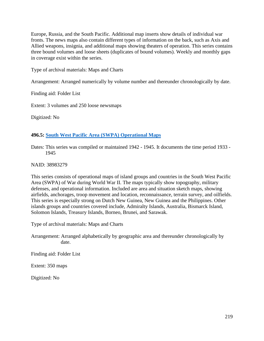Europe, Russia, and the South Pacific. Additional map inserts show details of individual war fronts. The news maps also contain different types of information on the back, such as Axis and Allied weapons, insignia, and additional maps showing theaters of operation. This series contains three bound volumes and loose sheets (duplicates of bound volumes). Weekly and monthly gaps in coverage exist within the series.

Type of archival materials: Maps and Charts

Arrangement: Arranged numerically by volume number and thereunder chronologically by date.

Finding aid: Folder List

Extent: 3 volumes and 250 loose newsmaps

Digitized: No

### **496.5: [South West Pacific Area \(SWPA\) Operational Maps](https://catalog.archives.gov/id/38983279)**

Dates: This series was compiled or maintained 1942 - 1945. It documents the time period 1933 - 1945

NAID: 38983279

This series consists of operational maps of island groups and countries in the South West Pacific Area (SWPA) of War during World War II. The maps typically show topography, military defenses, and operational information. Included are area and situation sketch maps, showing airfields, anchorages, troop movement and location, reconnaissance, terrain survey, and oilfields. This series is especially strong on Dutch New Guinea, New Guinea and the Philippines. Other islands groups and countries covered include, Admiralty Islands, Australia, Bismarck Island, Solomon Islands, Treasury Islands, Borneo, Brunei, and Sarawak.

Type of archival materials: Maps and Charts

Arrangement: Arranged alphabetically by geographic area and thereunder chronologically by date.

Finding aid: Folder List

Extent: 350 maps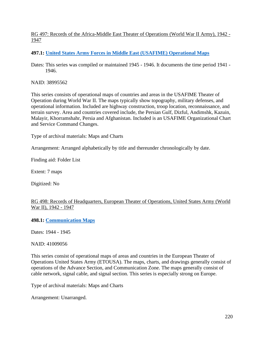# RG 497: Records of the Africa-Middle East Theater of Operations (World War II Army), 1942 - 1947

# **497.1: United States [Army Forces in Middle East \(USAFIME\) Operational Maps](https://catalog.archives.gov/id/38995562)**

Dates: This series was compiled or maintained 1945 - 1946. It documents the time period 1941 - 1946.

NAID: 38995562

This series consists of operational maps of countries and areas in the USAFIME Theater of Operation during World War II. The maps typically show topography, military defenses, and operational information. Included are highway construction, troop location, reconnaissance, and terrain survey. Area and countries covered include, the Persian Gulf, Dizful, Andimshk, Kazuin, Malayir, Khorramshahr, Persia and Afghanistan. Included is an USAFIME Organizational Chart and Service Command Changes.

Type of archival materials: Maps and Charts

Arrangement: Arranged alphabetically by title and thereunder chronologically by date.

Finding aid: Folder List

Extent: 7 maps

Digitized: No

## RG 498: Records of Headquarters, European Theater of Operations, United States Army (World War II), 1942 - 1947

**498.1: [Communication Maps](https://catalog.archives.gov/id/41009056)**

Dates: 1944 - 1945

NAID: 41009056

This series consist of operational maps of areas and countries in the European Theater of Operations United States Army (ETOUSA). The maps, charts, and drawings generally consist of operations of the Advance Section, and Communication Zone. The maps generally consist of cable network, signal cable, and signal section. This series is especially strong on Europe.

Type of archival materials: Maps and Charts

Arrangement: Unarranged.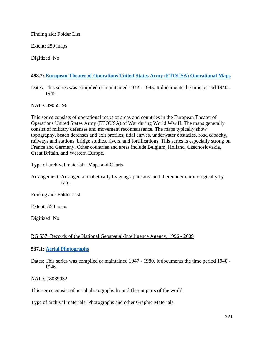Finding aid: Folder List

Extent: 250 maps

Digitized: No

# **498.2: [European Theater of Operations United States Army \(ETOUSA\) Operational Maps](https://catalog.archives.gov/id/39055196)**

Dates: This series was compiled or maintained 1942 - 1945. It documents the time period 1940 - 1945.

NAID: 39055196

This series consists of operational maps of areas and countries in the European Theater of Operations United States Army (ETOUSA) of War during World War II. The maps generally consist of military defenses and movement reconnaissance. The maps typically show topography, beach defenses and exit profiles, tidal curves, underwater obstacles, road capacity, railways and stations, bridge studies, rivers, and fortifications. This series is especially strong on France and Germany. Other countries and areas include Belgium, Holland, Czechoslovakia, Great Britain, and Western Europe.

Type of archival materials: Maps and Charts

Arrangement: Arranged alphabetically by geographic area and thereunder chronologically by date.

Finding aid: Folder List

Extent: 350 maps

Digitized: No

## RG 537: Records of the National Geospatial-Intelligence Agency, 1996 - 2009

## **537.1: [Aerial Photographs](https://catalog.archives.gov/id/78089032)**

Dates: This series was compiled or maintained 1947 - 1980. It documents the time period 1940 - 1946.

NAID: 78089032

This series consist of aerial photographs from different parts of the world.

Type of archival materials: Photographs and other Graphic Materials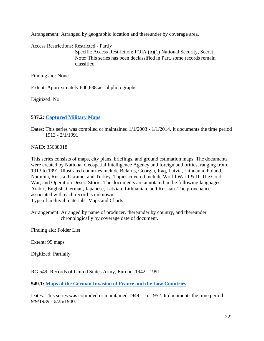Arrangement: Arranged by geographic location and thereunder by coverage area.

Access Restrictions: Restricted - Partly Specific Access Restriction: FOIA (b)(1) National Security, Secret Note: This series has been declassified in Part, some records remain classified.

Finding aid: None

Extent: Approximately 600,638 aerial photographs

Digitized: No

## **537.2: [Captured Military Maps](https://catalog.archives.gov/id/35688018)**

Dates: This series was compiled or maintained 1/1/2003 - 1/1/2014. It documents the time period 1913 - 2/1/1991

NAID: 35688018

This series consists of maps, city plans, briefings, and ground estimation maps. The documents were created by National Geospatial Intelligence Agency and foreign authorities, ranging from 1913 to 1991. Illustrated countries include Belarus, Georgia, Iraq, Latvia, Lithuania, Poland, Namibia, Russia, Ukraine, and Turkey. Topics covered include World War I & II, The Cold War, and Operation Desert Storm. The documents are annotated in the following languages, Arabic, English, German, Japanese, Latvian, Lithuanian, and Russian. The provenance associated with each record is unknown. Type of archival materials: Maps and Charts

Arrangement: Arranged by name of producer, thereunder by country, and thereunder chronologically by coverage date of document.

Finding aid: Folder List

Extent: 95 maps

Digitized: Partially

RG 549: Records of United States Army, Europe, 1942 - 1991

**549.1: [Maps of the German Invasion of France and the Low Countries](https://catalog.archives.gov/id/1253394)**

Dates: This series was compiled or maintained 1949 - ca. 1952. It documents the time period 9/9/1939 - 6/25/1940.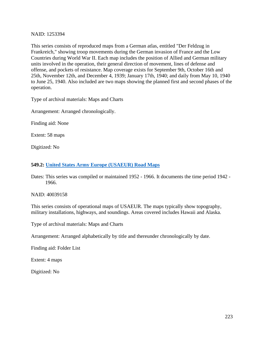### NAID: 1253394

This series consists of reproduced maps from a German atlas, entitled "Der Feldzug in Frankreich," showing troop movements during the German invasion of France and the Low Countries during World War II. Each map includes the position of Allied and German military units involved in the operation, their general direction of movement, lines of defense and offense, and pockets of resistance. Map coverage exists for September 9th, October 16th and 25th, November 12th, and December 4, 1939; January 17th, 1940; and daily from May 10, 1940 to June 25, 1940. Also included are two maps showing the planned first and second phases of the operation.

Type of archival materials: Maps and Charts

Arrangement: Arranged chronologically.

Finding aid: None

Extent: 58 maps

Digitized: No

#### **549.2: [United States Army Europe \(USAEUR\) Road Maps](https://catalog.archives.gov/id/40039158)**

Dates: This series was compiled or maintained 1952 - 1966. It documents the time period 1942 - 1966.

NAID: 40039158

This series consists of operational maps of USAEUR. The maps typically show topography, military installations, highways, and soundings. Areas covered includes Hawaii and Alaska.

Type of archival materials: Maps and Charts

Arrangement: Arranged alphabetically by title and thereunder chronologically by date.

Finding aid: Folder List

Extent: 4 maps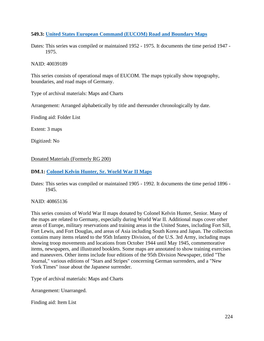## **549.3: United States European [Command \(EUCOM\) Road and Boundary Maps](https://catalog.archives.gov/id/40039189)**

Dates: This series was compiled or maintained 1952 - 1975. It documents the time period 1947 - 1975.

### NAID: 40039189

This series consists of operational maps of EUCOM. The maps typically show topography, boundaries, and road maps of Germany.

Type of archival materials: Maps and Charts

Arrangement: Arranged alphabetically by title and thereunder chronologically by date.

Finding aid: Folder List

Extent: 3 maps

Digitized: No

Donated Materials (Formerly RG 200)

## **DM.1: [Colonel Kelvin Hunter, Sr. World War](https://catalog.archives.gov/id/40865136) II Maps**

Dates: This series was compiled or maintained 1905 - 1992. It documents the time period 1896 - 1945.

NAID: 40865136

This series consists of World War II maps donated by Colonel Kelvin Hunter, Senior. Many of the maps are related to Germany, especially during World War II. Additional maps cover other areas of Europe, military reservations and training areas in the United States, including Fort Sill, Fort Lewis, and Fort Douglas, and areas of Asia including South Korea and Japan. The collection contains many items related to the 95th Infantry Division, of the U.S. 3rd Army, including maps showing troop movements and locations from October 1944 until May 1945, commemorative items, newspapers, and illustrated booklets. Some maps are annotated to show training exercises and maneuvers. Other items include four editions of the 95th Division Newspaper, titled "The Journal," various editions of "Stars and Stripes" concerning German surrenders, and a "New York Times" issue about the Japanese surrender.

Type of archival materials: Maps and Charts

Arrangement: Unarranged.

Finding aid: Item List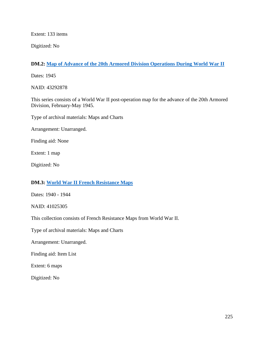Extent: 133 items

Digitized: No

# **DM.2: Map [of Advance of the 20th Armored Division Operations During World War II](https://catalog.archives.gov/id/43292878)**

Dates: 1945

NAID: 43292878

This series consists of a World War II post-operation map for the advance of the 20th Armored Division, February-May 1945.

Type of archival materials: Maps and Charts

Arrangement: Unarranged.

Finding aid: None

Extent: 1 map

Digitized: No

# **DM.3: World [War II French Resistance Maps](https://catalog.archives.gov/id/41025305)**

Dates: 1940 - 1944

NAID: 41025305

This collection consists of French Resistance Maps from World War II.

Type of archival materials: Maps and Charts

Arrangement: Unarranged.

Finding aid: Item List

Extent: 6 maps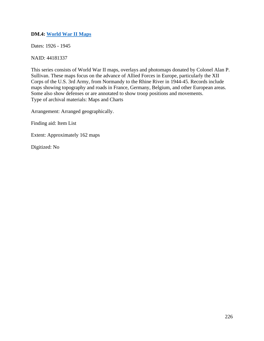# **DM.4: World [War II Maps](https://catalog.archives.gov/id/4418337)**

Dates: 1926 - 1945

NAID: 44181337

This series consists of World War II maps, overlays and photomaps donated by Colonel Alan P. Sullivan. These maps focus on the advance of Allied Forces in Europe, particularly the XII Corps of the U.S. 3rd Army, from Normandy to the Rhine River in 1944-45. Records include maps showing topography and roads in France, Germany, Belgium, and other European areas. Some also show defenses or are annotated to show troop positions and movements. Type of archival materials: Maps and Charts

Arrangement: Arranged geographically.

Finding aid: Item List

Extent: Approximately 162 maps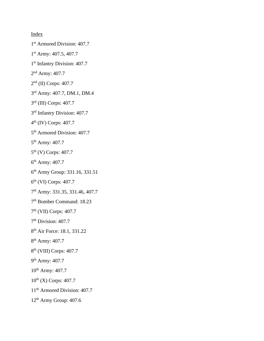Index

- 1<sup>st</sup> Armored Division: 407.7
- 1<sup>st</sup> Army: 407.5, 407.7
- 1<sup>st</sup> Infantry Division: 407.7
- 2<sup>nd</sup> Army: 407.7
- 2nd (II) Corps: 407.7
- 3rd Army: 407.7, DM.1, DM.4
- 3rd (III) Corps: 407.7
- 3rd Infantry Division: 407.7
- 4th (IV) Corps: 407.7
- 5th Armored Division: 407.7
- 5th Army: 407.7
- 5<sup>th</sup> (V) Corps: 407.7
- 6th Army: 407.7
- 6th Army Group: 331.16, 331.51
- 6th (VI) Corps: 407.7
- 7th Army: 331.35, 331.46, 407.7
- 7th Bomber Command: 18.23
- 7th (VII) Corps: 407.7
- 7th Division: 407.7
- 8<sup>th</sup> Air Force: 18.1, 331.22
- 8th Army: 407.7
- 8th (VIII) Corps: 407.7
- 9th Army: 407.7
- 10<sup>th</sup> Army: 407.7
- $10^{th}$  (X) Corps: 407.7
- 11th Armored Division: 407.7
- 12th Army Group: 407.6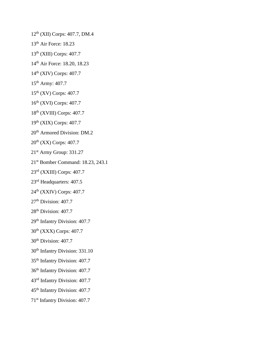12th (XII) Corps: 407.7, DM.4

- 13<sup>th</sup> Air Force: 18.23
- 13th (XIII) Corps: 407.7
- 14th Air Force: 18.20, 18.23
- 14th (XIV) Corps: 407.7
- 15th Army: 407.7
- 15th (XV) Corps: 407.7
- 16th (XVI) Corps: 407.7
- 18th (XVIII) Corps: 407.7
- 19th (XIX) Corps: 407.7
- 20<sup>th</sup> Armored Division: DM.2
- 20th (XX) Corps: 407.7
- 21st Army Group: 331.27
- 21st Bomber Command: 18.23, 243.1
- 23rd (XXIII) Corps: 407.7
- 23rd Headquarters: 407.5
- 24th (XXIV) Corps: 407.7
- $27<sup>th</sup>$  Division: 407.7
- 28<sup>th</sup> Division: 407.7
- 29<sup>th</sup> Infantry Division: 407.7
- 30<sup>th</sup> (XXX) Corps: 407.7
- 30<sup>th</sup> Division: 407.7
- 30th Infantry Division: 331.10
- 35th Infantry Division: 407.7
- 36th Infantry Division: 407.7
- 43rd Infantry Division: 407.7
- 45th Infantry Division: 407.7
- 71st Infantry Division: 407.7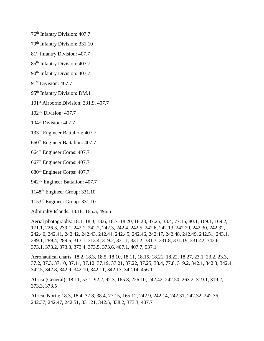76th Infantry Division: 407.7

79th Infantry Division: 331.10

81st Infantry Division: 407.7

85th Infantry Division: 407.7

90<sup>th</sup> Infantry Division: 407.7

91<sup>st</sup> Division: 407.7

95th Infantry Division: DM.1

101st Airborne Division: 331.9, 407.7

102nd Division: 407.7

104<sup>th</sup> Division: 407.7

133rd Engineer Battalion: 407.7

660th Engineer Battalion: 407.7

664th Engineer Corps: 407.7

667th Engineer Corps: 407.7

680th Engineer Corps: 407.7

942nd Engineer Battalion: 407.7

1148th Engineer Group: 331.10

1153rd Engineer Group: 331.10

Admiralty Islands: 18.18, 165.5, 496.5

Aerial photographs: 18.1, 18.3, 18.6, 18.7, 18.20, 18.23, 37.25, 38.4, 77.15, 80.1, 169.1, 169.2, 171.1, 226.3, 239.1, 242.1, 242.2, 242.3, 242.4, 242.5, 242.6, 242.13, 242.20, 242.30, 242.32, 242.40, 242.41, 242.42, 242.43, 242.44, 242.45, 242.46, 242.47, 242.48, 242.49, 242.51, 243.1, 289.1, 289.4, 289.5, 313.1, 313.4, 319.2, 331.1, 331.2, 331.3, 331.8, 331.19, 331.42, 342.6, 373.1, 373.2, 373.3, 373.4, 373.5, 373.6, 407.1, 407.7, 537.1

Aeronautical charts: 18.2, 18.3, 18.5, 18.10, 18.11, 18.15, 18.21, 18.22, 18.27, 23.1, 23.2, 23.3, 37.2, 37.3, 37.10, 37.11, 37.12, 37.19, 37.21, 37.22, 37.25, 38.4, 77.8, 319.2, 342.1, 342.3, 342.4, 342.5, 342.8, 342.9, 342.10, 342.11, 342.13, 342.14, 456.1

Africa (General): 18.11, 57.1, 92.2, 92.3, 165.8, 226.10, 242.42, 242.50, 263.2, 319.1, 319.2, 373.3, 373.5

Africa, North: 18.3, 18.4, 37.8, 38.4, 77.15, 165.12, 242.9, 242.14, 242.31, 242.32, 242.36, 242.37, 242.47, 242.51, 331.21, 342.5, 338.2, 373.3, 407.7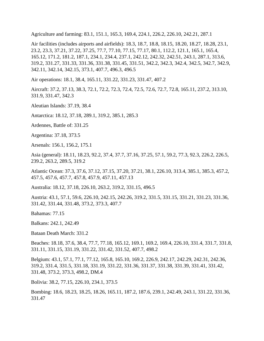Agriculture and farming: 83.1, 151.1, 165.3, 169.4, 224.1, 226.2, 226.10, 242.21, 287.1

Air facilities (includes airports and airfields): 18.3, 18.7, 18.8, 18.15, 18.20, 18.27, 18.28, 23.1, 23.2, 23.3, 37.21, 37.22, 37.25, 77.7, 77.10, 77.15, 77.17, 80.1, 112.2, 121.1, 165.1, 165.4, 165.12, 171.2, 181.2, 187.1, 234.1, 234.4, 237.1, 242.12, 242.32, 242.51, 243.1, 287.1, 313.6, 319.2, 331.27, 331.33, 331.36, 331.38, 331.45, 331.51, 342.2, 342.3, 342.4, 342.5, 342.7, 342.9, 342.11, 342.14, 342.15, 373.1, 407.7, 496.3, 496.5

Air operations: 18.1, 38.4, 165.11, 331.22, 331.23, 331.47, 407.2

Aircraft: 37.2, 37.13, 38.3, 72.1, 72.2, 72.3, 72.4, 72.5, 72.6, 72.7, 72.8, 165.11, 237.2, 313.10, 331.9, 331.47, 342.3

Aleutian Islands: 37.19, 38.4

Antarctica: 18.12, 37.18, 289.1, 319.2, 385.1, 285.3

Ardennes, Battle of: 331.25

Argentina: 37.18, 373.5

Arsenals: 156.1, 156.2, 175.1

Asia (general): 18.11, 18.23, 92.2, 37.4, 37.7, 37.16, 37.25, 57.1, 59.2, 77.3, 92.3, 226.2, 226.5, 239.2, 263.2, 289.5, 319.2

Atlantic Ocean: 37.3, 37.6, 37.12, 37.15, 37.20, 37.21, 38.1, 226.10, 313.4, 385.1, 385.3, 457.2, 457.5, 457.6, 457.7, 457.8, 457.9, 457.11, 457.13

Australia: 18.12, 37.18, 226.10, 263.2, 319.2, 331.15, 496.5

Austria: 43.1, 57.1, 59.6, 226.10, 242.15, 242.26, 319.2, 331.5, 331.15, 331.21, 331.23, 331.36, 331.42, 331.44, 331.48, 373.2, 373.3, 407.7

Bahamas: 77.15

Balkans: 242.1, 242.49

Bataan Death March: 331.2

Beaches: 18.18, 37.6, 38.4, 77.7, 77.18, 165.12, 169.1, 169.2, 169.4, 226.10, 331.4, 331.7, 331.8, 331.11, 331.15, 331.19, 331.22, 331.42, 331.52, 407.7, 498.2

Belgium: 43.1, 57.1, 77.1, 77.12, 165.8, 165.10, 169.2, 226.9, 242.17, 242.29, 242.31, 242.36, 319.2, 331.4, 331.5, 331.18, 331.19, 331.22, 331.36, 331.37, 331.38, 331.39, 331.41, 331.42, 331.48, 373.2, 373.3, 498.2, DM.4

Bolivia: 38.2, 77.15, 226.10, 234.1, 373.5

Bombing: 18.6, 18.23, 18.25, 18.26, 165.11, 187.2, 187.6, 239.1, 242.49, 243.1, 331.22, 331.36, 331.47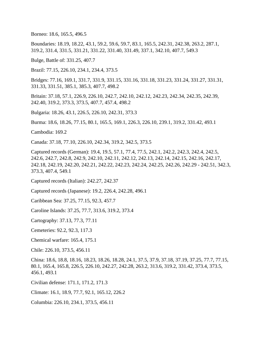Borneo: 18.6, 165.5, 496.5

Boundaries: 18.19, 18.22, 43.1, 59.2, 59.6, 59.7, 83.1, 165.5, 242.31, 242.38, 263.2, 287.1, 319.2, 331.4, 331.5, 331.21, 331.22, 331.40, 331.49, 337.1, 342.10, 407.7, 549.3

Bulge, Battle of: 331.25, 407.7

Brazil: 77.15, 226.10, 234.1, 234.4, 373.5

Bridges: 77.16, 169.1, 331.7, 331.9, 331.15, 331.16, 331.18, 331.23, 331.24, 331.27, 331.31, 331.33, 331.51, 385.1, 385.3, 407.7, 498.2

Britain: 37.18, 57.1, 226.9, 226.10, 242.7, 242.10, 242.12, 242.23, 242.34, 242.35, 242.39, 242.40, 319.2, 373.3, 373.5, 407.7, 457.4, 498.2

Bulgaria: 18.26, 43.1, 226.5, 226.10, 242.31, 373.3

Burma: 18.6, 18.26, 77.15, 80.1, 165.5, 169.1, 226.3, 226.10, 239.1, 319.2, 331.42, 493.1

Cambodia: 169.2

Canada: 37.18, 77.10, 226.10, 242.34, 319.2, 342.5, 373.5

Captured records (German): 19.4, 19.5, 57.1, 77.4, 77.5, 242.1, 242.2, 242.3, 242.4, 242.5, 242.6, 242.7, 242.8, 242.9, 242.10, 242.11, 242.12, 242.13, 242.14, 242.15, 242.16, 242.17, 242.18, 242.19, 242.20, 242.21, 242.22, 242.23, 242.24, 242.25, 242.26, 242.29 - 242.51, 342.3, 373.3, 407.4, 549.1

Captured records (Italian): 242.27, 242.37

Captured records (Japanese): 19.2, 226.4, 242.28, 496.1

Caribbean Sea: 37.25, 77.15, 92.3, 457.7

Caroline Islands: 37.25, 77.7, 313.6, 319.2, 373.4

Cartography: 37.13, 77.3, 77.11

Cemeteries: 92.2, 92.3, 117.3

Chemical warfare: 165.4, 175.1

Chile: 226.10, 373.5, 456.11

China: 18.6, 18.8, 18.16, 18.23, 18.26, 18.28, 24.1, 37.5, 37.9, 37.18, 37.19, 37.25, 77.7, 77.15, 80.1, 165.4, 165.8, 226.5, 226.10, 242.27, 242.28, 263.2, 313.6, 319.2, 331.42, 373.4, 373.5, 456.1, 493.1

Civilian defense: 171.1, 171.2, 171.3

Climate: 16.1, 18.9, 77.7, 92.1, 165.12, 226.2

Columbia: 226.10, 234.1, 373.5, 456.11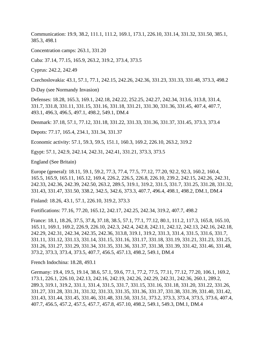Communication: 19.9, 38.2, 111.1, 111.2, 169.1, 173.1, 226.10, 331.14, 331.32, 331.50, 385.1, 385.3, 498.1

Concentration camps: 263.1, 331.20

Cuba: 37.14, 77.15, 165.9, 263.2, 319.2, 373.4, 373.5

Cyprus: 242.2, 242.49

Czechoslovakia: 43.1, 57.1, 77.1, 242.15, 242.26, 242.36, 331.23, 331.33, 331.48, 373.3, 498.2

D-Day (see Normandy Invasion)

Defenses: 18.28, 165.3, 169.1, 242.18, 242.22, 252.25, 242.27, 242.34, 313.6, 313.8, 331.4, 331.7, 331.8, 331.11, 331.15, 331.16, 331.18, 331.21, 331.30, 331.36, 331.45, 407.4, 407.7, 493.1, 496.3, 496.5, 497.1, 498.2, 549.1, DM.4

Denmark: 37.18, 57.1, 77.12, 331.18, 331.22, 331.33, 331.36, 331.37, 331.45, 373.3, 373.4

Depots: 77.17, 165.4, 234.1, 331.34, 331.37

Economic activity: 57.1, 59.3, 59.5, 151.1, 160.3, 169.2, 226.10, 263.2, 319.2

Egypt: 57.1, 242.9, 242.14, 242.31, 242.41, 331.21, 373.3, 373.5

England (See Britain)

Europe (general): 18.11, 59.1, 59.2, 77.3, 77.4, 77.5, 77.12, 77.20, 92.2, 92.3, 160.2, 160.4, 165.5, 165.9, 165.11, 165.12, 169.4, 226.2, 226.5, 226.8, 226.10, 239.2, 242.15, 242.26, 242.31, 242.33, 242.36, 242.39, 242.50, 263.2, 289.5, 319.1, 319.2, 331.5, 331.7, 331.25, 331.28, 331.32, 331.43, 331.47, 331.50, 338.2, 342.5, 342.6, 373.3, 407.7, 496.4, 498.1, 498.2, DM.1, DM.4

Finland: 18.26, 43.1, 57.1, 226.10, 319.2, 373.3

Fortifications: 77.16, 77.20, 165.12, 242.17, 242.25, 242.34, 319.2, 407.7, 498.2

France: 18.1, 18.26, 37.5, 37.8**,** 37.18, 38.5, 57.1, 77.1, 77.12, 80.1, 111.2, 117.3, 165.8, 165.10, 165.11, 169.1, 169.2, 226.9, 226.10, 242.3, 242.4, 242.8, 242.11, 242.12, 242.13, 242.16, 242.18, 242.29, 242.31, 242.34, 242.35, 242.36, 313.8, 319.1, 319.2, 331.3, 331.4, 331.5, 331.6, 331.7, 331.11, 331.12, 331.13, 331.14, 331.15, 331.16, 331.17, 331.18, 331.19, 331.21, 331.23, 331.25, 331.26, 331.27, 331.29, 331.34, 331.35, 331.36, 331.37, 331.38, 331.39, 331.42, 331.46, 331.48, 373.2, 373.3, 373.4, 373.5, 407.7, 456.5, 457.13, 498.2, 549.1, DM.4

French Indochina: 18.28, 493.1

Germany: 19.4, 19.5, 19.14, 38.6, 57.1, 59.6, 77.1, 77.2, 77.5, 77.11, 77.12, 77.20, 106.1, 169.2, 173.1, 226.1, 226.10, 242.13, 242.16, 242.19, 242.26, 242.29, 242.31, 242.36, 260.1, 289.2, 289.3, 319.1, 319.2, 331.1, 331.4, 331.5, 331.7, 331.15, 331.16, 331.18, 331.20, 331.22, 331.26, 331.27, 331.28, 331.31, 331.32, 331.33, 331.35, 331.36, 331.37, 331.38, 331.39, 331.40, 331.42, 331.43, 331.44, 331.45, 331.46, 331.48, 331.50, 331.51, 373.2, 373.3, 373.4, 373.5, 373.6, 407.4, 407.7, 456.5, 457.2, 457.5, 457.7, 457.8, 457.10, 498.2, 549.1, 549.3, DM.1, DM.4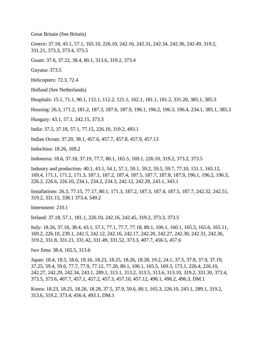Great Britain (See Britain)

Greece: 37.18, 43.1, 57.1, 165.10, 226.10, 242.16, 242.31, 242.34, 242.36, 242.49, 319.2, 331.21, 373.3, 373.4, 373.5

Guam: 37.6, 37.22, 38.4, 80.1, 313.6, 319.2, 373.4

Guyana: 373.5

Helicopters: 72.3, 72.4

Holland (See Netherlands)

Hospitals: 15.1, 71.1, 90.1, 112.1, 112.2, 121.1, 162.1, 181.1, 181.2, 331.20, 385.1, 385.3

Housing: 26.3, 171.2, 181.2, 187.3, 187.6, 187.9, 196.1, 196.2, 196.3, 196.4, 234.1, 385.1, 385.3

Hungary: 43.1, 57.1, 242.15, 373.3

India: 37.5, 37.18, 57.1, 77.15, 226.10, 319.2, 493.1

Indian Ocean: 37.20, 38.1, 457.6, 457.7, 457.8, 457.9, 457.13

Indochina: 18.26, 169.2

Indonesia: 18.6, 37.18, 37.19, 77.7, 80.1, 165.5, 169.1, 226.10, 319.2, 373.2, 373.5

Industry and production: 40.1, 43.1, 54.1, 57.1, 59.1, 59.2, 59.5, 59.7, 77.10, 151.1, 165.12, 169.4, 171.1, 171.2, 171.3, 187.1, 187.2, 187.4, 187.5, 187.7, 187.8, 187.9, 196.1, 196.2, 196.3, 226.2, 226.6, 226.10, 234.1, 234.2, 234.3, 242.12, 242.29, 243.1, 343.1

Installations: 26.3, 77.15, 77.17, 80.1, 171.3, 187.2, 187.3, 187.4, 187.5, 187.7, 242.32, 242.51, 319.2, 331.15, 338.1 373.4, 549.2

Internment: 210.1

Ireland: 37.18, 57.1, 181.1, 226.10, 242.16, 242.45, 319.2, 373.3, 373.5

Italy: 18.26, 37.18, 38.4, 43.1, 57.1, 77.1, 77.7, 77.18, 80.1, 106.1, 160.1, 165.5, 165.6, 165.11, 169.2, 226.10, 239.1, 242.5, 242.12, 242.16, 242.17, 242.20, 242.27, 242.30, 242.31, 242.36, 319.2, 331.8, 331.21, 331.42, 331.49, 331.52, 373.3, 407.7, 456.5, 457.6

Iwo Jima: 38.4, 165.5, 313.6

Japan: 18.4, 18.5, 18.6, 18.16, 18.23, 18.25, 18.26, 18.28, 19.2, 24.1, 37.5, 37.8, 37.9, 37.19, 37.25, 59.4, 59.6, 77.7, 77.9, 77.12, 77.20, 80.1, 106.1, 165.5, 169.3, 173.1, 226.4, 226.10, 242.27, 242.29, 242.34, 243.1, 289.1, 313.1, 313.2, 313.5, 313.6, 313.10, 319.2, 331.30, 373.4, 373.5, 373.6, 407.7, 457.1, 457.2, 457.3, 457.10, 457.12, 496.1, 496.2, 496.3, DM.1

Korea: 18.23, 18.25, 18.26, 18.28, 37.5, 37.9, 59.6, 80.1, 165.3, 226.10, 243.1, 289.1, 319.2, 313.6, 319.2, 373.4, 456.4, 493.1, DM.1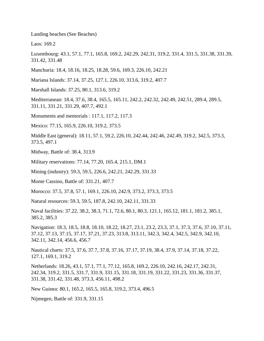Landing beaches (See Beaches)

Laos: 169.2

Luxembourg: 43.1, 57.1, 77.1, 165.8, 169.2, 242.29, 242.31, 319.2, 331.4, 331.5, 331.38, 331.39, 331.42, 331.48

Manchuria: 18.4, 18.16, 18.25, 18.28, 59.6, 169.3, 226.10, 242.21

Mariana Islands: 37.14, 37.25, 127.1, 226.10, 313.6, 319.2, 407.7

Marshall Islands: 37.25, 80.1, 313.6, 319.2

Mediterranean: 18.4, 37.6, 38.4, 165.5, 165.11, 242.2, 242.32, 242.49, 242.51, 289.4, 289.5, 331.11, 331.21, 331.29, 407.7, 492.1

Monuments and memorials : 117.1, 117.2, 117.3

Mexico: 77.15, 165.9, 226.10, 319.2, 373.5

Middle East (general): 18.11, 57.1, 59.2, 226.10, 242.44, 242.46, 242.49, 319.2, 342.5, 373.3, 373.5, 497.1

Midway, Battle of: 38.4, 313.9

Military reservations: 77.14, 77.20, 165.4, 215.1, DM.1

Mining (industry): 59.3, 59.5, 226.6, 242.21, 242.29, 331.33

Monte Cassino, Battle of: 331.21, 407.7

Morocco: 37.5, 37.8, 57.1, 169.1, 226.10, 242.9, 373.2, 373.3, 373.5

Natural resources: 59.3, 59.5, 187.8, 242.10, 242.11, 331.33

Naval facilities: 37.22, 38.2, 38.3, 71.1, 72.6, 80.1, 80.3, 121.1, 165.12, 181.1, 181.2, 385.1, 385.2, 385.3

Navigation: 18.3, 18.5, 18.8, 18.10, 18.22, 18.27, 23.1, 23.2, 23.3, 37.1, 37.3, 37.6, 37.10, 37.11, 37.12, 37.13, 37.15, 37.17, 37.21, 37.23, 313.8, 313.11, 342.3, 342.4, 342.5, 342.9, 342.10, 342.11, 342.14, 456.6, 456.7

Nautical charts: 37.5, 37.6, 37.7, 37.8, 37.16, 37.17, 37.19, 38.4, 37.9, 37.14, 37.18, 37.22, 127.1, 169.1, 319.2

Netherlands: 18.26, 43.1, 57.1, 77.1, 77.12, 165.8, 169.2, 226.10, 242.16, 242.17, 242.31, 242.34, 319.2, 331.5, 331.7, 331.9, 331.15, 331.18, 331.19, 331.22, 331.23, 331.36, 331.37, 331.38, 331.42, 331.48, 373.3, 456.11, 498.2

New Guinea: 80.1, 165.2, 165.5, 165.8, 319.2, 373.4, 496.5

Nijmegen, Battle of: 331.9, 331.15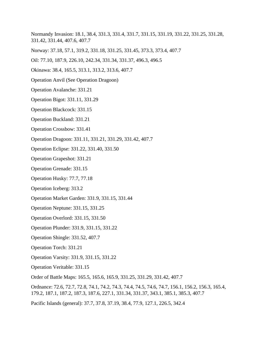Normandy Invasion: 18.1, 38.4, 331.3, 331.4, 331.7, 331.15, 331.19, 331.22, 331.25, 331.28, 331.42, 331.44, 407.6, 407.7

Norway: 37.18, 57.1, 319.2, 331.18, 331.25, 331.45, 373.3, 373.4, 407.7

Oil: 77.10, 187.9, 226.10, 242.34, 331.34, 331.37, 496.3, 496.5

Okinawa: 38.4, 165.5, 313.1, 313.2, 313.6, 407.7

Operation Anvil (See Operation Dragoon)

Operation Avalanche: 331.21

Operation Bigot: 331.11, 331.29

Operation Blackcock: 331.15

Operation Buckland: 331.21

Operation Crossbow: 331.41

Operation Dragoon: 331.11, 331.21, 331.29, 331.42, 407.7

Operation Eclipse: 331.22, 331.40, 331.50

Operation Grapeshot: 331.21

Operation Grenade: 331.15

Operation Husky: 77.7, 77.18

Operation Iceberg: 313.2

Operation Market Garden: 331.9, 331.15, 331.44

Operation Neptune: 331.15, 331.25

Operation Overlord: 331.15, 331.50

Operation Plunder: 331.9, 331.15, 331.22

Operation Shingle: 331.52, 407.7

Operation Torch: 331.21

Operation Varsity: 331.9, 331.15, 331.22

Operation Veritable: 331.15

Order of Battle Maps: 165.5, 165.6, 165.9, 331.25, 331.29, 331.42, 407.7

Ordnance: 72.6, 72.7, 72.8, 74.1, 74.2, 74.3, 74.4, 74.5, 74.6, 74.7, 156.1, 156.2, 156.3, 165.4, 179.2, 187.1, 187.2, 187.3, 187.6, 227.1, 331.34, 331.37, 343.1, 385.1, 385.3, 407.7

Pacific Islands (general): 37.7, 37.8, 37.19, 38.4, 77.9, 127.1, 226.5, 342.4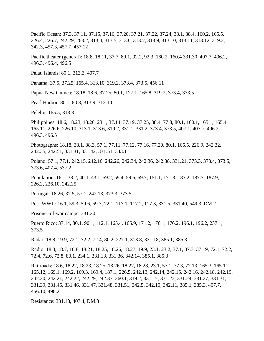Pacific Ocean: 37.3, 37.11, 37.15, 37.16, 37.20, 37.21, 37.22, 37.24, 38.1, 38.4, 160.2, 165.5, 226.4, 226.7, 242.29, 263.2, 313.4, 313.5, 313.6, 313.7, 313.9, 313.10, 313.11, 313.12, 319.2, 342.3, 457.3, 457.7, 457.12

Pacific theater (general): 18.8, 18.11, 37.7, 80.1, 92.2, 92.3, 160.2, 160.4 331.30, 407.7, 496.2, 496.3, 496.4, 496.5

Palau Islands: 80.1, 313.3, 407.7

Panama: 37.5, 37.25, 165.4, 313.10, 319.2, 373.4, 373.5, 456.11

Papua New Guinea: 18.18, 18.6, 37.25, 80.1, 127.1, 165.8, 319.2, 373.4, 373.5

Pearl Harbor: 80.1, 80.3, 313.9, 313.10

Peleliu: 165.5, 313.3

Philippines: 18.6, 18.23, 18.26, 23.1, 37.14, 37.19, 37.25, 38.4, 77.8, 80.1, 160.1, 165.1, 165.4, 165.11, 226.6, 226.10, 313.1, 313.6, 319.2, 331.1, 331.2, 373.4, 373.5, 407.1, 407.7, 496.2, 496.3, 496.5

Photographs: 18.18, 38.1, 38.3, 57.1, 77.11, 77.12, 77.16, 77.20, 80.1, 165.5, 226.9, 242.32, 242.35, 242.51, 331.31, 331.42, 331.51, 343.1

Poland: 57.1, 77.1, 242.15, 242.16, 242.26, 242.34, 242.36, 242.38, 331.21, 373.3, 373.4, 373.5, 373.6, 407.4, 537.2

Population: 16.1, 38.2, 40.1, 43.1, 59.2, 59.4, 59.6, 59.7, 151.1, 171.3, 187.2, 187.7, 187.9, 226.2, 226.10, 242.25

Portugal: 18.26, 37.5, 57.1, 242.13, 373.3, 373.5

Post-WWII: 16.1, 59.3, 59.6, 59.7, 72.1, 117.1, 117.2, 117.3, 331.5, 331.40, 549.3, DM.2

Prisoner-of-war camps: 331.20

Puerto Rico: 37.14, 80.1, 90.1, 112.1, 165.4, 165.9, 171.2, 176.1, 176.2, 196.1, 196.2, 237.1, 373.5

Radar: 18.8, 19.9, 72.1, 72.2, 72.4, 80.2, 227.1, 313.8, 331.18, 385.1, 385.3

Radio: 18.3, 18.7, 18.8, 18.21, 18.25, 18.26, 18.27, 19.9, 23.1, 23.2, 37.1, 37.3, 37.19, 72.1, 72.2, 72.4, 72.6, 72.8, 80.1, 234.1, 331.13, 331.36, 342.14, 385.1, 385.3

Railroads: 18.6, 18.22, 18.23, 18.25, 18.26, 18.27, 18.28, 23.1, 57.1, 77.3, 77.13, 165.3, 165.11, 165.12, 169.1, 169.2, 169.3, 169.4, 187.1, 226.5, 242.13, 242.14, 242.15, 242.16, 242.18, 242.19, 242.20, 242.21, 242.22, 242.29, 242.37, 260.1, 319.2, 331.17, 331.23, 331.24, 331.27, 331.31, 331.39, 331.45, 331.46, 331.47, 331.48, 331.51, 342.5, 342.10, 342.11, 385.1, 385.3, 407.7, 456.10, 498.2

Resistance: 331.13, 407.4, DM.3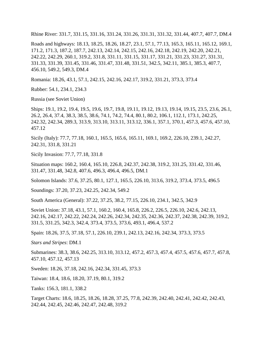Rhine River: 331.7, 331.15, 331.16, 331.24, 331.26, 331.31, 331.32, 331.44, 407.7, 407.7, DM.4

Roads and highways: 18.13, 18.25, 18.26, 18.27, 23.1, 57.1, 77.13, 165.3, 165.11, 165.12, 169.1, 171.2, 171.3, 187.2, 187.7, 242.13, 242.14, 242.15, 242.16, 242.18, 242.19, 242.20, 242.21, 242.22, 242.29, 260.1, 319.2, 331.8, 331.11, 331.15, 331.17, 331.21, 331.23, 331.27, 331.31, 331.33, 331.39, 331.45, 331.46, 331.47, 331.48, 331.51, 342.5, 342.11, 385.1, 385.3, 407.7, 456.10, 549.2, 549.3, DM.4

Romania: 18.26, 43.1, 57.1, 242.15, 242.16, 242.17, 319.2, 331.21, 373.3, 373.4

Rubber: 54.1, 234.1, 234.3

Russia (see Soviet Union)

Ships: 19.1, 19.2, 19.4, 19.5, 19.6, 19.7, 19.8, 19.11, 19.12, 19.13, 19.14, 19.15, 23.5, 23.6, 26.1, 26.2, 26.4, 37.4, 38.3, 38.5, 38.6, 74.1, 74.2, 74.4, 80.1, 80.2, 106.1, 112.1, 173.1, 242.25, 242.32, 242.34, 289.3, 313.9, 313.10, 313.11, 313.12, 336.1, 357.1, 370.1, 457.3, 457.6, 457.10, 457.12

Sicily (Italy): 77.7, 77.18, 160.1, 165.5, 165.6, 165.11, 169.1, 169.2, 226.10, 239.1, 242.27, 242.31, 331.8, 331.21

Sicily Invasion: 77.7, 77.18, 331.8

Situation maps: 160.2, 160.4, 165.10, 226.8, 242.37, 242.38, 319.2, 331.25, 331.42, 331.46, 331.47, 331.48, 342.8, 407.6, 496.3, 496.4, 496.5, DM.1

Solomon Islands: 37.6, 37.25, 80.1, 127.1, 165.5, 226.10, 313.6, 319.2, 373.4, 373.5, 496.5

Soundings: 37.20, 37.23, 242.25, 242.34, 549.2

South America (General): 37.22, 37.25, 38.2, 77.15, 226.10, 234.1, 342.5, 342.9

Soviet Union: 37.18, 43.1, 57.1, 160.2, 160.4, 165.8, 226.2, 226.5, 226.10, 242.6, 242.13, 242.16, 242.17, 242.22, 242.24, 242.26, 242.34, 242.35, 242.36, 242.37, 242.38, 242.39, 319.2, 331.5, 331.25, 342.3, 342.4, 373.4, 373.5, 373.6, 493.1, 496.4, 537.2

Spain: 18.26, 37.5, 37.18, 57.1, 226.10, 239.1, 242.13, 242.16, 242.34, 373.3, 373.5

*Stars and Stripes*: DM.1

Submarines: 38.3, 38.6, 242.25, 313.10, 313.12, 457.2, 457.3, 457.4, 457.5, 457.6, 457.7, 457.8, 457.10, 457.12, 457.13

Sweden: 18.26, 37.18, 242.16, 242.34, 331.45, 373.3

Taiwan: 18.4, 18.6, 18.20, 37.19, 80.1, 319.2

Tanks: 156.3, 181.1, 338.2

Target Charts: 18.6, 18.25, 18.26, 18.28, 37.25, 77.8, 242.39, 242.40, 242.41, 242.42, 242.43, 242.44, 242.45, 242.46, 242.47, 242.48, 319.2